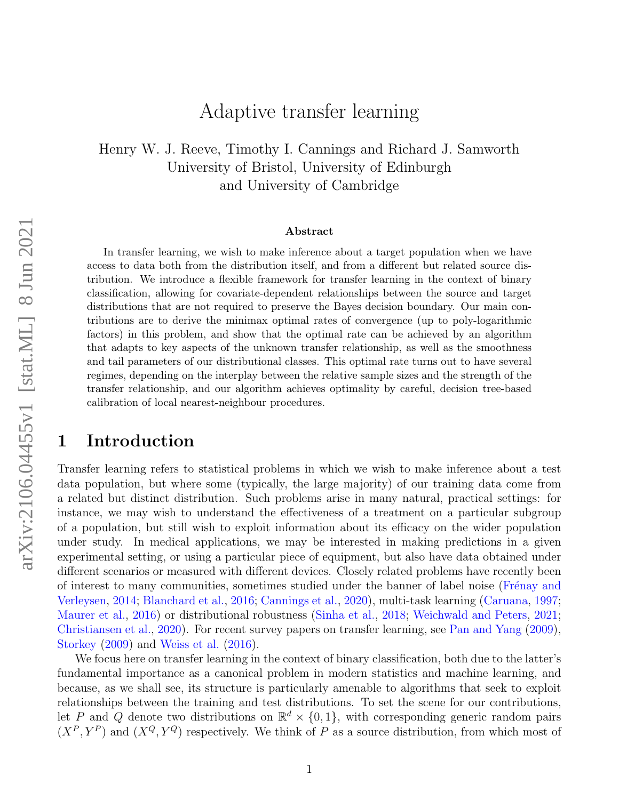# Adaptive transfer learning

Henry W. J. Reeve, Timothy I. Cannings and Richard J. Samworth University of Bristol, University of Edinburgh and University of Cambridge

#### Abstract

In transfer learning, we wish to make inference about a target population when we have access to data both from the distribution itself, and from a different but related source distribution. We introduce a flexible framework for transfer learning in the context of binary classification, allowing for covariate-dependent relationships between the source and target distributions that are not required to preserve the Bayes decision boundary. Our main contributions are to derive the minimax optimal rates of convergence (up to poly-logarithmic factors) in this problem, and show that the optimal rate can be achieved by an algorithm that adapts to key aspects of the unknown transfer relationship, as well as the smoothness and tail parameters of our distributional classes. This optimal rate turns out to have several regimes, depending on the interplay between the relative sample sizes and the strength of the transfer relationship, and our algorithm achieves optimality by careful, decision tree-based calibration of local nearest-neighbour procedures.

### 1 Introduction

Transfer learning refers to statistical problems in which we wish to make inference about a test data population, but where some (typically, the large majority) of our training data come from a related but distinct distribution. Such problems arise in many natural, practical settings: for instance, we may wish to understand the effectiveness of a treatment on a particular subgroup of a population, but still wish to exploit information about its efficacy on the wider population under study. In medical applications, we may be interested in making predictions in a given experimental setting, or using a particular piece of equipment, but also have data obtained under different scenarios or measured with different devices. Closely related problems have recently been of interest to many communities, sometimes studied under the banner of label noise (Frénay and [Verleysen,](#page-44-0) [2014;](#page-44-0) [Blanchard et al.,](#page-43-0) [2016;](#page-43-0) [Cannings et al.,](#page-43-1) [2020\)](#page-43-1), multi-task learning [\(Caruana,](#page-43-2) [1997;](#page-43-2) [Maurer et al.,](#page-45-0) [2016\)](#page-45-0) or distributional robustness [\(Sinha et al.,](#page-46-0) [2018;](#page-46-0) [Weichwald and Peters,](#page-46-1) [2021;](#page-46-1) [Christiansen et al.,](#page-43-3) [2020\)](#page-43-3). For recent survey papers on transfer learning, see [Pan and Yang](#page-45-1) [\(2009\)](#page-45-1), [Storkey](#page-46-2) [\(2009\)](#page-46-2) and [Weiss et al.](#page-46-3) [\(2016\)](#page-46-3).

We focus here on transfer learning in the context of binary classification, both due to the latter's fundamental importance as a canonical problem in modern statistics and machine learning, and because, as we shall see, its structure is particularly amenable to algorithms that seek to exploit relationships between the training and test distributions. To set the scene for our contributions, let P and Q denote two distributions on  $\mathbb{R}^d \times \{0,1\}$ , with corresponding generic random pairs  $(X^P, Y^P)$  and  $(X^Q, Y^Q)$  respectively. We think of P as a source distribution, from which most of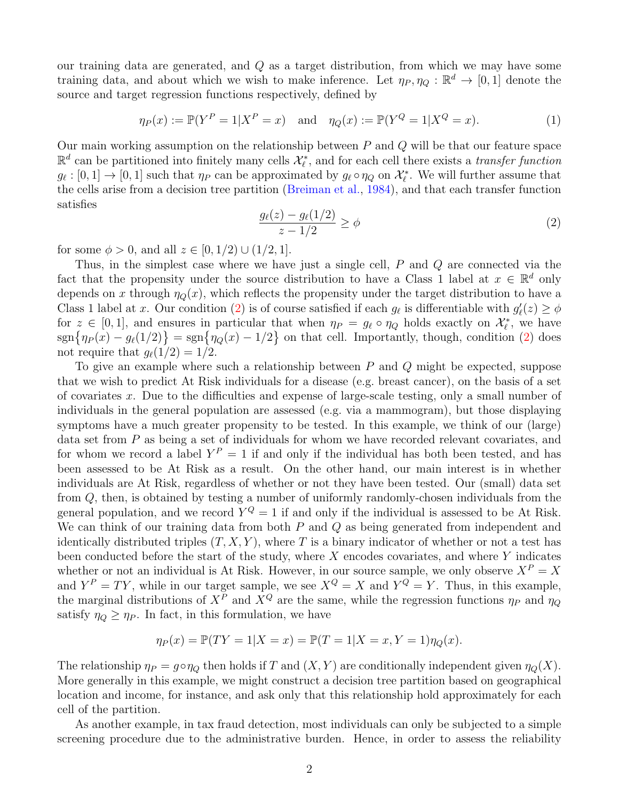our training data are generated, and Q as a target distribution, from which we may have some training data, and about which we wish to make inference. Let  $\eta_P, \eta_Q : \mathbb{R}^d \to [0,1]$  denote the source and target regression functions respectively, defined by

<span id="page-1-1"></span>
$$
\eta_P(x) := \mathbb{P}(Y^P = 1 | X^P = x)
$$
 and  $\eta_Q(x) := \mathbb{P}(Y^Q = 1 | X^Q = x).$  (1)

Our main working assumption on the relationship between  $P$  and  $Q$  will be that our feature space  $\mathbb{R}^d$  can be partitioned into finitely many cells  $\mathcal{X}_{\ell}^*$ , and for each cell there exists a *transfer function*  $g_{\ell} : [0, 1] \to [0, 1]$  such that  $\eta_P$  can be approximated by  $g_{\ell} \circ \eta_Q$  on  $\mathcal{X}_{\ell}^*$ . We will further assume that the cells arise from a decision tree partition [\(Breiman et al.,](#page-43-4) [1984\)](#page-43-4), and that each transfer function satisfies

<span id="page-1-0"></span>
$$
\frac{g_{\ell}(z) - g_{\ell}(1/2)}{z - 1/2} \ge \phi \tag{2}
$$

for some  $\phi > 0$ , and all  $z \in [0, 1/2) \cup (1/2, 1]$ .

Thus, in the simplest case where we have just a single cell, P and Q are connected via the fact that the propensity under the source distribution to have a Class 1 label at  $x \in \mathbb{R}^d$  only depends on x through  $\eta_Q(x)$ , which reflects the propensity under the target distribution to have a Class 1 label at x. Our condition [\(2\)](#page-1-0) is of course satisfied if each  $g_{\ell}$  is differentiable with  $g'_{\ell}(z) \ge \phi$ for  $z \in [0,1]$ , and ensures in particular that when  $\eta_P = g_\ell \circ \eta_Q$  holds exactly on  $\mathcal{X}_\ell^*$ , we have  $\text{sgn}\{\eta_P(x) - g_\ell(1/2)\} = \text{sgn}\{\eta_Q(x) - 1/2\}$  on that cell. Importantly, though, condition [\(2\)](#page-1-0) does not require that  $g_{\ell}(1/2) = 1/2$ .

To give an example where such a relationship between P and Q might be expected, suppose that we wish to predict At Risk individuals for a disease (e.g. breast cancer), on the basis of a set of covariates x. Due to the difficulties and expense of large-scale testing, only a small number of individuals in the general population are assessed (e.g. via a mammogram), but those displaying symptoms have a much greater propensity to be tested. In this example, we think of our (large) data set from P as being a set of individuals for whom we have recorded relevant covariates, and for whom we record a label  $Y^P = 1$  if and only if the individual has both been tested, and has been assessed to be At Risk as a result. On the other hand, our main interest is in whether individuals are At Risk, regardless of whether or not they have been tested. Our (small) data set from Q, then, is obtained by testing a number of uniformly randomly-chosen individuals from the general population, and we record  $Y^Q = 1$  if and only if the individual is assessed to be At Risk. We can think of our training data from both  $P$  and  $Q$  as being generated from independent and identically distributed triples  $(T, X, Y)$ , where T is a binary indicator of whether or not a test has been conducted before the start of the study, where  $X$  encodes covariates, and where  $Y$  indicates whether or not an individual is At Risk. However, in our source sample, we only observe  $X^P = X$ and  $Y^P = TY$ , while in our target sample, we see  $X^Q = X$  and  $Y^Q = Y$ . Thus, in this example, the marginal distributions of  $X^P$  and  $X^Q$  are the same, while the regression functions  $\eta_P$  and  $\eta_Q$ satisfy  $\eta_Q \ge \eta_P$ . In fact, in this formulation, we have

$$
\eta_P(x) = \mathbb{P}(TY = 1 | X = x) = \mathbb{P}(T = 1 | X = x, Y = 1) \eta_Q(x).
$$

The relationship  $\eta_P = g \circ \eta_Q$  then holds if T and  $(X, Y)$  are conditionally independent given  $\eta_Q(X)$ . More generally in this example, we might construct a decision tree partition based on geographical location and income, for instance, and ask only that this relationship hold approximately for each cell of the partition.

As another example, in tax fraud detection, most individuals can only be subjected to a simple screening procedure due to the administrative burden. Hence, in order to assess the reliability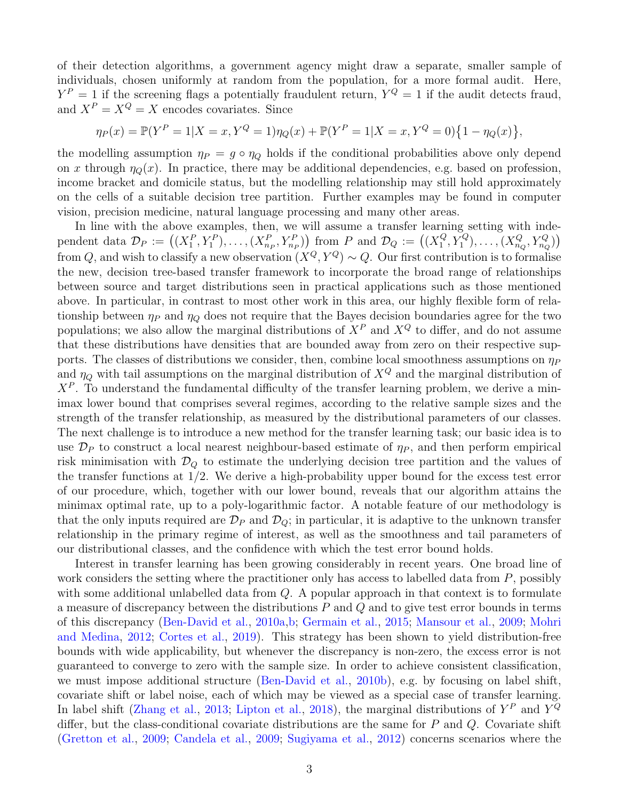of their detection algorithms, a government agency might draw a separate, smaller sample of individuals, chosen uniformly at random from the population, for a more formal audit. Here,  $Y^P = 1$  if the screening flags a potentially fraudulent return,  $Y^Q = 1$  if the audit detects fraud, and  $X^P = X^Q = X$  encodes covariates. Since

$$
\eta_P(x) = \mathbb{P}(Y^P = 1 | X = x, Y^Q = 1) \eta_Q(x) + \mathbb{P}(Y^P = 1 | X = x, Y^Q = 0) \{1 - \eta_Q(x)\},
$$

the modelling assumption  $\eta_P = g \circ \eta_Q$  holds if the conditional probabilities above only depend on x through  $\eta_{\mathcal{O}}(x)$ . In practice, there may be additional dependencies, e.g. based on profession, income bracket and domicile status, but the modelling relationship may still hold approximately on the cells of a suitable decision tree partition. Further examples may be found in computer vision, precision medicine, natural language processing and many other areas.

In line with the above examples, then, we will assume a transfer learning setting with independent data  $\mathcal{D}_P := ((X_1^P, Y_1^P), \ldots, (X_{n_P}^P, Y_{n_P}^P))$  from P and  $\mathcal{D}_Q := ((X_1^Q)$  $\left(Y^{Q}_{1}, Y^{Q}_{1}\right), \ldots, \left(X^{Q}_{n_Q}, Y^{Q}_{n_Q}\right)$ from Q, and wish to classify a new observation  $(X^Q, Y^Q) \sim Q$ . Our first contribution is to formalise the new, decision tree-based transfer framework to incorporate the broad range of relationships between source and target distributions seen in practical applications such as those mentioned above. In particular, in contrast to most other work in this area, our highly flexible form of relationship between  $\eta_P$  and  $\eta_Q$  does not require that the Bayes decision boundaries agree for the two populations; we also allow the marginal distributions of  $X^P$  and  $X^Q$  to differ, and do not assume that these distributions have densities that are bounded away from zero on their respective supports. The classes of distributions we consider, then, combine local smoothness assumptions on  $\eta_P$ and  $\eta_{\mathcal{O}}$  with tail assumptions on the marginal distribution of  $X^Q$  and the marginal distribution of  $X^P$ . To understand the fundamental difficulty of the transfer learning problem, we derive a minimax lower bound that comprises several regimes, according to the relative sample sizes and the strength of the transfer relationship, as measured by the distributional parameters of our classes. The next challenge is to introduce a new method for the transfer learning task; our basic idea is to use  $\mathcal{D}_P$  to construct a local nearest neighbour-based estimate of  $\eta_P$ , and then perform empirical risk minimisation with  $\mathcal{D}_{\mathcal{Q}}$  to estimate the underlying decision tree partition and the values of the transfer functions at 1/2. We derive a high-probability upper bound for the excess test error of our procedure, which, together with our lower bound, reveals that our algorithm attains the minimax optimal rate, up to a poly-logarithmic factor. A notable feature of our methodology is that the only inputs required are  $\mathcal{D}_P$  and  $\mathcal{D}_Q$ ; in particular, it is adaptive to the unknown transfer relationship in the primary regime of interest, as well as the smoothness and tail parameters of our distributional classes, and the confidence with which the test error bound holds.

Interest in transfer learning has been growing considerably in recent years. One broad line of work considers the setting where the practitioner only has access to labelled data from  $P$ , possibly with some additional unlabelled data from  $Q$ . A popular approach in that context is to formulate a measure of discrepancy between the distributions  $P$  and  $Q$  and to give test error bounds in terms of this discrepancy [\(Ben-David et al.,](#page-42-0) [2010a](#page-42-0)[,b;](#page-42-1) [Germain et al.,](#page-44-1) [2015;](#page-44-1) [Mansour et al.,](#page-45-2) [2009;](#page-45-2) [Mohri](#page-45-3) [and Medina,](#page-45-3) [2012;](#page-45-3) [Cortes et al.,](#page-43-5) [2019\)](#page-43-5). This strategy has been shown to yield distribution-free bounds with wide applicability, but whenever the discrepancy is non-zero, the excess error is not guaranteed to converge to zero with the sample size. In order to achieve consistent classification, we must impose additional structure [\(Ben-David et al.,](#page-42-1) [2010b\)](#page-42-1), e.g. by focusing on label shift, covariate shift or label noise, each of which may be viewed as a special case of transfer learning. In label shift [\(Zhang et al.,](#page-46-4) [2013;](#page-46-4) [Lipton et al.,](#page-44-2) [2018\)](#page-44-2), the marginal distributions of  $Y^P$  and  $Y^Q$ differ, but the class-conditional covariate distributions are the same for  $P$  and  $Q$ . Covariate shift [\(Gretton et al.,](#page-44-3) [2009;](#page-44-3) [Candela et al.,](#page-43-6) [2009;](#page-43-6) [Sugiyama et al.,](#page-46-5) [2012\)](#page-46-5) concerns scenarios where the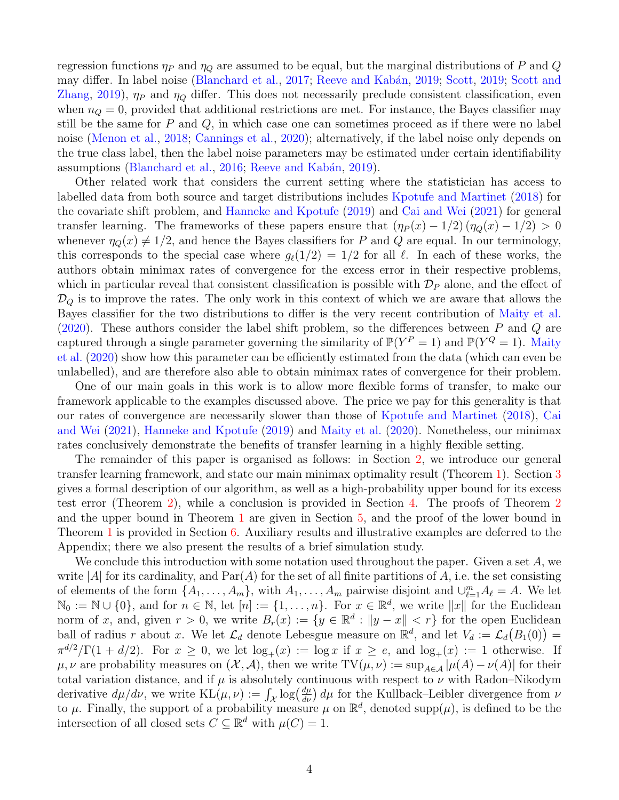regression functions  $\eta_P$  and  $\eta_Q$  are assumed to be equal, but the marginal distributions of P and Q may differ. In label noise [\(Blanchard et al.,](#page-43-7) [2017;](#page-43-7) Reeve and Kabán, [2019;](#page-46-6) [Scott,](#page-46-6) 2019; [Scott and](#page-46-7) [Zhang,](#page-46-7) [2019\)](#page-46-7),  $\eta_P$  and  $\eta_Q$  differ. This does not necessarily preclude consistent classification, even when  $n_Q = 0$ , provided that additional restrictions are met. For instance, the Bayes classifier may still be the same for  $P$  and  $Q$ , in which case one can sometimes proceed as if there were no label noise [\(Menon et al.,](#page-45-5) [2018;](#page-45-5) [Cannings et al.,](#page-43-1) [2020\)](#page-43-1); alternatively, if the label noise only depends on the true class label, then the label noise parameters may be estimated under certain identifiability assumptions [\(Blanchard et al.,](#page-43-0) [2016;](#page-43-0) Reeve and Kabán, [2019\)](#page-45-6).

Other related work that considers the current setting where the statistician has access to labelled data from both source and target distributions includes [Kpotufe and Martinet](#page-44-4) [\(2018\)](#page-44-4) for the covariate shift problem, and [Hanneke and Kpotufe](#page-44-5) [\(2019\)](#page-44-5) and [Cai and Wei](#page-43-8) [\(2021\)](#page-43-8) for general transfer learning. The frameworks of these papers ensure that  $(\eta_P(x) - 1/2) (\eta_Q(x) - 1/2) > 0$ whenever  $\eta_{\mathcal{Q}}(x) \neq 1/2$ , and hence the Bayes classifiers for P and Q are equal. In our terminology, this corresponds to the special case where  $g_{\ell}(1/2) = 1/2$  for all  $\ell$ . In each of these works, the authors obtain minimax rates of convergence for the excess error in their respective problems, which in particular reveal that consistent classification is possible with  $\mathcal{D}_P$  alone, and the effect of  $\mathcal{D}_Q$  is to improve the rates. The only work in this context of which we are aware that allows the Bayes classifier for the two distributions to differ is the very recent contribution of [Maity et al.](#page-44-6)  $(2020)$ . These authors consider the label shift problem, so the differences between P and Q are captured through a single parameter governing the similarity of  $\mathbb{P}(Y^P = 1)$  and  $\mathbb{P}(Y^Q = 1)$ . [Maity](#page-44-6) [et al.](#page-44-6) [\(2020\)](#page-44-6) show how this parameter can be efficiently estimated from the data (which can even be unlabelled), and are therefore also able to obtain minimax rates of convergence for their problem.

One of our main goals in this work is to allow more flexible forms of transfer, to make our framework applicable to the examples discussed above. The price we pay for this generality is that our rates of convergence are necessarily slower than those of [Kpotufe and Martinet](#page-44-4) [\(2018\)](#page-44-4), [Cai](#page-43-8) [and Wei](#page-43-8) [\(2021\)](#page-43-8), [Hanneke and Kpotufe](#page-44-5) [\(2019\)](#page-44-5) and [Maity et al.](#page-44-6) [\(2020\)](#page-44-6). Nonetheless, our minimax rates conclusively demonstrate the benefits of transfer learning in a highly flexible setting.

The remainder of this paper is organised as follows: in Section [2,](#page-4-0) we introduce our general transfer learning framework, and state our main minimax optimality result (Theorem [1\)](#page-6-0). Section [3](#page-8-0) gives a formal description of our algorithm, as well as a high-probability upper bound for its excess test error (Theorem [2\)](#page-9-0), while a conclusion is provided in Section [4.](#page-10-0) The proofs of Theorem [2](#page-9-0) and the upper bound in Theorem [1](#page-6-0) are given in Section [5,](#page-10-1) and the proof of the lower bound in Theorem [1](#page-6-0) is provided in Section [6.](#page-19-0) Auxiliary results and illustrative examples are deferred to the Appendix; there we also present the results of a brief simulation study.

We conclude this introduction with some notation used throughout the paper. Given a set  $A$ , we write |A| for its cardinality, and  $\text{Par}(A)$  for the set of all finite partitions of A, i.e. the set consisting of elements of the form  $\{A_1, \ldots, A_m\}$ , with  $A_1, \ldots, A_m$  pairwise disjoint and  $\cup_{\ell=1}^m A_\ell = A$ . We let  $\mathbb{N}_0 := \mathbb{N} \cup \{0\}$ , and for  $n \in \mathbb{N}$ , let  $[n] := \{1, \ldots, n\}$ . For  $x \in \mathbb{R}^d$ , we write  $||x||$  for the Euclidean norm of x, and, given  $r > 0$ , we write  $B_r(x) := \{y \in \mathbb{R}^d : ||y - x|| < r\}$  for the open Euclidean ball of radius r about x. We let  $\mathcal{L}_d$  denote Lebesgue measure on  $\mathbb{R}^d$ , and let  $V_d := \mathcal{L}_d(B_1(0)) =$  $\pi^{d/2}/\Gamma(1+d/2)$ . For  $x \geq 0$ , we let  $\log_+(x) := \log x$  if  $x \geq e$ , and  $\log_+(x) := 1$  otherwise. If  $\mu, \nu$  are probability measures on  $(\mathcal{X}, \mathcal{A})$ , then we write TV $(\mu, \nu) := \sup_{A \in \mathcal{A}} |\mu(A) - \nu(A)|$  for their total variation distance, and if  $\mu$  is absolutely continuous with respect to  $\nu$  with Radon–Nikodym derivative  $d\mu/d\nu$ , we write  $KL(\mu, \nu) := \int_{\mathcal{X}} \log(\frac{d\mu}{d\nu}) d\mu$  for the Kullback–Leibler divergence from  $\nu$ to  $\mu$ . Finally, the support of a probability measure  $\mu$  on  $\mathbb{R}^d$ , denoted supp $(\mu)$ , is defined to be the intersection of all closed sets  $C \subseteq \mathbb{R}^d$  with  $\mu(C) = 1$ .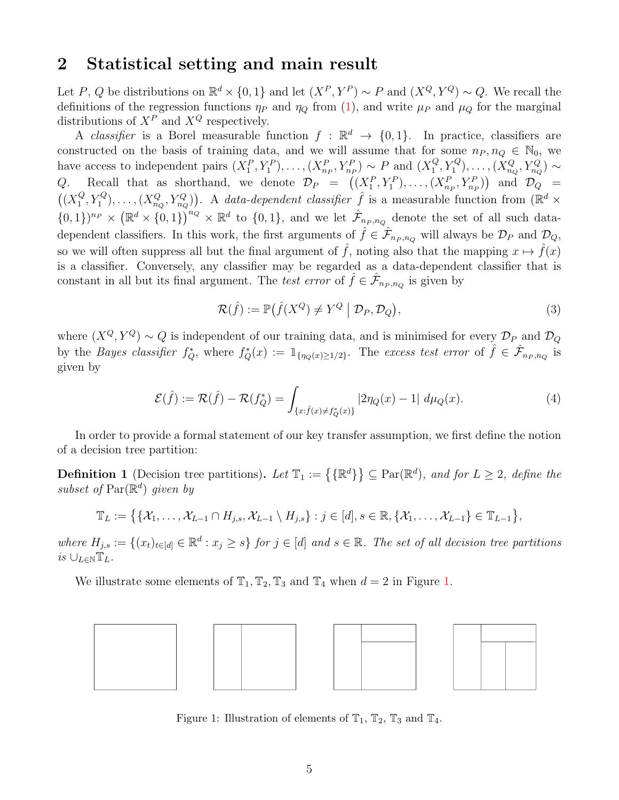### <span id="page-4-0"></span>2 Statistical setting and main result

Let P, Q be distributions on  $\mathbb{R}^d \times \{0,1\}$  and let  $(X^P, Y^P) \sim P$  and  $(X^Q, Y^Q) \sim Q$ . We recall the definitions of the regression functions  $\eta_P$  and  $\eta_Q$  from [\(1\)](#page-1-1), and write  $\mu_P$  and  $\mu_Q$  for the marginal distributions of  $X^P$  and  $X^Q$  respectively.

A *classifier* is a Borel measurable function  $f : \mathbb{R}^d \to \{0,1\}$ . In practice, classifiers are constructed on the basis of training data, and we will assume that for some  $n_P, n_Q \in \mathbb{N}_0$ , we have access to independent pairs  $(X_1^P, Y_1^P), \ldots, (X_{n_P}^P, Y_{n_P}^P) \sim P$  and  $(X_1^Q)$  $(X_{n_Q}^Q, Y_1^Q), \ldots, (X_{n_Q}^Q, Y_{n_Q}^Q) \sim$ Q. Recall that as shorthand, we denote  $\mathcal{D}_P = ((X_1^P, Y_1^P), \ldots, (X_{n_P}^P, Y_{n_P}^P))$  and  $\mathcal{D}_Q =$  $\left(\left(X_1^Q\right)$  $\{G_1^Q, Y_1^Q\}, \ldots, (X_{n_Q}^Q, Y_{n_Q}^Q)\}.$  A data-dependent classifier  $\hat{f}$  is a measurable function from  $(\mathbb{R}^d \times$  $\{0,1\}^{n_P} \times (\mathbb{R}^d \times \{0,1\})^{n_Q} \times \mathbb{R}^d$  to  $\{0,1\}$ , and we let  $\hat{\mathcal{F}}_{n_P,n_Q}$  denote the set of all such datadependent classifiers. In this work, the first arguments of  $\hat{f} \in \hat{\mathcal{F}}_{n_P,n_Q}$  will always be  $\mathcal{D}_P$  and  $\mathcal{D}_Q$ , so we will often suppress all but the final argument of  $\hat{f}$ , noting also that the mapping  $x \mapsto \hat{f}(x)$ is a classifier. Conversely, any classifier may be regarded as a data-dependent classifier that is constant in all but its final argument. The test error of  $\hat{f} \in \hat{\mathcal{F}}_{n_P,n_Q}$  is given by

$$
\mathcal{R}(\hat{f}) := \mathbb{P}(\hat{f}(X^Q) \neq Y^Q \mid \mathcal{D}_P, \mathcal{D}_Q),\tag{3}
$$

where  $(X^Q, Y^Q) \sim Q$  is independent of our training data, and is minimised for every  $\mathcal{D}_P$  and  $\mathcal{D}_Q$ by the Bayes classifier  $f_Q^*$ , where  $f_Q^*(x) := 1_{\{\eta_Q(x) \ge 1/2\}}$ . The excess test error of  $\hat{f} \in \hat{\mathcal{F}}_{n_P, n_Q}$  is given by

$$
\mathcal{E}(\hat{f}) := \mathcal{R}(\hat{f}) - \mathcal{R}(f_Q^*) = \int_{\{x : \hat{f}(x) \neq f_Q^*(x)\}} |2\eta_Q(x) - 1| \ d\mu_Q(x). \tag{4}
$$

In order to provide a formal statement of our key transfer assumption, we first define the notion of a decision tree partition:

**Definition 1** (Decision tree partitions). Let  $\mathbb{T}_1 := \{ \{ \mathbb{R}^d \} \} \subseteq \text{Par}(\mathbb{R}^d)$ , and for  $L \geq 2$ , define the subset of  $\text{Par}(\mathbb{R}^d)$  given by

$$
\mathbb{T}_L:=\big\{\{\mathcal{X}_1,\ldots,\mathcal{X}_{L-1}\cap H_{j,s},\mathcal{X}_{L-1}\setminus H_{j,s}\}:j\in[d],s\in\mathbb{R},\{\mathcal{X}_1,\ldots,\mathcal{X}_{L-1}\}\in\mathbb{T}_{L-1}\big\},\
$$

where  $H_{j,s} := \{(x_t)_{t \in [d]} \in \mathbb{R}^d : x_j \geq s\}$  for  $j \in [d]$  and  $s \in \mathbb{R}$ . The set of all decision tree partitions is  $\cup_{L\in\mathbb{N}}\mathbb{T}_L$ .

We illustrate some elements of  $\mathbb{T}_1, \mathbb{T}_2, \mathbb{T}_3$  and  $\mathbb{T}_4$  when  $d = 2$  in Figure [1.](#page-4-1)

<span id="page-4-1"></span>

Figure 1: Illustration of elements of  $\mathbb{T}_1$ ,  $\mathbb{T}_2$ ,  $\mathbb{T}_3$  and  $\mathbb{T}_4$ .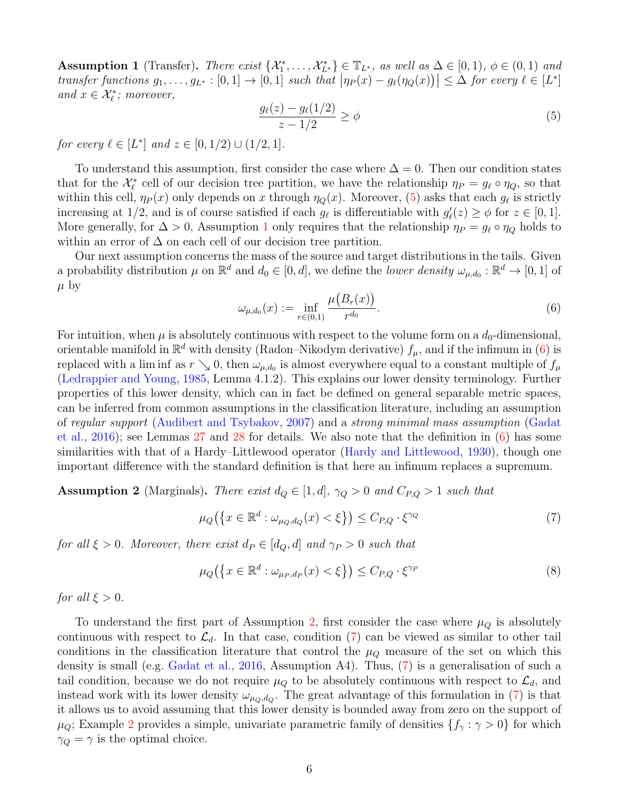<span id="page-5-1"></span>Assumption 1 (Transfer). There exist  $\{\mathcal{X}_1^*, \ldots, \mathcal{X}_{L^*}^*\} \in \mathbb{T}_{L^*}$ , as well as  $\Delta \in [0,1)$ ,  $\phi \in (0,1)$  and transfer functions  $g_1, \ldots, g_{L^*} : [0,1] \to [0,1]$  such that  $|\eta_P(x) - g_\ell(\eta_Q(x))| \leq \Delta$  for every  $\ell \in [L^*]$ and  $x \in \mathcal{X}_{\ell}^*$ ; moreover,

<span id="page-5-0"></span>
$$
\frac{g_{\ell}(z) - g_{\ell}(1/2)}{z - 1/2} \ge \phi \tag{5}
$$

for every  $\ell \in [L^*]$  and  $z \in [0, 1/2) \cup (1/2, 1]$ .

To understand this assumption, first consider the case where  $\Delta = 0$ . Then our condition states that for the  $\mathcal{X}_{\ell}^{*}$  cell of our decision tree partition, we have the relationship  $\eta_{P} = g_{\ell} \circ \eta_{Q}$ , so that within this cell,  $\eta_P(x)$  only depends on x through  $\eta_Q(x)$ . Moreover, [\(5\)](#page-5-0) asks that each  $g_\ell$  is strictly increasing at 1/2, and is of course satisfied if each  $g_{\ell}$  is differentiable with  $g'_{\ell}(z) \ge \phi$  for  $z \in [0, 1]$ . More generally, for  $\Delta > 0$ , Assumption [1](#page-5-1) only requires that the relationship  $\eta_P = g_\ell \circ \eta_Q$  holds to within an error of  $\Delta$  on each cell of our decision tree partition.

Our next assumption concerns the mass of the source and target distributions in the tails. Given a probability distribution  $\mu$  on  $\mathbb{R}^d$  and  $d_0 \in [0,d]$ , we define the *lower density*  $\omega_{\mu,d_0} : \mathbb{R}^d \to [0,1]$  of  $\mu$  by

<span id="page-5-2"></span>
$$
\omega_{\mu,d_0}(x) := \inf_{r \in (0,1)} \frac{\mu(B_r(x))}{r^{d_0}}.
$$
\n(6)

For intuition, when  $\mu$  is absolutely continuous with respect to the volume form on a  $d_0$ -dimensional, orientable manifold in  $\mathbb{R}^d$  with density (Radon–Nikodym derivative)  $f_\mu$ , and if the infimum in [\(6\)](#page-5-2) is replaced with a lim inf as  $r \searrow 0$ , then  $\omega_{\mu,d_0}$  is almost everywhere equal to a constant multiple of  $f_\mu$ [\(Ledrappier and Young,](#page-44-7) [1985,](#page-44-7) Lemma 4.1.2). This explains our lower density terminology. Further properties of this lower density, which can in fact be defined on general separable metric spaces, can be inferred from common assumptions in the classification literature, including an assumption of regular support [\(Audibert and Tsybakov,](#page-42-2) [2007\)](#page-42-2) and a strong minimal mass assumption [\(Gadat](#page-44-8) [et al.,](#page-44-8) [2016\)](#page-44-8); see Lemmas [27](#page-29-0) and [28](#page-30-0) for details. We also note that the definition in [\(6\)](#page-5-2) has some similarities with that of a Hardy–Littlewood operator [\(Hardy and Littlewood,](#page-44-9) [1930\)](#page-44-9), though one important difference with the standard definition is that here an infimum replaces a supremum.

<span id="page-5-3"></span>**Assumption 2** (Marginals). There exist  $d_Q \in [1, d]$ ,  $\gamma_Q > 0$  and  $C_{P,Q} > 1$  such that

<span id="page-5-4"></span>
$$
\mu_Q\big(\big\{x \in \mathbb{R}^d : \omega_{\mu_Q, d_Q}(x) < \xi\big\}\big) \le C_{P,Q} \cdot \xi^{\gamma_Q} \tag{7}
$$

for all  $\xi > 0$ . Moreover, there exist  $d_P \in [d_Q, d]$  and  $\gamma_P > 0$  such that

<span id="page-5-5"></span>
$$
\mu_Q\big(\big\{x \in \mathbb{R}^d : \omega_{\mu_P, d_P}(x) < \xi\big\}\big) \le C_{P,Q} \cdot \xi^{\gamma_P} \tag{8}
$$

for all  $\xi > 0$ .

To understand the first part of Assumption [2,](#page-5-3) first consider the case where  $\mu_Q$  is absolutely continuous with respect to  $\mathcal{L}_d$ . In that case, condition [\(7\)](#page-5-4) can be viewed as similar to other tail conditions in the classification literature that control the  $\mu_Q$  measure of the set on which this density is small (e.g. [Gadat et al.,](#page-44-8) [2016,](#page-44-8) Assumption A4). Thus, [\(7\)](#page-5-4) is a generalisation of such a tail condition, because we do not require  $\mu_Q$  to be absolutely continuous with respect to  $\mathcal{L}_d$ , and instead work with its lower density  $\omega_{\mu_Q,d_Q}$ . The great advantage of this formulation in [\(7\)](#page-5-4) is that it allows us to avoid assuming that this lower density is bounded away from zero on the support of  $\mu_Q$ ; Example [2](#page-30-1) provides a simple, univariate parametric family of densities  $\{f_\gamma : \gamma > 0\}$  for which  $\gamma_Q = \gamma$  is the optimal choice.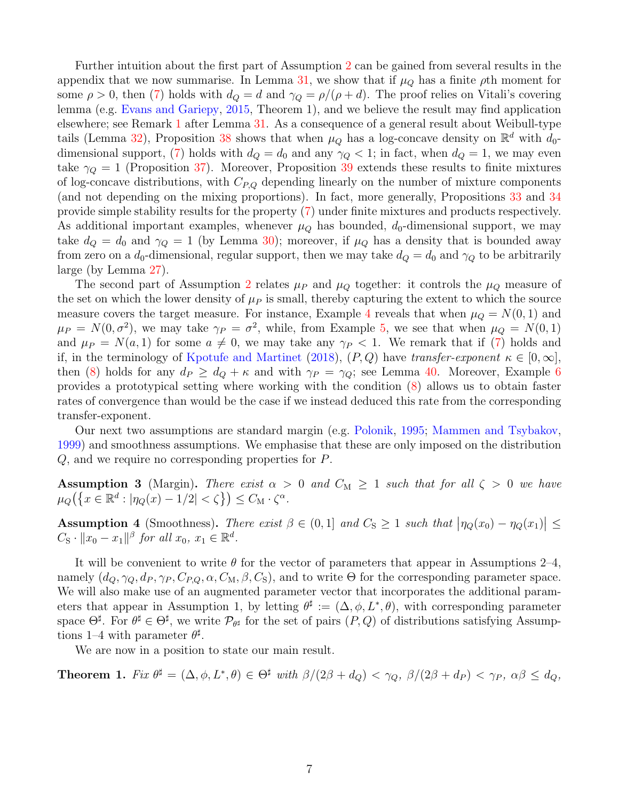Further intuition about the first part of Assumption [2](#page-5-3) can be gained from several results in the appendix that we now summarise. In Lemma [31,](#page-32-0) we show that if  $\mu_Q$  has a finite  $\rho$ th moment for some  $\rho > 0$ , then [\(7\)](#page-5-4) holds with  $d_Q = d$  and  $\gamma_Q = \rho/(\rho + d)$ . The proof relies on Vitali's covering lemma (e.g. [Evans and Gariepy,](#page-44-10) [2015,](#page-44-10) Theorem 1), and we believe the result may find application elsewhere; see Remark [1](#page-32-1) after Lemma [31.](#page-32-0) As a consequence of a general result about Weibull-type tails (Lemma [32\)](#page-32-2), Proposition [38](#page-37-0) shows that when  $\mu_Q$  has a log-concave density on  $\mathbb{R}^d$  with  $d_0$ -dimensional support, [\(7\)](#page-5-4) holds with  $d_Q = d_0$  and any  $\gamma_Q < 1$ ; in fact, when  $d_Q = 1$ , we may even take  $\gamma_Q = 1$  (Proposition [37\)](#page-36-0). Moreover, Proposition [39](#page-37-1) extends these results to finite mixtures of log-concave distributions, with  $C_{P,Q}$  depending linearly on the number of mixture components (and not depending on the mixing proportions). In fact, more generally, Propositions [33](#page-33-0) and [34](#page-33-1) provide simple stability results for the property [\(7\)](#page-5-4) under finite mixtures and products respectively. As additional important examples, whenever  $\mu_Q$  has bounded,  $d_0$ -dimensional support, we may take  $d_Q = d_0$  and  $\gamma_Q = 1$  (by Lemma [30\)](#page-31-0); moreover, if  $\mu_Q$  has a density that is bounded away from zero on a  $d_0$ -dimensional, regular support, then we may take  $d_Q = d_0$  and  $\gamma_Q$  to be arbitrarily large (by Lemma [27\)](#page-29-0).

The second part of Assumption [2](#page-5-3) relates  $\mu_P$  and  $\mu_Q$  together: it controls the  $\mu_Q$  measure of the set on which the lower density of  $\mu$  is small, thereby capturing the extent to which the source measure covers the target measure. For instance, Example [4](#page-38-0) reveals that when  $\mu_Q = N(0, 1)$  and  $\mu_P = N(0, \sigma^2)$ , we may take  $\gamma_P = \sigma^2$ , while, from Example [5,](#page-38-1) we see that when  $\mu_Q = N(0, 1)$ and  $\mu_P = N(a, 1)$  for some  $a \neq 0$ , we may take any  $\gamma_P < 1$ . We remark that if [\(7\)](#page-5-4) holds and if, in the terminology of [Kpotufe and Martinet](#page-44-4) [\(2018\)](#page-44-4),  $(P,Q)$  have transfer-exponent  $\kappa \in [0,\infty]$ , then [\(8\)](#page-5-5) holds for any  $d_P \geq d_Q + \kappa$  and with  $\gamma_P = \gamma_Q$ ; see Lemma [40.](#page-39-0) Moreover, Example [6](#page-40-0) provides a prototypical setting where working with the condition [\(8\)](#page-5-5) allows us to obtain faster rates of convergence than would be the case if we instead deduced this rate from the corresponding transfer-exponent.

Our next two assumptions are standard margin (e.g. [Polonik,](#page-45-7) [1995;](#page-45-7) [Mammen and Tsybakov,](#page-44-11) [1999\)](#page-44-11) and smoothness assumptions. We emphasise that these are only imposed on the distribution Q, and we require no corresponding properties for P.

<span id="page-6-2"></span>Assumption 3 (Margin). There exist  $\alpha > 0$  and  $C_M \ge 1$  such that for all  $\zeta > 0$  we have  $\mu_Q\big(\big\{x\in\mathbb{R}^d:|\eta_Q(x)-1/2|<\zeta\big\}\big)\leq C_\mathbf{M}\cdot\zeta^\alpha.$ 

<span id="page-6-1"></span>Assumption 4 (Smoothness). There exist  $\beta \in (0,1]$  and  $C_S \geq 1$  such that  $|\eta_Q(x_0) - \eta_Q(x_1)| \leq$  $C_{\rm S} \cdot ||x_0 - x_1||^\beta$  for all  $x_0, x_1 \in \mathbb{R}^d$ .

It will be convenient to write  $\theta$  for the vector of parameters that appear in Assumptions 2–4, namely  $(d_Q, \gamma_Q, d_P, \gamma_P, C_{P,Q}, \alpha, C_M, \beta, C_S)$ , and to write  $\Theta$  for the corresponding parameter space. We will also make use of an augmented parameter vector that incorporates the additional parameters that appear in Assumption 1, by letting  $\theta^{\sharp} := (\Delta, \phi, L^*, \theta)$ , with corresponding parameter space  $\Theta^{\sharp}$ . For  $\theta^{\sharp} \in \Theta^{\sharp}$ , we write  $\mathcal{P}_{\theta^{\sharp}}$  for the set of pairs  $(P,Q)$  of distributions satisfying Assumptions 1–4 with parameter  $\theta^{\sharp}$ .

We are now in a position to state our main result.

<span id="page-6-0"></span>**Theorem 1.** Fix  $\theta^{\sharp} = (\Delta, \phi, L^*, \theta) \in \Theta^{\sharp}$  with  $\beta/(2\beta + d_Q) < \gamma_Q$ ,  $\beta/(2\beta + d_P) < \gamma_P$ ,  $\alpha\beta \leq d_Q$ ,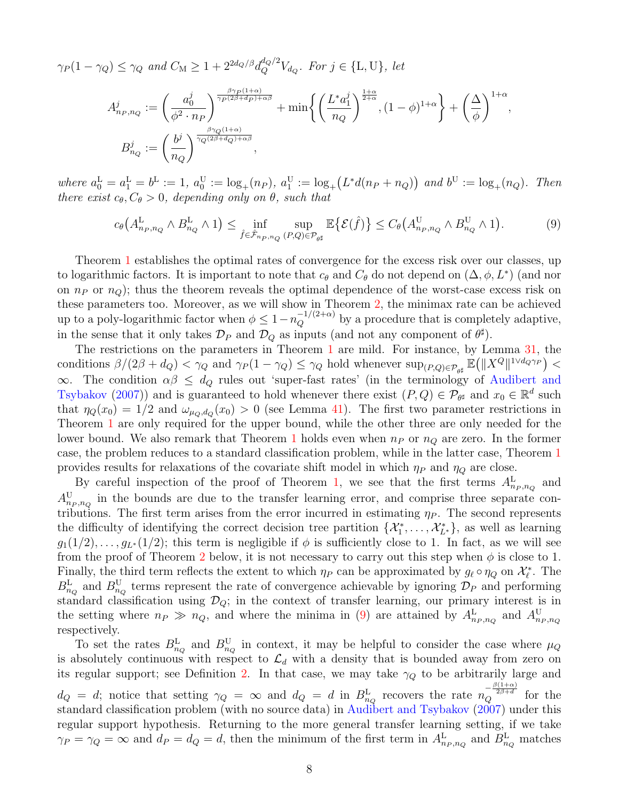$\gamma_P(1-\gamma_Q) \leq \gamma_Q$  and  $C_M \geq 1+2^{2d_Q/\beta}d_Q^{d_Q/2}V_{d_Q}$ . For  $j \in \{\text{L},\text{U}\}\text{, let}$ 

$$
\begin{split} A_{n_P,n_Q}^j &:= \bigg(\frac{a_0^j}{\phi^2 \cdot n_P}\bigg)^{\frac{\beta \gamma_P(1+\alpha)}{\gamma_P(2\beta + d_P) + \alpha \beta}} + \min \bigg\{ \bigg(\frac{L^* a_1^j}{n_Q}\bigg)^{\frac{1+\alpha}{2+\alpha}}, (1-\phi)^{1+\alpha} \bigg\} + \bigg(\frac{\Delta}{\phi}\bigg)^{1+\alpha}, \\ B_{n_Q}^j &:= \bigg(\frac{b^j}{n_Q}\bigg)^{\frac{\beta \gamma_Q(1+\alpha)}{\gamma_Q(2\beta + d_Q) + \alpha \beta}}, \end{split}
$$

where  $a_0^L = a_1^L = b^L := 1$ ,  $a_0^U := \log_+(n_P)$ ,  $a_1^U := \log_+(L^*d(n_P + n_Q))$  and  $b^U := \log_+(n_Q)$ . Then there exist  $c_{\theta}, C_{\theta} > 0$ , depending only on  $\theta$ , such that

<span id="page-7-0"></span>
$$
c_{\theta}\left(A_{n_P,n_Q}^{\mathcal{L}} \wedge B_{n_Q}^{\mathcal{L}} \wedge 1\right) \leq \inf_{\hat{f} \in \hat{\mathcal{F}}_{n_P,n_Q}(P,Q) \in \mathcal{P}_{\theta^{\sharp}}}\mathbb{E}\left\{\mathcal{E}(\hat{f})\right\} \leq C_{\theta}\left(A_{n_P,n_Q}^{\mathcal{U}} \wedge B_{n_Q}^{\mathcal{U}} \wedge 1\right). \tag{9}
$$

Theorem [1](#page-6-0) establishes the optimal rates of convergence for the excess risk over our classes, up to logarithmic factors. It is important to note that  $c_{\theta}$  and  $C_{\theta}$  do not depend on  $(\Delta, \phi, L^*)$  (and nor on  $n_P$  or  $n_Q$ ); thus the theorem reveals the optimal dependence of the worst-case excess risk on these parameters too. Moreover, as we will show in Theorem [2,](#page-9-0) the minimax rate can be achieved up to a poly-logarithmic factor when  $\phi \leq 1-n_Q^{-1/(2+\alpha)}$  by a procedure that is completely adaptive, in the sense that it only takes  $\mathcal{D}_P$  and  $\mathcal{D}_Q$  as inputs (and not any component of  $\theta^{\sharp}$ ).

The restrictions on the parameters in Theorem [1](#page-6-0) are mild. For instance, by Lemma [31,](#page-32-0) the conditions  $\beta/(2\beta + d_Q) < \gamma_Q$  and  $\gamma_P(1 - \gamma_Q) \leq \gamma_Q$  hold whenever  $\sup_{(P,Q) \in \mathcal{P}_{\theta^{\sharp}}} \mathbb{E}(|X^Q|^{1 \vee d_Q \gamma_P}) <$  $\infty$ . The condition  $\alpha\beta \leq d_Q$  rules out 'super-fast rates' (in the terminology of [Audibert and](#page-42-2) [Tsybakov](#page-42-2) [\(2007\)](#page-42-2)) and is guaranteed to hold whenever there exist  $(P,Q) \in \mathcal{P}_{\theta^{\sharp}}$  and  $x_0 \in \mathbb{R}^d$  such that  $\eta_Q(x_0) = 1/2$  and  $\omega_{\mu_Q,d_Q}(x_0) > 0$  (see Lemma [41\)](#page-41-0). The first two parameter restrictions in Theorem [1](#page-6-0) are only required for the upper bound, while the other three are only needed for the lower bound. We also remark that Theorem [1](#page-6-0) holds even when  $n<sub>P</sub>$  or  $n<sub>Q</sub>$  are zero. In the former case, the problem reduces to a standard classification problem, while in the latter case, Theorem [1](#page-6-0) provides results for relaxations of the covariate shift model in which  $\eta_P$  and  $\eta_Q$  are close.

By careful inspection of the proof of Theorem [1,](#page-6-0) we see that the first terms  $A_{n_P,n_Q}^{\text{L}}$  and  $A^{\rm U}_{n_P,n_Q}$  in the bounds are due to the transfer learning error, and comprise three separate contributions. The first term arises from the error incurred in estimating  $\eta_P$ . The second represents the difficulty of identifying the correct decision tree partition  $\{\mathcal{X}_1^*,\ldots,\mathcal{X}_{L^*}^*\}$ , as well as learning  $g_1(1/2), \ldots, g_{L^*}(1/2)$ ; this term is negligible if  $\phi$  is sufficiently close to 1. In fact, as we will see from the proof of Theorem [2](#page-9-0) below, it is not necessary to carry out this step when  $\phi$  is close to 1. Finally, the third term reflects the extent to which  $\eta_P$  can be approximated by  $g_\ell \circ \eta_Q$  on  $\mathcal{X}_\ell^*$ . The  $B_{n_Q}^{\rm L}$  and  $B_{n_Q}^{\rm U}$  terms represent the rate of convergence achievable by ignoring  $\mathcal{D}_P$  and performing standard classification using  $\mathcal{D}_Q$ ; in the context of transfer learning, our primary interest is in the setting where  $n_P \gg n_Q$ , and where the minima in [\(9\)](#page-7-0) are attained by  $A_{n_P,n_Q}^{\text{L}}$  and  $A_{n_P,n_Q}^{\text{U}}$ respectively.

To set the rates  $B_{n_Q}^{\rm L}$  and  $B_{n_Q}^{\rm U}$  in context, it may be helpful to consider the case where  $\mu_Q$ is absolutely continuous with respect to  $\mathcal{L}_d$  with a density that is bounded away from zero on its regular support; see Definition [2.](#page-29-1) In that case, we may take  $\gamma_Q$  to be arbitrarily large and  $d_Q = d$ ; notice that setting  $\gamma_Q = \infty$  and  $d_Q = d$  in  $B_{n_Q}^{\text{L}}$  recovers the rate  $n_Q^{-\frac{\beta(1+\alpha)}{2\beta+d}}$  for the standard classification problem (with no source data) in [Audibert and Tsybakov](#page-42-2) [\(2007\)](#page-42-2) under this regular support hypothesis. Returning to the more general transfer learning setting, if we take  $\gamma_P = \gamma_Q = \infty$  and  $d_P = d_Q = d$ , then the minimum of the first term in  $A_{n_P,n_Q}^{\text{L}}$  and  $B_{n_Q}^{\text{L}}$  matches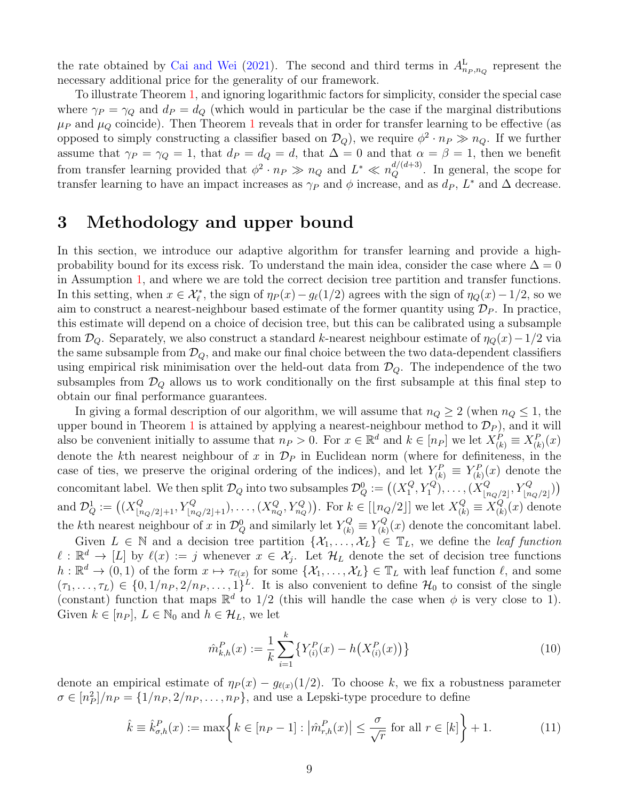the rate obtained by [Cai and Wei](#page-43-8) [\(2021\)](#page-43-8). The second and third terms in  $A_{n_P,n_Q}^{\text{L}}$  represent the necessary additional price for the generality of our framework.

To illustrate Theorem [1,](#page-6-0) and ignoring logarithmic factors for simplicity, consider the special case where  $\gamma_P = \gamma_Q$  and  $d_P = d_Q$  (which would in particular be the case if the marginal distributions  $\mu_P$  and  $\mu_Q$  coincide). Then Theorem [1](#page-6-0) reveals that in order for transfer learning to be effective (as opposed to simply constructing a classifier based on  $\mathcal{D}_Q$ ), we require  $\phi^2 \cdot n_P \gg n_Q$ . If we further assume that  $\gamma_P = \gamma_Q = 1$ , that  $d_P = d_Q = d$ , that  $\Delta = 0$  and that  $\alpha = \beta = 1$ , then we benefit from transfer learning provided that  $\phi^2 \cdot n_P \gg n_Q$  and  $L^* \ll n_Q^{d/(d+3)}$ . In general, the scope for transfer learning to have an impact increases as  $\gamma_P$  and  $\phi$  increase, and as  $d_P$ ,  $L^*$  and  $\Delta$  decrease.

## <span id="page-8-0"></span>3 Methodology and upper bound

In this section, we introduce our adaptive algorithm for transfer learning and provide a highprobability bound for its excess risk. To understand the main idea, consider the case where  $\Delta = 0$ in Assumption [1,](#page-5-1) and where we are told the correct decision tree partition and transfer functions. In this setting, when  $x \in \mathcal{X}_{\ell}^*$ , the sign of  $\eta_P(x) - g_{\ell}(1/2)$  agrees with the sign of  $\eta_Q(x) - 1/2$ , so we aim to construct a nearest-neighbour based estimate of the former quantity using  $\mathcal{D}_P$ . In practice, this estimate will depend on a choice of decision tree, but this can be calibrated using a subsample from  $\mathcal{D}_Q$ . Separately, we also construct a standard k-nearest neighbour estimate of  $\eta_Q(x)-1/2$  via the same subsample from  $\mathcal{D}_Q$ , and make our final choice between the two data-dependent classifiers using empirical risk minimisation over the held-out data from  $\mathcal{D}_{Q}$ . The independence of the two subsamples from  $\mathcal{D}_Q$  allows us to work conditionally on the first subsample at this final step to obtain our final performance guarantees.

In giving a formal description of our algorithm, we will assume that  $n_Q \geq 2$  (when  $n_Q \leq 1$ , the upper bound in Theorem [1](#page-6-0) is attained by applying a nearest-neighbour method to  $\mathcal{D}_P$ ), and it will also be convenient initially to assume that  $n_P > 0$ . For  $x \in \mathbb{R}^d$  and  $k \in [n_P]$  we let  $X_{(k)}^P \equiv X_{(k)}^P(x)$ denote the kth nearest neighbour of x in  $\mathcal{D}_P$  in Euclidean norm (where for definiteness, in the case of ties, we preserve the original ordering of the indices), and let  $Y_{(k)}^P \equiv Y_{(k)}^P(x)$  denote the concomitant label. We then split  $\mathcal{D}_Q$  into two subsamples  $\mathcal{D}_Q^0 := \bigl((X_1^Q)$  $\{Q_1^Q, Y_1^Q\}, \ldots, (X_{\lfloor n \rfloor}^Q)$  $\binom{Q}{\lfloor n_Q/2\rfloor}, Y_{\lfloor n_Q/2\rfloor}^Q)$ and  $\mathcal{D}_{Q}^1 := \left( (X_{\lfloor n_Q/2 \rfloor + 1}^Q, Y_{\lfloor n_Q/2 \rfloor + 1}^Q), \ldots, (X_{n_Q}^Q, Y_{n_Q}^Q) \right)$ . For  $k \in [\lfloor n_Q/2 \rfloor]$  we let  $X_{(k)}^Q \equiv X_{(k)}^Q$  $\binom{Q}{k}(x)$  denote the *k*th nearest neighbour of x in  $\mathcal{D}_Q^0$  and similarly let  $Y_{(k)}^Q \equiv Y_{(k)}^Q$  $\mathcal{F}_{(k)}^{Q}(x)$  denote the concomitant label.

Given  $L \in \mathbb{N}$  and a decision tree partition  $\{\mathcal{X}_1, \ldots, \mathcal{X}_L\} \in \mathbb{T}_L$ , we define the *leaf function*  $\ell : \mathbb{R}^d \to [L]$  by  $\ell(x) := j$  whenever  $x \in \mathcal{X}_j$ . Let  $\mathcal{H}_L$  denote the set of decision tree functions  $h: \mathbb{R}^d \to (0,1)$  of the form  $x \mapsto \tau_{\ell(x)}$  for some  $\{\mathcal{X}_1, \ldots, \mathcal{X}_L\} \in \mathbb{T}_L$  with leaf function  $\ell$ , and some  $(\tau_1,\ldots,\tau_L) \in \{0,1/n_P, 2/n_P,\ldots,1\}^L$ . It is also convenient to define  $\mathcal{H}_0$  to consist of the single (constant) function that maps  $\mathbb{R}^d$  to 1/2 (this will handle the case when  $\phi$  is very close to 1). Given  $k \in [n_P]$ ,  $L \in \mathbb{N}_0$  and  $h \in \mathcal{H}_L$ , we let

<span id="page-8-2"></span><span id="page-8-1"></span>
$$
\hat{m}_{k,h}^P(x) := \frac{1}{k} \sum_{i=1}^k \left\{ Y_{(i)}^P(x) - h\left(X_{(i)}^P(x)\right) \right\} \tag{10}
$$

denote an empirical estimate of  $\eta_P(x) - g_{\ell(x)}(1/2)$ . To choose k, we fix a robustness parameter  $\sigma \in [n_P^2]/n_P = \{1/n_P, 2/n_P, \ldots, n_P\}$ , and use a Lepski-type procedure to define

$$
\hat{k} \equiv \hat{k}_{\sigma,h}^P(x) := \max \left\{ k \in [n_P - 1] : \left| \hat{m}_{r,h}^P(x) \right| \le \frac{\sigma}{\sqrt{r}} \text{ for all } r \in [k] \right\} + 1. \tag{11}
$$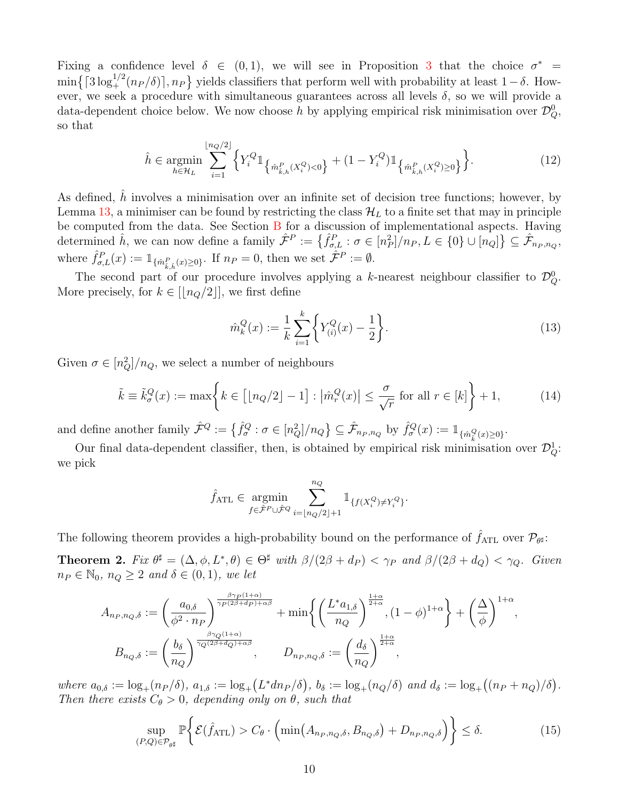Fixing a confidence level  $\delta \in (0,1)$ , we will see in Proposition [3](#page-11-0) that the choice  $\sigma^*$  $\min\left\{ \lceil 3\log_+^{1/2}(n_P/\delta) \rceil, n_P \right\}$  yields classifiers that perform well with probability at least  $1-\delta$ . However, we seek a procedure with simultaneous guarantees across all levels  $\delta$ , so we will provide a data-dependent choice below. We now choose h by applying empirical risk minimisation over  $\mathcal{D}_Q^0$ , so that

$$
\hat{h} \in \underset{h \in \mathcal{H}_L}{\text{argmin}} \sum_{i=1}^{\lfloor n_Q/2 \rfloor} \left\{ Y_i^Q \mathbb{1}_{\left\{ \hat{m}_{\hat{k},h}^P(X_i^Q) < 0 \right\}} + (1 - Y_i^Q) \mathbb{1}_{\left\{ \hat{m}_{\hat{k},h}^P(X_i^Q) \ge 0 \right\}} \right\}.
$$
\n
$$
(12)
$$

As defined,  $\hat{h}$  involves a minimisation over an infinite set of decision tree functions; however, by Lemma [13,](#page-18-0) a minimiser can be found by restricting the class  $\mathcal{H}_L$  to a finite set that may in principle be computed from the data. See Section [B](#page-41-1) for a discussion of implementational aspects. Having determined  $\hat{h}$ , we can now define a family  $\hat{\mathcal{F}}^P := \left\{ \hat{f}_{\sigma,L}^P : \sigma \in [n_P^2] / n_P, L \in \{0\} \cup [n_Q] \right\} \subseteq \hat{\mathcal{F}}_{n_P, n_Q}$ , where  $\hat{f}_{\sigma,L}^P(x) := \mathbb{1}_{\{\hat{m}_{\hat{k},\hat{h}}^P(x)\geq 0\}}$ . If  $n_P = 0$ , then we set  $\hat{\mathcal{F}}^P := \emptyset$ .

The second part of our procedure involves applying a k-nearest neighbour classifier to  $\mathcal{D}_Q^0$ . More precisely, for  $k \in [\lfloor n_Q/2 \rfloor]$ , we first define

<span id="page-9-2"></span>
$$
\hat{m}_k^Q(x) := \frac{1}{k} \sum_{i=1}^k \left\{ Y_{(i)}^Q(x) - \frac{1}{2} \right\}.
$$
\n(13)

Given  $\sigma \in [n_Q^2]/n_Q$ , we select a number of neighbours

$$
\tilde{k} \equiv \tilde{k}_{\sigma}^{Q}(x) := \max \left\{ k \in \left[ \lfloor n_{Q}/2 \rfloor - 1 \right] : \left| \hat{m}_{r}^{Q}(x) \right| \le \frac{\sigma}{\sqrt{r}} \text{ for all } r \in [k] \right\} + 1, \tag{14}
$$

and define another family  $\hat{\mathcal{F}}^Q := \left\{ \hat{f}^Q_\sigma : \sigma \in [n_Q^2] / n_Q \right\} \subseteq \hat{\mathcal{F}}_{n_P, n_Q}$  by  $\hat{f}^Q_\sigma(x) := \mathbb{1}_{\{\hat{m}^Q_{\hat{k}}(x) \geq 0\}}$ .

Our final data-dependent classifier, then, is obtained by empirical risk minimisation over  $\mathcal{D}_Q^1$ : we pick

$$
\hat{f}_{\text{ATL}} \in \underset{f \in \hat{\mathcal{F}}^P \cup \hat{\mathcal{F}}^Q}{\operatorname{argmin}} \sum_{i = \lfloor n_Q/2 \rfloor + 1}^{n_Q} \mathbbm{1}_{\{ f(X_i^Q) \neq Y_i^Q \}}.
$$

The following theorem provides a high-probability bound on the performance of  $\hat{f}_{\rm ATL}$  over  $\mathcal{P}_{\theta^{\sharp}}$ :

<span id="page-9-0"></span>**Theorem 2.** Fix  $\theta^{\sharp} = (\Delta, \phi, L^*, \theta) \in \Theta^{\sharp}$  with  $\beta/(2\beta + d_P) < \gamma_P$  and  $\beta/(2\beta + d_Q) < \gamma_Q$ . Given  $n_P \in \mathbb{N}_0$ ,  $n_Q \geq 2$  and  $\delta \in (0,1)$ , we let

$$
A_{n_P, n_Q, \delta} := \left(\frac{a_{0,\delta}}{\phi^2 \cdot n_P}\right)^{\frac{\beta \gamma_P(1+\alpha)}{\gamma_P(2\beta + d_P) + \alpha \beta}} + \min \left\{ \left(\frac{L^* a_{1,\delta}}{n_Q}\right)^{\frac{1+\alpha}{2+\alpha}}, (1-\phi)^{1+\alpha} \right\} + \left(\frac{\Delta}{\phi}\right)^{1+\alpha},
$$
  

$$
B_{n_Q, \delta} := \left(\frac{b_{\delta}}{n_Q}\right)^{\frac{\beta \gamma_Q(1+\alpha)}{\gamma_Q(2\beta + d_Q) + \alpha \beta}}, \qquad D_{n_P, n_Q, \delta} := \left(\frac{d_{\delta}}{n_Q}\right)^{\frac{1+\alpha}{2+\alpha}},
$$

where  $a_{0,\delta} := \log_+(n_P/\delta)$ ,  $a_{1,\delta} := \log_+(L^*dn_P/\delta)$ ,  $b_{\delta} := \log_+(n_Q/\delta)$  and  $d_{\delta} := \log_+((n_P + n_Q)/\delta)$ . Then there exists  $C_{\theta} > 0$ , depending only on  $\theta$ , such that

<span id="page-9-1"></span>
$$
\sup_{(P,Q)\in\mathcal{P}_{\theta^{\sharp}}}\mathbb{P}\bigg\{\mathcal{E}(\hat{f}_{\mathrm{ATL}}) > C_{\theta}\cdot\Big(\min(A_{n_P,n_Q,\delta},B_{n_Q,\delta})+D_{n_P,n_Q,\delta}\Big)\bigg\} \leq \delta. \tag{15}
$$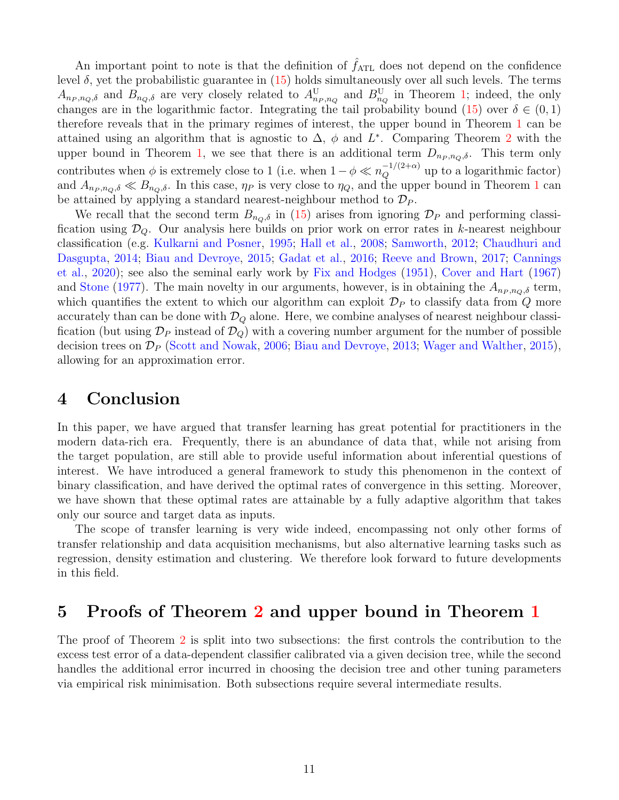An important point to note is that the definition of  $\hat{f}_{\text{ATL}}$  does not depend on the confidence level δ, yet the probabilistic guarantee in  $(15)$  holds simultaneously over all such levels. The terms  $A_{n_P,n_Q,\delta}$  and  $B_{n_Q,\delta}$  are very closely related to  $A_{n_P,n_Q}^{\rm U}$  and  $B_{n_Q}^{\rm U}$  in Theorem [1;](#page-6-0) indeed, the only changes are in the logarithmic factor. Integrating the tail probability bound [\(15\)](#page-9-1) over  $\delta \in (0,1)$ therefore reveals that in the primary regimes of interest, the upper bound in Theorem [1](#page-6-0) can be attained using an algorithm that is agnostic to  $\Delta$ ,  $\phi$  and  $L^*$ . Comparing Theorem [2](#page-9-0) with the upper bound in Theorem [1,](#page-6-0) we see that there is an additional term  $D_{n_P,n_Q,\delta}$ . This term only contributes when  $\phi$  is extremely close to 1 (i.e. when  $1 - \phi \ll n_Q^{-1/(2+\alpha)}$  up to a logarithmic factor) and  $A_{n_P,n_Q,\delta} \ll B_{n_Q,\delta}$ . In this case,  $\eta_P$  is very close to  $\eta_Q$ , and the upper bound in Theorem [1](#page-6-0) can be attained by applying a standard nearest-neighbour method to  $\mathcal{D}_P$ .

We recall that the second term  $B_{n_Q,\delta}$  in [\(15\)](#page-9-1) arises from ignoring  $\mathcal{D}_P$  and performing classification using  $\mathcal{D}_Q$ . Our analysis here builds on prior work on error rates in k-nearest neighbour classification (e.g. [Kulkarni and Posner,](#page-44-12) [1995;](#page-44-12) [Hall et al.,](#page-44-13) [2008;](#page-44-13) [Samworth,](#page-45-8) [2012;](#page-45-8) [Chaudhuri and](#page-43-9) [Dasgupta,](#page-43-9) [2014;](#page-43-9) [Biau and Devroye,](#page-43-10) [2015;](#page-43-10) [Gadat et al.,](#page-44-8) [2016;](#page-44-8) [Reeve and Brown,](#page-45-9) [2017;](#page-45-9) [Cannings](#page-43-11) [et al.,](#page-43-11) [2020\)](#page-43-11); see also the seminal early work by [Fix and Hodges](#page-44-14) [\(1951\)](#page-44-14), [Cover and Hart](#page-43-12) [\(1967\)](#page-43-12) and [Stone](#page-46-8) [\(1977\)](#page-46-8). The main novelty in our arguments, however, is in obtaining the  $A_{n_P,n_Q,\delta}$  term, which quantifies the extent to which our algorithm can exploit  $\mathcal{D}_P$  to classify data from Q more accurately than can be done with  $\mathcal{D}_Q$  alone. Here, we combine analyses of nearest neighbour classification (but using  $\mathcal{D}_P$  instead of  $\mathcal{D}_Q$ ) with a covering number argument for the number of possible decision trees on  $\mathcal{D}_P$  [\(Scott and Nowak,](#page-46-9) [2006;](#page-46-9) [Biau and Devroye,](#page-43-13) [2013;](#page-43-13) [Wager and Walther,](#page-46-10) [2015\)](#page-46-10), allowing for an approximation error.

### <span id="page-10-0"></span>4 Conclusion

In this paper, we have argued that transfer learning has great potential for practitioners in the modern data-rich era. Frequently, there is an abundance of data that, while not arising from the target population, are still able to provide useful information about inferential questions of interest. We have introduced a general framework to study this phenomenon in the context of binary classification, and have derived the optimal rates of convergence in this setting. Moreover, we have shown that these optimal rates are attainable by a fully adaptive algorithm that takes only our source and target data as inputs.

The scope of transfer learning is very wide indeed, encompassing not only other forms of transfer relationship and data acquisition mechanisms, but also alternative learning tasks such as regression, density estimation and clustering. We therefore look forward to future developments in this field.

## <span id="page-10-1"></span>5 Proofs of Theorem [2](#page-9-0) and upper bound in Theorem [1](#page-6-0)

The proof of Theorem [2](#page-9-0) is split into two subsections: the first controls the contribution to the excess test error of a data-dependent classifier calibrated via a given decision tree, while the second handles the additional error incurred in choosing the decision tree and other tuning parameters via empirical risk minimisation. Both subsections require several intermediate results.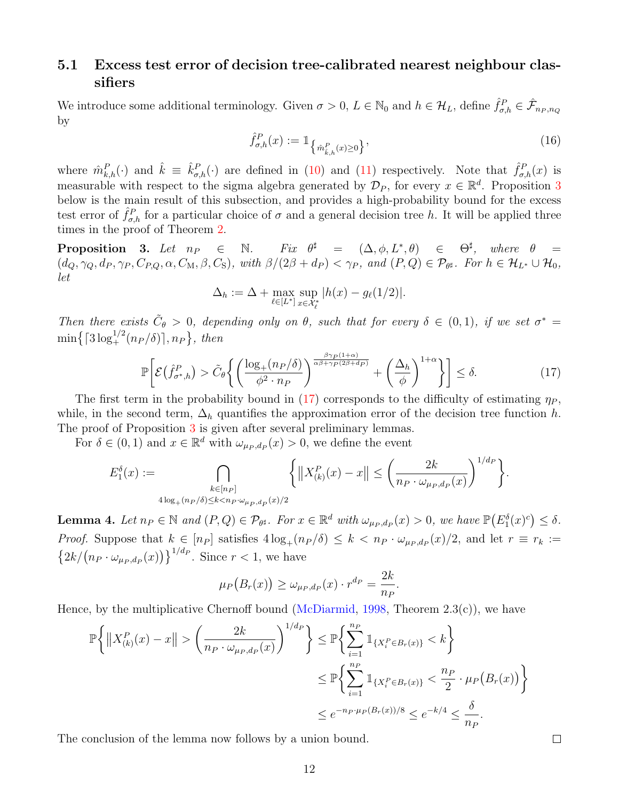### 5.1 Excess test error of decision tree-calibrated nearest neighbour classifiers

We introduce some additional terminology. Given  $\sigma > 0$ ,  $L \in \mathbb{N}_0$  and  $h \in \mathcal{H}_L$ , define  $\hat{f}_{\sigma,h}^P \in \hat{\mathcal{F}}_{n_P,n_Q}$ by

<span id="page-11-3"></span>
$$
\hat{f}_{\sigma,h}^P(x) := \mathbb{1}_{\left\{\hat{m}_{\hat{k},h}^P(x) \ge 0\right\}},\tag{16}
$$

where  $\hat{m}_{k,h}^P(\cdot)$  and  $\hat{k} \equiv \hat{k}_{\sigma,h}^P(\cdot)$  are defined in [\(10\)](#page-8-1) and [\(11\)](#page-8-2) respectively. Note that  $\hat{f}_{\sigma,h}^P(x)$  is measurable with respect to the sigma algebra generated by  $\mathcal{D}_P$ , for every  $x \in \mathbb{R}^d$ . Proposition [3](#page-11-0) below is the main result of this subsection, and provides a high-probability bound for the excess test error of  $\hat{f}_{\sigma,h}^P$  for a particular choice of  $\sigma$  and a general decision tree h. It will be applied three times in the proof of Theorem [2.](#page-9-0)

<span id="page-11-0"></span>**Proposition 3.** Let  $n_P \in \mathbb{N}$ . Fix  $\theta^{\sharp} = (\Delta, \phi, L^*, \theta) \in \Theta^{\sharp}$ , where  $\theta =$  $(d_Q, \gamma_Q, d_P, \gamma_P, C_{P,Q}, \alpha, C_M, \beta, C_S)$ , with  $\beta/(2\beta + d_P) < \gamma_P$ , and  $(P, Q) \in \mathcal{P}_{\theta^{\sharp}}$ . For  $h \in \mathcal{H}_{L^*} \cup \mathcal{H}_0$ , let

$$
\Delta_h := \Delta + \max_{\ell \in [L^*]} \sup_{x \in \mathcal{X}_{\ell}^*} |h(x) - g_{\ell}(1/2)|.
$$

Then there exists  $\tilde{C}_{\theta} > 0$ , depending only on  $\theta$ , such that for every  $\delta \in (0,1)$ , if we set  $\sigma^* =$  $\min\bigl\{ \lceil 3\log_+^{1/2}(n_P/\delta) \rceil, n_P \bigr\},\ then$ 

$$
\mathbb{P}\bigg[\mathcal{E}\big(\hat{f}_{\sigma^*,h}^P\big) > \tilde{C}_{\theta}\bigg\{\bigg(\frac{\log_+(n_P/\delta)}{\phi^2 \cdot n_P}\bigg)^{\frac{\beta\gamma_P(1+\alpha)}{\alpha\beta+\gamma_P(2\beta+d_P)}} + \bigg(\frac{\Delta_h}{\phi}\bigg)^{1+\alpha}\bigg\}\bigg] \le \delta. \tag{17}
$$

<span id="page-11-1"></span>.

The first term in the probability bound in [\(17\)](#page-11-1) corresponds to the difficulty of estimating  $\eta_P$ , while, in the second term,  $\Delta_h$  quantifies the approximation error of the decision tree function h. The proof of Proposition [3](#page-11-0) is given after several preliminary lemmas.

For  $\delta \in (0,1)$  and  $x \in \mathbb{R}^d$  with  $\omega_{\mu_P,d_P}(x) > 0$ , we define the event

$$
E_1^{\delta}(x) := \bigcap_{\substack{k \in [n_P] \\ 4\log_+(n_P/\delta) \le k < n_P \cdot \omega_{\mu_P, dp}(x)/2}} \left\{ \left\| X_{(k)}^P(x) - x \right\| \le \left( \frac{2k}{n_P \cdot \omega_{\mu_P, dp}(x)} \right)^{1/d_P} \right\}.
$$

<span id="page-11-2"></span>**Lemma 4.** Let  $n_P \in \mathbb{N}$  and  $(P,Q) \in \mathcal{P}_{\theta^{\sharp}}$ . For  $x \in \mathbb{R}^d$  with  $\omega_{\mu_P,d_P}(x) > 0$ , we have  $\mathbb{P}(E_1^{\delta}(x)^c) \leq \delta$ . *Proof.* Suppose that  $k \in [n_P]$  satisfies  $4\log_+(n_P/\delta) \leq k < n_P \cdot \omega_{\mu_P,d_P}(x)/2$ , and let  $r \equiv r_k :=$  $\left\{2k/(n_P \cdot \omega_{\mu_P, d_P}(x))\right\}^{1/d_P}$ . Since  $r < 1$ , we have

$$
\mu_P(B_r(x)) \ge \omega_{\mu_P,d_P}(x) \cdot r^{d_P} = \frac{2k}{n_P}
$$

Hence, by the multiplicative Chernoff bound [\(McDiarmid,](#page-45-10) [1998,](#page-45-10) Theorem  $2.3(c)$ ), we have

$$
\mathbb{P}\bigg\{\|X_{(k)}^P(x) - x\| > \left(\frac{2k}{n_P \cdot \omega_{\mu_P, d_P}(x)}\right)^{1/d_P}\bigg\} \le \mathbb{P}\bigg\{\sum_{i=1}^{n_P} \mathbb{1}_{\{X_i^P \in B_r(x)\}} < k\bigg\}
$$
  

$$
\le \mathbb{P}\bigg\{\sum_{i=1}^{n_P} \mathbb{1}_{\{X_i^P \in B_r(x)\}} < \frac{n_P}{2} \cdot \mu_P(B_r(x))\bigg\}
$$
  

$$
\le e^{-n_P \cdot \mu_P(B_r(x))/8} \le e^{-k/4} \le \frac{\delta}{n_P}.
$$

The conclusion of the lemma now follows by a union bound.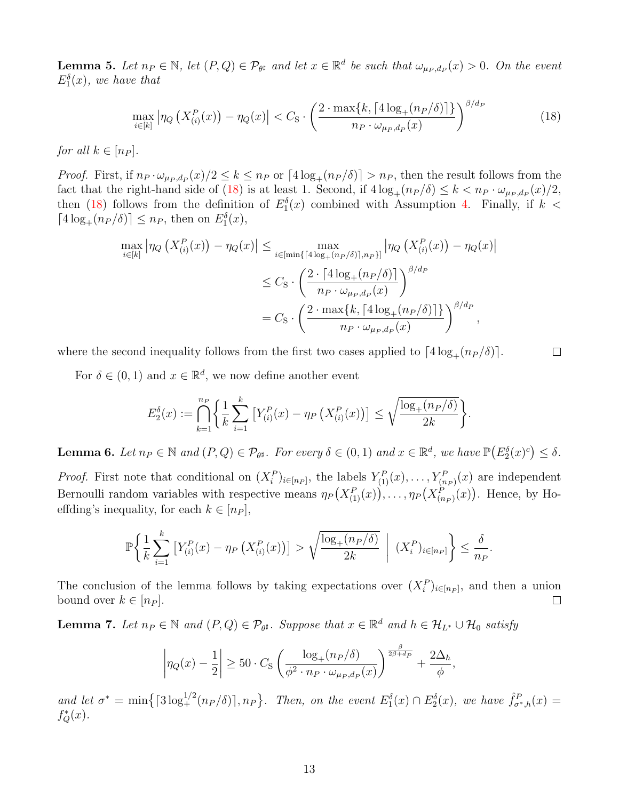<span id="page-12-1"></span>**Lemma 5.** Let  $n_P \in \mathbb{N}$ , let  $(P,Q) \in \mathcal{P}_{\theta^{\sharp}}$  and let  $x \in \mathbb{R}^d$  be such that  $\omega_{\mu_P,d_P}(x) > 0$ . On the event  $E_1^{\delta}(x)$ , we have that

$$
\max_{i \in [k]} \left| \eta_Q \left( X^P_{(i)}(x) \right) - \eta_Q(x) \right| < C_{\mathcal{S}} \cdot \left( \frac{2 \cdot \max\{k, \lceil 4 \log_+(n_P/\delta) \rceil\}}{n_P \cdot \omega_{\mu_P, d_P}(x)} \right)^{\beta/d_P} \tag{18}
$$

for all  $k \in [n_P]$ .

*Proof.* First, if  $n_P \cdot \omega_{\mu_P,d_P}(x)/2 \le k \le n_P$  or  $\lceil 4\log_+(n_P/\delta) \rceil > n_P$ , then the result follows from the fact that the right-hand side of [\(18\)](#page-12-0) is at least 1. Second, if  $4\log_+(n_P/\delta) \leq k < n_P \cdot \omega_{\mu_P,d_P}(x)/2$ , then [\(18\)](#page-12-0) follows from the definition of  $E_1^{\delta}(x)$  combined with Assumption [4.](#page-6-1) Finally, if  $k <$  $\lceil 4\log_+(n_P/\delta)\rceil \leq n_P$ , then on  $E_1^{\delta}(x)$ ,

$$
\max_{i \in [k]} |\eta_Q(X_{(i)}^P(x)) - \eta_Q(x)| \le \max_{i \in [\min\{4\log_+(n_P/\delta)\}, n_P\}]} |\eta_Q(X_{(i)}^P(x)) - \eta_Q(x)|
$$
  

$$
\le C_S \cdot \left(\frac{2 \cdot [4\log_+(n_P/\delta)]}{n_P \cdot \omega_{\mu_P,d_P}(x)}\right)^{\beta/d_P}
$$
  

$$
= C_S \cdot \left(\frac{2 \cdot \max\{k, [4\log_+(n_P/\delta)]\}}{n_P \cdot \omega_{\mu_P,d_P}(x)}\right)^{\beta/d_P},
$$

<span id="page-12-0"></span> $\Box$ 

where the second inequality follows from the first two cases applied to  $\lceil 4 \log_+(n_P / \delta) \rceil$ .

For  $\delta \in (0,1)$  and  $x \in \mathbb{R}^d$ , we now define another event

$$
E_2^{\delta}(x) := \bigcap_{k=1}^{n_P} \left\{ \frac{1}{k} \sum_{i=1}^k \left[ Y_{(i)}^P(x) - \eta_P \left( X_{(i)}^P(x) \right) \right] \le \sqrt{\frac{\log_+(n_P/\delta)}{2k}} \right\}.
$$

<span id="page-12-2"></span>**Lemma 6.** Let  $n_P \in \mathbb{N}$  and  $(P,Q) \in \mathcal{P}_{\theta^{\sharp}}$ . For every  $\delta \in (0,1)$  and  $x \in \mathbb{R}^d$ , we have  $\mathbb{P}(E_2^{\delta}(x)^c) \leq \delta$ .

*Proof.* First note that conditional on  $(X_i^P)_{i \in [n_P]}$ , the labels  $Y_{(1)}^P(x), \ldots, Y_{(n_P)}^P(x)$  are independent Bernoulli random variables with respective means  $\eta_P(X_{(1)}^P(x))$ , ...,  $\eta_P(X_{(n_P)}^P(x))$ . Hence, by Hoeffding's inequality, for each  $k \in [n_P]$ ,

$$
\mathbb{P}\bigg\{\frac{1}{k}\sum_{i=1}^k\left[Y_{(i)}^P(x) - \eta_P\left(X_{(i)}^P(x)\right)\right] > \sqrt{\frac{\log_+(n_P/\delta)}{2k}} \ \bigg|\ (X_i^P)_{i\in[n_P]}\bigg\} \le \frac{\delta}{n_P}.
$$

The conclusion of the lemma follows by taking expectations over  $(X_i^P)_{i \in [n_P]}$ , and then a union bound over  $k \in [n_P]$ .  $\Box$ 

<span id="page-12-3"></span>**Lemma 7.** Let  $n_P \in \mathbb{N}$  and  $(P,Q) \in \mathcal{P}_{\theta^{\sharp}}$ . Suppose that  $x \in \mathbb{R}^d$  and  $h \in \mathcal{H}_{L^*} \cup \mathcal{H}_0$  satisfy

$$
\left|\eta_Q(x) - \frac{1}{2}\right| \ge 50 \cdot C_S \left(\frac{\log_+(n_P/\delta)}{\phi^2 \cdot n_P \cdot \omega_{\mu_P,d_P}(x)}\right)^{\frac{\beta}{2\beta+d_P}} + \frac{2\Delta_h}{\phi},
$$

and let  $\sigma^* = \min\left\{ \lceil 3\log_+^{1/2}(n_P/\delta) \rceil, n_P \right\}$ . Then, on the event  $E_1^{\delta}(x) \cap E_2^{\delta}(x)$ , we have  $\hat{f}_{\sigma^*,h}^P(x) =$  $f_Q^*(x)$ .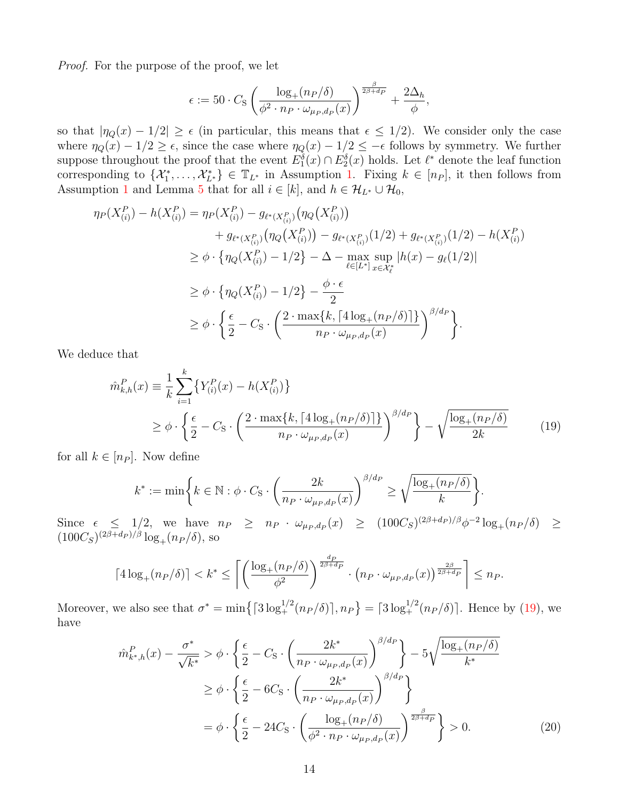Proof. For the purpose of the proof, we let

$$
\epsilon := 50 \cdot C_{\rm S} \left( \frac{\log_+(n_P/\delta)}{\phi^2 \cdot n_P \cdot \omega_{\mu_P,d_P}(x)} \right)^{\frac{\beta}{2\beta + d_P}} + \frac{2\Delta_h}{\phi},
$$

so that  $|\eta_Q(x) - 1/2| \ge \epsilon$  (in particular, this means that  $\epsilon \le 1/2$ ). We consider only the case where  $\eta_Q(x) - 1/2 \geq \epsilon$ , since the case where  $\eta_Q(x) - 1/2 \leq -\epsilon$  follows by symmetry. We further suppose throughout the proof that the event  $E_1^{\delta}(x) \cap E_2^{\delta}(x)$  holds. Let  $\ell^*$  denote the leaf function corresponding to  $\{\mathcal{X}_1^*,\ldots,\mathcal{X}_{L^*}^*\}\in\mathbb{T}_{L^*}$  in Assumption [1.](#page-5-1) Fixing  $k\in[n_P]$ , it then follows from Assumption [1](#page-5-1) and Lemma [5](#page-12-1) that for all  $i \in [k]$ , and  $h \in \mathcal{H}_{L^*} \cup \mathcal{H}_0$ ,

$$
\eta_P(X_{(i)}^P) - h(X_{(i)}^P) = \eta_P(X_{(i)}^P) - g_{\ell^*(X_{(i)}^P)}(\eta_Q(X_{(i)}^P)) \n+ g_{\ell^*(X_{(i)}^P)}(\eta_Q(X_{(i)}^P)) - g_{\ell^*(X_{(i)}^P)}(1/2) + g_{\ell^*(X_{(i)}^P)}(1/2) - h(X_{(i)}^P) \n\geq \phi \cdot \{\eta_Q(X_{(i)}^P) - 1/2\} - \Delta - \max_{\ell \in [L^*]} \sup_{x \in \mathcal{X}_{\ell}^*} |h(x) - g_{\ell}(1/2)| \n\geq \phi \cdot \{\eta_Q(X_{(i)}^P) - 1/2\} - \frac{\phi \cdot \epsilon}{2} \n\geq \phi \cdot \left\{\frac{\epsilon}{2} - C_{\rm S} \cdot \left(\frac{2 \cdot \max\{k, \lceil A \log_+(n_P/\delta) \rceil\}}{n_P \cdot \omega_{\mu_P, d_P}(x)}\right)^{\beta/d_P}\right\}.
$$

We deduce that

$$
\hat{m}_{k,h}^{P}(x) \equiv \frac{1}{k} \sum_{i=1}^{k} \{ Y_{(i)}^{P}(x) - h(X_{(i)}^{P}) \}
$$
\n
$$
\geq \phi \cdot \left\{ \frac{\epsilon}{2} - C_{\rm S} \cdot \left( \frac{2 \cdot \max\{k, \lceil 4 \log_+(n_P/\delta) \rceil\}}{n_P \cdot \omega_{\mu_P, d_P}(x)} \right)^{\beta/d_P} \right\} - \sqrt{\frac{\log_+(n_P/\delta)}{2k}} \tag{19}
$$

for all  $k \in [n_P]$ . Now define

<span id="page-13-0"></span>
$$
k^* := \min\bigg\{k \in \mathbb{N}: \phi \cdot C_{\mathcal{S}} \cdot \left(\frac{2k}{n_P \cdot \omega_{\mu_P, d_P}(x)}\right)^{\beta/d_P} \ge \sqrt{\frac{\log_+(n_P/\delta)}{k}}\bigg\}.
$$

Since  $\epsilon \leq 1/2$ , we have  $n_P \geq n_P \cdot \omega_{\mu_P,d_P}(x) \geq (100C_S)^{(2\beta+d_P)/\beta} \phi^{-2} \log_+(n_P/\delta) \geq$  $(100C_S)^{(2\beta+d_P)/\beta}\log_+(n_P/\delta)$ , so

$$
\lceil 4\log_+(n_P/\delta) \rceil < k^* \le \left\lceil \left( \frac{\log_+(n_P/\delta)}{\phi^2} \right)^{\frac{dp}{2\beta + dp}} \cdot \left( n_P \cdot \omega_{\mu_P, d_P}(x) \right)^{\frac{2\beta}{2\beta + dp}} \right\rceil \le n_P.
$$

Moreover, we also see that  $\sigma^* = \min\left\{ \left[3\log_+^{1/2}(n_P/\delta)\right], n_P \right\} = \left[3\log_+^{1/2}(n_P/\delta)\right]$ . Hence by [\(19\)](#page-13-0), we have

<span id="page-13-1"></span>
$$
\hat{m}_{k^*,h}^P(x) - \frac{\sigma^*}{\sqrt{k^*}} > \phi \cdot \left\{ \frac{\epsilon}{2} - C_S \cdot \left( \frac{2k^*}{n_P \cdot \omega_{\mu_P, d_P}(x)} \right)^{\beta/d_P} \right\} - 5\sqrt{\frac{\log_+(n_P/\delta)}{k^*}}
$$
\n
$$
\geq \phi \cdot \left\{ \frac{\epsilon}{2} - 6C_S \cdot \left( \frac{2k^*}{n_P \cdot \omega_{\mu_P, d_P}(x)} \right)^{\beta/d_P} \right\}
$$
\n
$$
= \phi \cdot \left\{ \frac{\epsilon}{2} - 24C_S \cdot \left( \frac{\log_+(n_P/\delta)}{\phi^2 \cdot n_P \cdot \omega_{\mu_P, d_P}(x)} \right)^{\frac{\beta}{2\beta+d_P}} \right\} > 0. \tag{20}
$$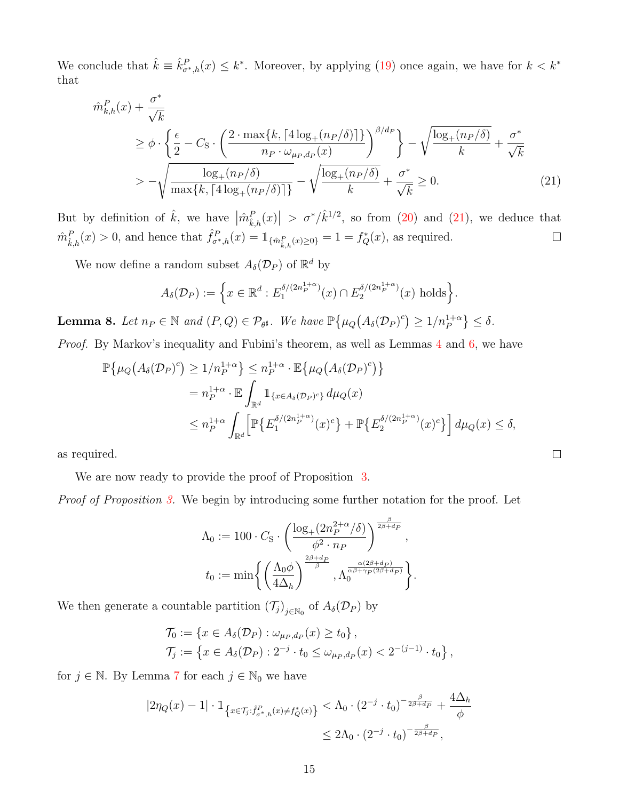We conclude that  $\hat{k} \equiv \hat{k}_{\sigma^*,h}^P(x) \leq k^*$ . Moreover, by applying [\(19\)](#page-13-0) once again, we have for  $k < k^*$ that

$$
\hat{m}_{k,h}^{P}(x) + \frac{\sigma^*}{\sqrt{k}}\n\geq \phi \cdot \left\{ \frac{\epsilon}{2} - C_{\mathcal{S}} \cdot \left( \frac{2 \cdot \max\{k, \lceil 4 \log_+(n_P/\delta) \rceil\}}{n_P \cdot \omega_{\mu_P, d_P}(x)} \right)^{\beta/d_P} \right\} - \sqrt{\frac{\log_+(n_P/\delta)}{k}} + \frac{\sigma^*}{\sqrt{k}}\n\geq -\sqrt{\frac{\log_+(n_P/\delta)}{\max\{k, \lceil 4 \log_+(n_P/\delta) \rceil\}} - \sqrt{\frac{\log_+(n_P/\delta)}{k}} + \frac{\sigma^*}{\sqrt{k}}} \geq 0.
$$
\n(21)

But by definition of  $\hat{k}$ , we have  $|\hat{m}_{\hat{k},h}^P(x)| > \sigma^* / \hat{k}^{1/2}$ , so from [\(20\)](#page-13-1) and [\(21\)](#page-14-0), we deduce that  $\hat{m}_{\hat{k},h}^P(x) > 0$ , and hence that  $\hat{f}_{\sigma^*,h}^P(x) = \mathbb{1}_{\{\hat{m}_{\hat{k},h}^P(x) \ge 0\}} = 1 = f_Q^*(x)$ , as required.  $\Box$ 

We now define a random subset  $A_{\delta}(\mathcal{D}_P)$  of  $\mathbb{R}^d$  by

$$
A_{\delta}(\mathcal{D}_P) := \left\{ x \in \mathbb{R}^d : E_1^{\delta/(2n_P^{1+\alpha})}(x) \cap E_2^{\delta/(2n_P^{1+\alpha})}(x) \text{ holds} \right\}.
$$

<span id="page-14-1"></span>**Lemma 8.** Let  $n_P \in \mathbb{N}$  and  $(P,Q) \in \mathcal{P}_{\theta^{\sharp}}$ . We have  $\mathbb{P}\left\{\mu_Q\big(A_{\delta}(\mathcal{D}_P)^c\big) \geq 1/n_P^{1+\alpha}\right\} \leq \delta$ .

Proof. By Markov's inequality and Fubini's theorem, as well as Lemmas [4](#page-11-2) and [6,](#page-12-2) we have

$$
\mathbb{P}\{\mu_Q(A_\delta(\mathcal{D}_P)^c) \ge 1/n_P^{1+\alpha}\} \le n_P^{1+\alpha} \cdot \mathbb{E}\{\mu_Q(A_\delta(\mathcal{D}_P)^c)\}
$$
  
=  $n_P^{1+\alpha} \cdot \mathbb{E}\int_{\mathbb{R}^d} 1_{\{x \in A_\delta(\mathcal{D}_P)^c\}} d\mu_Q(x)$   

$$
\le n_P^{1+\alpha} \int_{\mathbb{R}^d} \left[\mathbb{P}\{E_1^{\delta/(2n_P^{1+\alpha})}(x)^c\} + \mathbb{P}\{E_2^{\delta/(2n_P^{1+\alpha})}(x)^c\}\right] d\mu_Q(x) \le \delta,
$$

<span id="page-14-0"></span> $\Box$ 

as required.

We are now ready to provide the proof of Proposition [3.](#page-11-0)

Proof of Proposition [3.](#page-11-0) We begin by introducing some further notation for the proof. Let

$$
\Lambda_0 := 100 \cdot C_{\rm S} \cdot \left( \frac{\log_+(2n_P^{2+\alpha}/\delta)}{\phi^2 \cdot n_P} \right)^{\frac{\beta}{2\beta+d_P}},
$$
  

$$
t_0 := \min \left\{ \left( \frac{\Lambda_0 \phi}{4\Delta_h} \right)^{\frac{2\beta+d_P}{\beta}}, \Lambda_0^{\frac{\alpha(2\beta+d_P)}{\alpha\beta+\gamma_P(2\beta+d_P)}} \right\}.
$$

We then generate a countable partition  $(\mathcal{T}_j)_{j \in \mathbb{N}_0}$  of  $A_\delta(\mathcal{D}_P)$  by

$$
\mathcal{T}_0 := \{ x \in A_{\delta}(\mathcal{D}_P) : \omega_{\mu_P, d_P}(x) \ge t_0 \}, \n\mathcal{T}_j := \{ x \in A_{\delta}(\mathcal{D}_P) : 2^{-j} \cdot t_0 \le \omega_{\mu_P, d_P}(x) < 2^{-(j-1)} \cdot t_0 \},
$$

for  $j \in \mathbb{N}$ . By Lemma [7](#page-12-3) for each  $j \in \mathbb{N}_0$  we have

$$
|2\eta_Q(x) - 1| \cdot \mathbb{1}_{\left\{x \in \mathcal{T}_j : \hat{f}_{\sigma^*,h}^P(x) \neq f_Q^*(x)\right\}} < \Lambda_0 \cdot (2^{-j} \cdot t_0)^{-\frac{\beta}{2\beta + d_P}} + \frac{4\Delta_h}{\phi}
$$
  

$$
\leq 2\Lambda_0 \cdot (2^{-j} \cdot t_0)^{-\frac{\beta}{2\beta + d_P}},
$$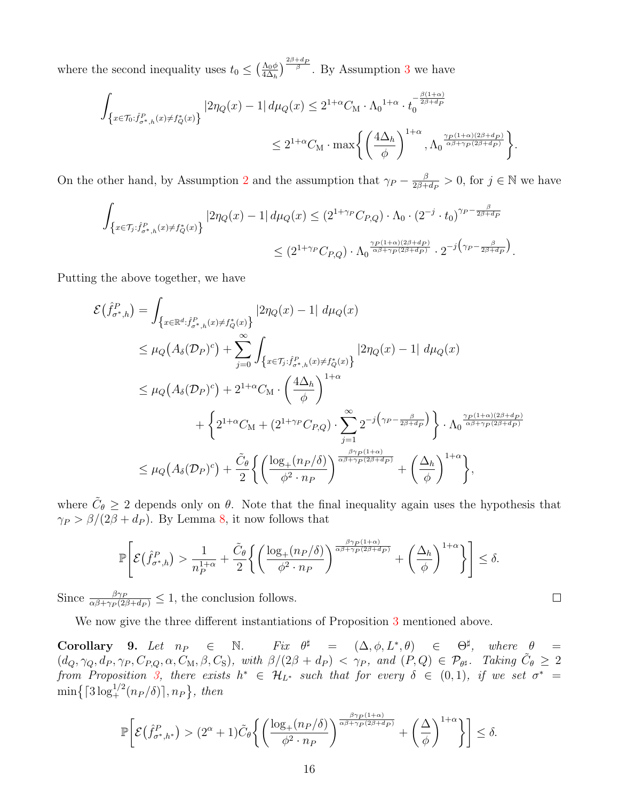where the second inequality uses  $t_0 \leq (\frac{\Lambda_0 \phi}{4\Lambda_1})$  $\frac{\Lambda_0 \phi}{4 \Delta_h}$ )<sup>2β+d</sup>P<sup>[3](#page-6-2)</sup>. By Assumption 3 we have

$$
\begin{aligned} \int_{\left\{x\in\mathcal{T}_0: \hat{f}_{\sigma^*,h}^P(x)\neq f_Q^*(x)\right\}}\left|2\eta_Q(x)-1\right|d\mu_Q(x)&\leq 2^{1+\alpha}C_{\mathcal{M}}\cdot \Lambda_0^{-1+\alpha}\cdot t_0^{-\frac{\beta(1+\alpha)}{2\beta+d_P}}\\ &\leq 2^{1+\alpha}C_{\mathcal{M}}\cdot \max\left\{\left(\frac{4\Delta_h}{\phi}\right)^{1+\alpha}, \Lambda_0^{-\frac{\gamma_P(1+\alpha)(2\beta+d_P)}{\alpha\beta+\gamma_P(2\beta+d_P)}}\right\}. \end{aligned}
$$

On the other hand, by Assumption [2](#page-5-3) and the assumption that  $\gamma_P - \frac{\beta}{2\beta + 1}$  $\frac{\beta}{2\beta+d_P} > 0$ , for  $j \in \mathbb{N}$  we have

$$
\int_{\left\{x\in\mathcal{T}_j:\hat{f}_{\sigma^*,h}^P(x)\neq f_Q^*(x)\right\}}\left|2\eta_Q(x)-1\right|d\mu_Q(x)\leq (2^{1+\gamma_P}C_{P,Q})\cdot \Lambda_0\cdot (2^{-j}\cdot t_0)^{\gamma_P-\frac{\beta}{2\beta+d_P}}\right.\leq (2^{1+\gamma_P}C_{P,Q})\cdot \Lambda_0^{-\frac{\gamma_P(1+\alpha)(2\beta+d_P)}{\alpha\beta+\gamma_P(2\beta+d_P)}}\cdot 2^{-j\left(\gamma_P-\frac{\beta}{2\beta+d_P}\right)}.
$$

Putting the above together, we have

$$
\mathcal{E}(\hat{f}_{\sigma^*,h}^P) = \int_{\left\{x \in \mathbb{R}^d : \hat{f}_{\sigma^*,h}^P(x) \neq f_Q^*(x)\right\}} \left|2\eta_Q(x) - 1\right| d\mu_Q(x)
$$
\n
$$
\leq \mu_Q\left(A_\delta(\mathcal{D}_P)^c\right) + \sum_{j=0}^\infty \int_{\left\{x \in \mathcal{T}_j : \hat{f}_{\sigma^*,h}^P(x) \neq f_Q^*(x)\right\}} \left|2\eta_Q(x) - 1\right| d\mu_Q(x)
$$
\n
$$
\leq \mu_Q\left(A_\delta(\mathcal{D}_P)^c\right) + 2^{1+\alpha} C_M \cdot \left(\frac{4\Delta_h}{\phi}\right)^{1+\alpha} + \left\{2^{1+\alpha} C_M + \left(2^{1+\gamma_P} C_{P,Q}\right) \cdot \sum_{j=1}^\infty 2^{-j\left(\gamma_P - \frac{\beta}{2\beta + d_P}\right)}\right\} \cdot \Lambda_0^{\frac{\gamma_P(1+\alpha)(2\beta + d_P)}{\alpha\beta + \gamma_P(2\beta + d_P)}}
$$
\n
$$
\leq \mu_Q\left(A_\delta(\mathcal{D}_P)^c\right) + \frac{\tilde{C}_\theta}{2} \left\{\left(\frac{\log_+(n_P/\delta)}{\phi^2 \cdot n_P}\right)^{\frac{\beta\gamma_P(1+\alpha)}{\alpha\beta + \gamma_P(2\beta + d_P)}} + \left(\frac{\Delta_h}{\phi}\right)^{1+\alpha}\right\},
$$

where  $\tilde{C}_{\theta} \geq 2$  depends only on  $\theta$ . Note that the final inequality again uses the hypothesis that  $\gamma_P > \beta/(2\beta + d_P)$ . By Lemma [8,](#page-14-1) it now follows that

$$
\mathbb{P}\left[\mathcal{E}\left(\hat{f}_{\sigma^*,h}^P\right) > \frac{1}{n_P^{1+\alpha}} + \frac{\tilde{C}_{\theta}}{2} \left\{ \left( \frac{\log_+(n_P/\delta)}{\phi^2 \cdot n_P} \right)^{\frac{\beta\gamma_P(1+\alpha)}{\alpha\beta + \gamma_P(2\beta + d_P)}} + \left( \frac{\Delta_h}{\phi} \right)^{1+\alpha} \right\} \right] \le \delta.
$$

Since  $\frac{\beta \gamma_P}{\alpha \beta + \gamma_P (2\beta + d_P)} \leq 1$ , the conclusion follows.

We now give the three different instantiations of Proposition [3](#page-11-0) mentioned above.

Corollary 9. Let  $n_P \in \mathbb{N}$ .  $\Box^{\sharp}$  =  $(\Delta, \phi, L^*, \theta)$   $\in \Theta^{\sharp}$ , where  $\theta$  =  $(d_Q, \gamma_Q, d_P, \gamma_P, C_{P,Q}, \alpha, C_M, \beta, C_S)$ , with  $\beta/(2\beta + d_P) < \gamma_P$ , and  $(P,Q) \in \mathcal{P}_{\theta^{\sharp}}$ . Taking  $\tilde{C}_{\theta} \geq 2$ from Proposition [3,](#page-11-0) there exists  $h^* \in \mathcal{H}_{L^*}$  such that for every  $\delta \in (0,1)$ , if we set  $\sigma^* =$  $\min\bigl\{ \lceil 3\log_+^{1/2}(n_P/\delta) \rceil, n_P \bigr\},\ then$ 

$$
\mathbb{P}\bigg[\mathcal{E}\big(\hat{f}_{\sigma^*,h^*}^P\big) > (2^{\alpha}+1)\tilde{C}_{\theta}\bigg\{\bigg(\frac{\log_+(n_P/\delta)}{\phi^2\cdot n_P}\bigg)^{\frac{\beta\gamma_P(1+\alpha)}{\alpha\beta+\gamma_P(2\beta+d_P)}}+\bigg(\frac{\Delta}{\phi}\bigg)^{1+\alpha}\bigg\}\bigg] \leq \delta.
$$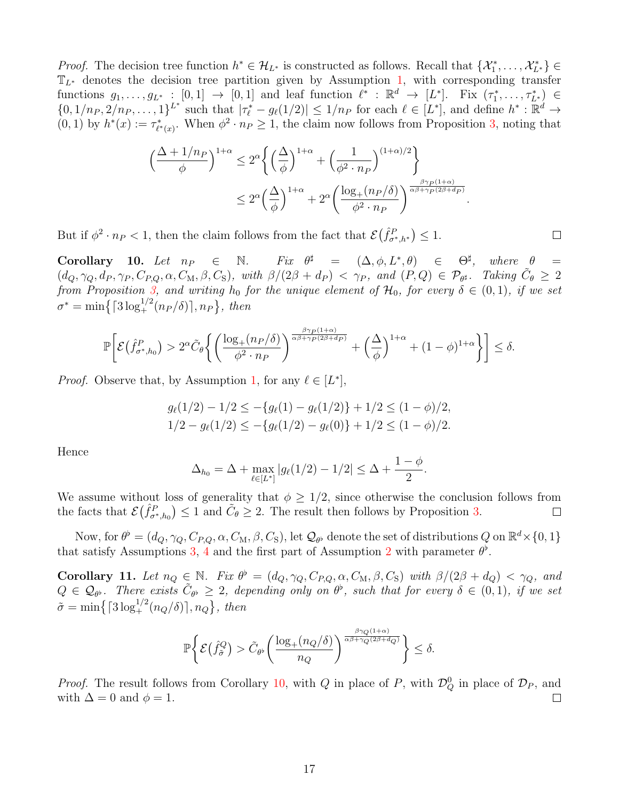*Proof.* The decision tree function  $h^* \in \mathcal{H}_{L^*}$  is constructed as follows. Recall that  $\{\mathcal{X}_1^*, \ldots, \mathcal{X}_{L^*}^*\} \in$  $\mathbb{T}_{L^*}$  denotes the decision tree partition given by Assumption [1,](#page-5-1) with corresponding transfer functions  $g_1, \ldots, g_{L^*} : [0,1] \rightarrow [0,1]$  and leaf function  $\ell^* : \mathbb{R}^d \rightarrow [L^*]$ . Fix  $(\tau_1^*, \ldots, \tau_{L^*}^*) \in$  $\{0, 1/n_P, 2/n_P, \ldots, 1\}^{L^*}$  such that  $|\tau_{\ell}^* - g_{\ell}(1/2)| \leq 1/n_P$  for each  $\ell \in [L^*]$ , and define  $h^* : \mathbb{R}^d \to$  $(0, 1)$  by  $h^*(x) := \tau^*_{\ell^*(x)}$ . When  $\phi^2 \cdot n_P \ge 1$ , the claim now follows from Proposition [3,](#page-11-0) noting that

$$
\left(\frac{\Delta + 1/n_P}{\phi}\right)^{1+\alpha} \le 2^{\alpha} \left\{ \left(\frac{\Delta}{\phi}\right)^{1+\alpha} + \left(\frac{1}{\phi^2 \cdot n_P}\right)^{(1+\alpha)/2} \right\}
$$

$$
\le 2^{\alpha} \left(\frac{\Delta}{\phi}\right)^{1+\alpha} + 2^{\alpha} \left(\frac{\log_+(n_P/\delta)}{\phi^2 \cdot n_P}\right)^{\frac{\beta \gamma_P(1+\alpha)}{\alpha \beta + \gamma_P(2\beta + d_P)}}.
$$

But if  $\phi^2 \cdot n_P < 1$ , then the claim follows from the fact that  $\mathcal{E}(\hat{f}_{\sigma^*,h^*}^P) \leq 1$ .

<span id="page-16-0"></span>Corollary 10. Let  $n_P \in \mathbb{N}$ .  $\sharp$  =  $(\Delta, \phi, L^*, \theta)$   $\in \Theta^{\sharp}$ , where  $\theta =$  $(d_Q, \gamma_Q, d_P, \gamma_P, C_{P,Q}, \alpha, C_M, \beta, C_S)$ , with  $\beta/(2\beta + d_P) < \gamma_P$ , and  $(P,Q) \in \mathcal{P}_{\theta^{\sharp}}$ . Taking  $\tilde{C}_{\theta} \geq 2$ from Proposition [3,](#page-11-0) and writing  $h_0$  for the unique element of  $\mathcal{H}_0$ , for every  $\delta \in (0,1)$ , if we set  $\sigma^* = \min\left\{ \lceil 3\log_+^{1/2}(n_P/\delta) \rceil, n_P \right\},\, then$ 

$$
\mathbb{P}\bigg[\mathcal{E}\big(\hat{f}_{\sigma^*,h_0}^P\big) > 2^{\alpha}\tilde{C}_{\theta}\bigg\{\bigg(\frac{\log_+(n_P/\delta)}{\phi^2 \cdot n_P}\bigg)^{\frac{\beta\gamma_P(1+\alpha)}{\alpha\beta+\gamma_P(2\beta+d_P)}} + \bigg(\frac{\Delta}{\phi}\bigg)^{1+\alpha} + (1-\phi)^{1+\alpha}\bigg\}\bigg] \le \delta.
$$

*Proof.* Observe that, by Assumption [1,](#page-5-1) for any  $\ell \in [L^*]$ ,

$$
g_{\ell}(1/2) - 1/2 \le -\{g_{\ell}(1) - g_{\ell}(1/2)\} + 1/2 \le (1 - \phi)/2,
$$
  
1/2 - g\_{\ell}(1/2) \le -\{g\_{\ell}(1/2) - g\_{\ell}(0)\} + 1/2 \le (1 - \phi)/2.

Hence

$$
\Delta_{h_0} = \Delta + \max_{\ell \in [L^*]} |g_{\ell}(1/2) - 1/2| \leq \Delta + \frac{1 - \phi}{2}.
$$

We assume without loss of generality that  $\phi \geq 1/2$ , since otherwise the conclusion follows from the facts that  $\mathcal{E}(\hat{f}_{\sigma^*,h_0}^P) \leq 1$  and  $\tilde{C}_{\theta} \geq 2$ . The result then follows by Proposition [3.](#page-11-0)  $\Box$ 

Now, for  $\theta^{\flat} = (d_Q, \gamma_Q, C_{P,Q}, \alpha, C_M, \beta, C_S)$ , let  $\mathcal{Q}_{\theta^{\flat}}$  denote the set of distributions  $Q$  on  $\mathbb{R}^d \times \{0, 1\}$ that satisfy Assumptions [3,](#page-6-2) [4](#page-6-1) and the first part of Assumption [2](#page-5-3) with parameter  $\theta^{\flat}$ .

<span id="page-16-1"></span>**Corollary 11.** Let  $n_Q \in \mathbb{N}$ . Fix  $\theta^{\flat} = (d_Q, \gamma_Q, C_{P,Q}, \alpha, C_M, \beta, C_S)$  with  $\beta/(2\beta + d_Q) < \gamma_Q$ , and  $Q \in \mathcal{Q}_{\theta}$ . There exists  $\tilde{C}_{\theta^{\flat}} \geq 2$ , depending only on  $\theta^{\flat}$ , such that for every  $\delta \in (0,1)$ , if we set  $\tilde{\sigma} = \min\left\{ \left[3\log_+^{1/2}(n_Q/\delta)\right], n_Q \right\},\, then$ 

$$
\mathbb{P}\bigg\{\mathcal{E}\big(\hat{f}_{\tilde{\sigma}}^Q\big) > \tilde{C}_{\theta^\flat}\bigg(\frac{\log_+(n_Q/\delta)}{n_Q}\bigg)^{\frac{\beta\gamma_Q(1+\alpha)}{\alpha\beta+\gamma_Q(2\beta+d_Q)}}\bigg\} \le \delta.
$$

*Proof.* The result follows from Corollary [10,](#page-16-0) with Q in place of P, with  $\mathcal{D}_Q^0$  in place of  $\mathcal{D}_P$ , and with  $\Delta = 0$  and  $\phi = 1$ .  $\Box$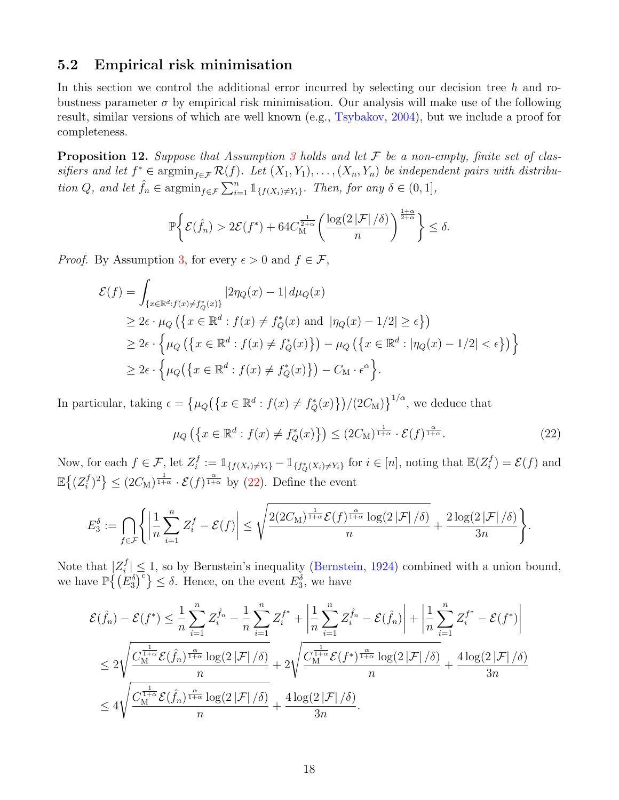### 5.2 Empirical risk minimisation

In this section we control the additional error incurred by selecting our decision tree  $h$  and robustness parameter  $\sigma$  by empirical risk minimisation. Our analysis will make use of the following result, similar versions of which are well known (e.g., [Tsybakov,](#page-46-11) [2004\)](#page-46-11), but we include a proof for completeness.

<span id="page-17-1"></span>**Proposition 12.** Suppose that Assumption [3](#page-6-2) holds and let  $\mathcal F$  be a non-empty, finite set of classifiers and let  $f^* \in \operatorname{argmin}_{f \in \mathcal{F}} \mathcal{R}(f)$ . Let  $(X_1, Y_1), \ldots, (X_n, Y_n)$  be independent pairs with distribution Q, and let  $\hat{f}_n \in \operatorname{argmin}_{f \in \mathcal{F}} \sum_{i=1}^n \mathbb{1}_{\{f(X_i) \neq Y_i\}}$ . Then, for any  $\delta \in (0, 1]$ ,

$$
\mathbb{P}\bigg\{\mathcal{E}(\hat{f}_n) > 2\mathcal{E}(f^*) + 64C_M^{\frac{1}{2+\alpha}}\bigg(\frac{\log(2|\mathcal{F}|/\delta)}{n}\bigg)^{\frac{1+\alpha}{2+\alpha}}\bigg\} \le \delta.
$$

*Proof.* By Assumption [3,](#page-6-2) for every  $\epsilon > 0$  and  $f \in \mathcal{F}$ ,

$$
\mathcal{E}(f) = \int_{\{x \in \mathbb{R}^d : f(x) \neq f_Q^*(x)\}} |2\eta_Q(x) - 1| d\mu_Q(x)
$$
  
\n
$$
\geq 2\epsilon \cdot \mu_Q \left( \{x \in \mathbb{R}^d : f(x) \neq f_Q^*(x) \text{ and } |\eta_Q(x) - 1/2| \geq \epsilon \} \right)
$$
  
\n
$$
\geq 2\epsilon \cdot \left\{ \mu_Q \left( \{x \in \mathbb{R}^d : f(x) \neq f_Q^*(x) \} \right) - \mu_Q \left( \{x \in \mathbb{R}^d : |\eta_Q(x) - 1/2| < \epsilon \} \right) \right\}
$$
  
\n
$$
\geq 2\epsilon \cdot \left\{ \mu_Q \left( \{x \in \mathbb{R}^d : f(x) \neq f_Q^*(x) \} \right) - C_M \cdot \epsilon^{\alpha} \right\}.
$$

In particular, taking  $\epsilon = \{\mu_Q(\{x \in \mathbb{R}^d : f(x) \neq f_Q^*(x)\})/(2C_M)\}^{1/\alpha}$ , we deduce that

<span id="page-17-0"></span>
$$
\mu_Q\left(\left\{x \in \mathbb{R}^d : f(x) \neq f_Q^*(x)\right\}\right) \leq (2C_M)^{\frac{1}{1+\alpha}} \cdot \mathcal{E}(f)^{\frac{\alpha}{1+\alpha}}.\tag{22}
$$

Now, for each  $f \in \mathcal{F}$ , let  $Z_i^f$  $i_i^f := \mathbb{1}_{\{f(X_i) \neq Y_i\}} - \mathbb{1}_{\{f_Q^*(X_i) \neq Y_i\}}$  for  $i \in [n]$ , noting that  $\mathbb{E}(Z_i^f)$  $\mathcal{E}(f)$  and  $\mathbb{E}\bigl\{(Z_i^f$  $\{f_i^f\}^2\} \leq (2C_M)^{\frac{1}{1+\alpha}} \cdot \mathcal{E}(f)^{\frac{\alpha}{1+\alpha}}$  by [\(22\)](#page-17-0). Define the event

$$
E_3^{\delta} := \bigcap_{f \in \mathcal{F}} \Biggl\{ \left| \frac{1}{n} \sum_{i=1}^n Z_i^f - \mathcal{E}(f) \right| \leq \sqrt{\frac{2(2C_M)^{\frac{1}{1+\alpha}} \mathcal{E}(f)^{\frac{\alpha}{1+\alpha}} \log(2|\mathcal{F}|/\delta)}{n} + \frac{2\log(2|\mathcal{F}|/\delta)}{3n}} \Biggr\}.
$$

Note that  $|Z_i^f$  $|j'|\leq 1$ , so by Bernstein's inequality [\(Bernstein,](#page-43-14) [1924\)](#page-43-14) combined with a union bound, we have  $\mathbb{P}\left\{\left(E_3^{\delta}\right)^c\right\} \leq \delta$ . Hence, on the event  $E_3^{\delta}$ , we have

$$
\mathcal{E}(\hat{f}_n) - \mathcal{E}(f^*) \leq \frac{1}{n} \sum_{i=1}^n Z_i^{\hat{f}_n} - \frac{1}{n} \sum_{i=1}^n Z_i^{f^*} + \left| \frac{1}{n} \sum_{i=1}^n Z_i^{\hat{f}_n} - \mathcal{E}(\hat{f}_n) \right| + \left| \frac{1}{n} \sum_{i=1}^n Z_i^{f^*} - \mathcal{E}(f^*) \right|
$$
  

$$
\leq 2 \sqrt{\frac{C_M^{\frac{1}{1+\alpha}} \mathcal{E}(\hat{f}_n)^{\frac{\alpha}{1+\alpha}} \log(2|\mathcal{F}|/\delta)}{n}} + 2 \sqrt{\frac{C_M^{\frac{1}{1+\alpha}} \mathcal{E}(f^*)^{\frac{\alpha}{1+\alpha}} \log(2|\mathcal{F}|/\delta)}{n}} + \frac{4 \log(2|\mathcal{F}|/\delta)}{3n}
$$
  

$$
\leq 4 \sqrt{\frac{C_M^{\frac{1}{1+\alpha}} \mathcal{E}(\hat{f}_n)^{\frac{\alpha}{1+\alpha}} \log(2|\mathcal{F}|/\delta)}{n}} + \frac{4 \log(2|\mathcal{F}|/\delta)}{3n}.
$$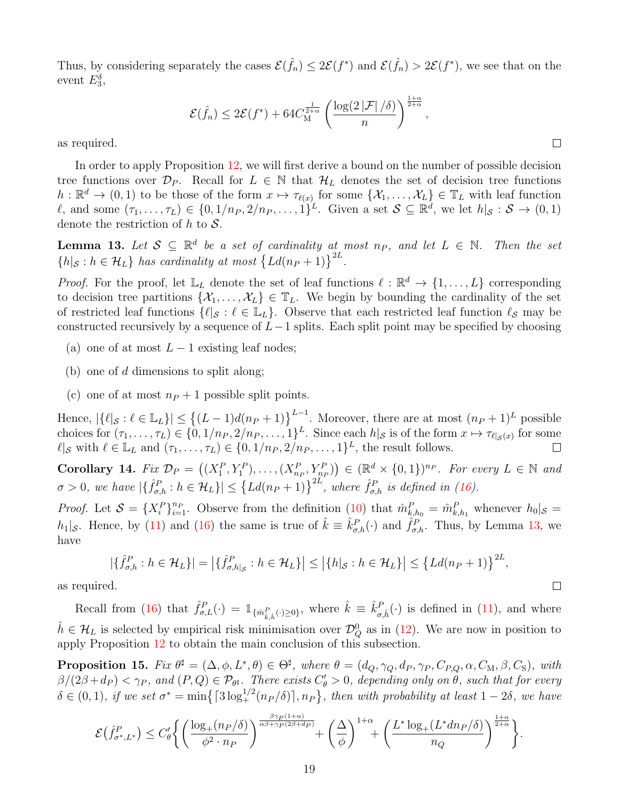Thus, by considering separately the cases  $\mathcal{E}(\hat{f}_n) \leq 2\mathcal{E}(f^*)$  and  $\mathcal{E}(\hat{f}_n) > 2\mathcal{E}(f^*)$ , we see that on the event  $E_3^{\delta}$ ,

$$
\mathcal{E}(\hat{f}_n) \le 2\mathcal{E}(f^*) + 64C_M^{\frac{1}{2+\alpha}} \left(\frac{\log(2|\mathcal{F}|/\delta)}{n}\right)^{\frac{1+\alpha}{2+\alpha}},
$$

 $\Box$ 

 $\Box$ 

as required.

In order to apply Proposition [12,](#page-17-1) we will first derive a bound on the number of possible decision tree functions over  $\mathcal{D}_P$ . Recall for  $L \in \mathbb{N}$  that  $\mathcal{H}_L$  denotes the set of decision tree functions  $h: \mathbb{R}^d \to (0,1)$  to be those of the form  $x \mapsto \tau_{\ell(x)}$  for some  $\{\mathcal{X}_1, \ldots, \mathcal{X}_L\} \in \mathbb{T}_L$  with leaf function l, and some  $(\tau_1, \ldots, \tau_L) \in \{0, 1/n_P, 2/n_P, \ldots, 1\}^L$ . Given a set  $S \subseteq \mathbb{R}^d$ , we let  $h|_{\mathcal{S}} : \mathcal{S} \to (0, 1)$ denote the restriction of h to  $S$ .

<span id="page-18-0"></span>**Lemma 13.** Let  $S \subseteq \mathbb{R}^d$  be a set of cardinality at most  $n_P$ , and let  $L \in \mathbb{N}$ . Then the set  $\{h|_{\mathcal{S}} : h \in \mathcal{H}_L\}$  has cardinality at most  $\{Ld(n_P + 1)\}^{2L}$ .

*Proof.* For the proof, let  $\mathbb{L}_L$  denote the set of leaf functions  $\ell : \mathbb{R}^d \to \{1, \ldots, L\}$  corresponding to decision tree partitions  $\{\mathcal{X}_1,\ldots,\mathcal{X}_L\} \in \mathbb{T}_L$ . We begin by bounding the cardinality of the set of restricted leaf functions  $\{\ell|_{\mathcal{S}} : \ell \in \mathbb{L}_L\}$ . Observe that each restricted leaf function  $\ell_{\mathcal{S}}$  may be constructed recursively by a sequence of  $L-1$  splits. Each split point may be specified by choosing

- (a) one of at most  $L 1$  existing leaf nodes;
- (b) one of  $d$  dimensions to split along;
- (c) one of at most  $n_P + 1$  possible split points.

Hence,  $|\{\ell|_{\mathcal{S}} : \ell \in \mathbb{L}_L\}| \leq \{(L-1)d(n_P+1)\}^{L-1}$ . Moreover, there are at most  $(n_P+1)^L$  possible choices for  $(\tau_1, \ldots, \tau_L) \in \{0, 1/n_P, 2/n_P, \ldots, 1\}^L$ . Since each  $h|_{\mathcal{S}}$  is of the form  $x \mapsto \tau_{\ell|_{\mathcal{S}}(x)}$  for some  $\ell |_{\mathcal{S}}$  with  $\ell \in \mathbb{L}_L$  and  $(\tau_1, \ldots, \tau_L) \in \{0, 1/n_P, 2/n_P, \ldots, 1\}^L$ , the result follows.  $\Box$ 

<span id="page-18-1"></span>Corollary 14. Fix  $\mathcal{D}_P = ((X_1^P, Y_1^P), \ldots, (X_{n_P}^P, Y_{n_P}^P)) \in (\mathbb{R}^d \times \{0, 1\})^{n_P}$ . For every  $L \in \mathbb{N}$  and  $\sigma > 0$ , we have  $|\{\hat{f}_{\sigma,h}^P : h \in \mathcal{H}_L\}| \leq {\{Ld(n_P+1)\}}^{2L}$ , where  $\hat{f}_{\sigma,h}^P$  is defined in [\(16\)](#page-11-3).

*Proof.* Let  $S = \{X_i^P\}_{i=1}^{n_P}$ . Observe from the definition [\(10\)](#page-8-1) that  $\hat{m}_{k,h_0}^P = \hat{m}_{k,h_1}^P$  whenever  $h_0|_{\mathcal{S}} =$  $h_1|_{\mathcal{S}}$ . Hence, by [\(11\)](#page-8-2) and [\(16\)](#page-11-3) the same is true of  $\hat{k} \equiv \hat{k}_{\sigma,h}^P(\cdot)$  and  $\hat{f}_{\sigma,h}^P$ . Thus, by Lemma [13,](#page-18-0) we have

$$
\left|\{\hat{f}_{\sigma,h}^P : h \in \mathcal{H}_L\}\right| = \left|\{\hat{f}_{\sigma,h|_{\mathcal{S}}}^P : h \in \mathcal{H}_L\}\right| \le \left|\{h|_{\mathcal{S}} : h \in \mathcal{H}_L\}\right| \le \left\{Ld(n_P+1)\right\}^{2L},
$$

as required.

Recall from [\(16\)](#page-11-3) that  $\hat{f}_{\sigma,L}^P(\cdot) = \mathbb{1}_{\{\hat{m}_{\hat{k},\hat{h}}^P(\cdot) \geq 0\}},$  where  $\hat{k} \equiv \hat{k}_{\sigma,\hat{h}}^P(\cdot)$  is defined in [\(11\)](#page-8-2), and where  $\hat{h} \in \mathcal{H}_L$  is selected by empirical risk minimisation over  $\mathcal{D}_Q^0$  as in [\(12\)](#page-9-2). We are now in position to apply Proposition [12](#page-17-1) to obtain the main conclusion of this subsection.

<span id="page-18-2"></span>**Proposition 15.** Fix  $\theta^{\sharp} = (\Delta, \phi, L^*, \theta) \in \Theta^{\sharp}$ , where  $\theta = (d_Q, \gamma_Q, d_P, \gamma_P, C_{P,Q}, \alpha, C_M, \beta, C_S)$ , with  $\beta/(2\beta+d_P) < \gamma_P$ , and  $(P,Q) \in \mathcal{P}_{\theta^{\sharp}}$ . There exists  $C'_{\theta} > 0$ , depending only on  $\theta$ , such that for every  $\delta \in (0,1)$ , if we set  $\sigma^* = \min\left\{ \lceil 3\log_+^{1/2}(n_P/\delta) \rceil, n_P \right\}$ , then with probability at least  $1-2\delta$ , we have

$$
\mathcal{E}(\hat{f}_{\sigma^*,L^*}^P) \le C_\theta' \Bigg\{ \bigg(\frac{\log_+(n_P/\delta)}{\phi^2 \cdot n_P}\bigg)^{\frac{\beta \gamma_P(1+\alpha)}{\alpha\beta + \gamma_P(2\beta + d_P)}} + \bigg(\frac{\Delta}{\phi}\bigg)^{1+\alpha} + \bigg(\frac{L^* \log_+(L^* d n_P/\delta)}{n_Q}\bigg)^{\frac{1+\alpha}{2+\alpha}} \Bigg\}.
$$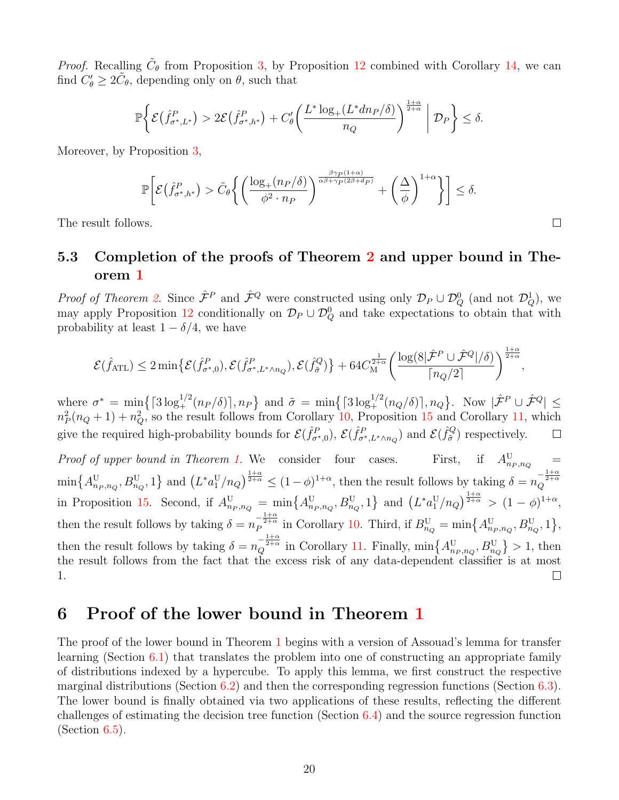*Proof.* Recalling  $\tilde{C}_{\theta}$  from Proposition [3,](#page-11-0) by Proposition [12](#page-17-1) combined with Corollary [14,](#page-18-1) we can find  $C'_{\theta} \geq 2\tilde{C}_{\theta}$ , depending only on  $\theta$ , such that

$$
\mathbb{P}\bigg\{\mathcal{E}\big(\hat{f}_{\sigma^*,L^*}^P\big) > 2\mathcal{E}\big(\hat{f}_{\sigma^*,h^*}^P\big) + C_{\theta}'\bigg(\frac{L^*\log_+(L^*dn_P/\delta)}{n_Q}\bigg)^{\frac{1+\alpha}{2+\alpha}}\,\bigg|\,\mathcal{D}_P\bigg\} \le \delta.
$$

Moreover, by Proposition [3,](#page-11-0)

$$
\mathbb{P}\bigg[\mathcal{E}\big(\hat{f}_{\sigma^*,h^*}^P\big) > \tilde{C}_{\theta}\bigg\{\bigg(\frac{\log_+(n_P/\delta)}{\phi^2\cdot n_P}\bigg)^{\frac{\beta\gamma_P(1+\alpha)}{\alpha\beta+\gamma_P(2\beta+d_P)}}+\bigg(\frac{\Delta}{\phi}\bigg)^{1+\alpha}\bigg\}\bigg] \leq \delta.
$$

The result follows.

### 5.3 Completion of the proofs of Theorem [2](#page-9-0) and upper bound in Theorem [1](#page-6-0)

*Proof of Theorem [2.](#page-9-0)* Since  $\hat{\mathcal{F}}^P$  and  $\hat{\mathcal{F}}^Q$  were constructed using only  $\mathcal{D}_P \cup \mathcal{D}_Q^0$  (and not  $\mathcal{D}_Q^1$ ), we may apply Proposition [12](#page-17-1) conditionally on  $\mathcal{D}_P \cup \mathcal{D}_Q^0$  and take expectations to obtain that with probability at least  $1 - \delta/4$ , we have

$$
\mathcal{E}(\hat{f}_{\text{ATL}}) \leq 2 \min \{ \mathcal{E}(\hat{f}_{\sigma^*,0}^P), \mathcal{E}(\hat{f}_{\sigma^*,L^*\wedge n_Q}^P), \mathcal{E}(\hat{f}_{\tilde{\sigma}}^Q) \} + 64 C_M^{\frac{1}{2+\alpha}} \left( \frac{\log(8|\hat{\mathcal{F}}^P \cup \hat{\mathcal{F}}^Q|/\delta)}{\lceil n_Q/2 \rceil} \right)^{\frac{1+\alpha}{2+\alpha}},
$$

where  $\sigma^* = \min\left\{ \lceil 3\log_+^{1/2}(n_P/\delta) \rceil, n_P \right\}$  and  $\tilde{\sigma} = \min\left\{ \lceil 3\log_+^{1/2}(n_Q/\delta) \rceil, n_Q \right\}$ . Now  $|\hat{\mathcal{F}}^P \cup \hat{\mathcal{F}}^Q| \leq$  $n_P^2(n_Q+1)+n_Q^2$ , so the result follows from Corollary [10,](#page-16-0) Proposition [15](#page-18-2) and Corollary [11,](#page-16-1) which give the required high-probability bounds for  $\mathcal{E}(\hat{f}^P_{\sigma^*,0}), \mathcal{E}(\hat{f}^P_{\sigma^*,L^*\wedge n_Q})$  and  $\mathcal{E}(\hat{f}^Q_{\tilde{\sigma}})$  $\tilde{\sigma}^{Q}$ ) respectively.  $\Box$ 

Proof of upper bound in Theorem [1.](#page-6-0) We consider four cases. First, if  $A_{n_P,n_Q}^{\text{U}}$  =  $\min\{A^{\text{U}}_{n_P,n_Q},B^{\text{U}}_{n_Q},1\}$  and  $\left(L^*a_1^{\text{U}}/n_Q\right)^{\frac{1+\alpha}{2+\alpha}} \leq (1-\phi)^{1+\alpha}$ , then the result follows by taking  $\delta=n_Q^{-\frac{1+\alpha}{2+\alpha}}$ in Proposition [15.](#page-18-2) Second, if  $A^{\text{U}}_{n_P,n_Q} = \min\{A^{\text{U}}_{n_P,n_Q},B^{\text{U}}_{n_Q},1\}$  and  $(L^*a_1^{\text{U}}/n_Q)^{\frac{1+\alpha}{2+\alpha}} > (1-\phi)^{1+\alpha}$ , then the result follows by taking  $\delta = n_P^{-\frac{1+\alpha}{2+\alpha}}$  in Corollary [10.](#page-16-0) Third, if  $B_{n_Q}^{\rm U} = \min\left\{A_{n_P,n_Q}^{\rm U},B_{n_Q}^{\rm U},1\right\}$ , then the result follows by taking  $\delta = n_Q^{-\frac{1+\alpha}{2+\alpha}}$  in Corollary [11.](#page-16-1) Finally,  $\min\{A_{n_P,n_Q}^{\rm U},B_{n_Q}^{\rm U}\} > 1$ , then the result follows from the fact that the excess risk of any data-dependent classifier is at most 1.  $\Box$ 

## <span id="page-19-0"></span>6 Proof of the lower bound in Theorem [1](#page-6-0)

The proof of the lower bound in Theorem [1](#page-6-0) begins with a version of Assouad's lemma for transfer learning (Section [6.1\)](#page-20-0) that translates the problem into one of constructing an appropriate family of distributions indexed by a hypercube. To apply this lemma, we first construct the respective marginal distributions (Section  $6.2$ ) and then the corresponding regression functions (Section  $6.3$ ). The lower bound is finally obtained via two applications of these results, reflecting the different challenges of estimating the decision tree function (Section [6.4\)](#page-26-0) and the source regression function  $(Section 6.5).$  $(Section 6.5).$  $(Section 6.5).$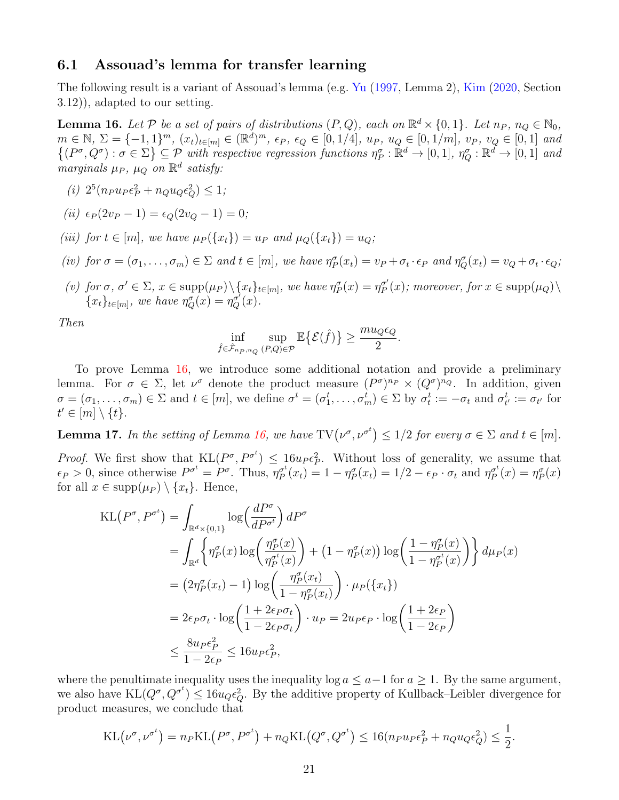#### <span id="page-20-0"></span>6.1 Assouad's lemma for transfer learning

The following result is a variant of Assouad's lemma (e.g. [Yu](#page-46-12) [\(1997,](#page-46-12) Lemma 2), [Kim](#page-44-15) [\(2020,](#page-44-15) Section 3.12)), adapted to our setting.

<span id="page-20-1"></span>**Lemma 16.** Let  $P$  be a set of pairs of distributions  $(P,Q)$ , each on  $\mathbb{R}^d \times \{0,1\}$ . Let  $n_P$ ,  $n_Q \in \mathbb{N}_0$ ,  $m \in \mathbb{N}, \ \Sigma = \{-1, 1\}^m, \ (x_t)_{t \in [m]} \in (\mathbb{R}^d)^m, \ \epsilon_P, \ \epsilon_Q \in [0, 1/4], \ u_P, \ u_Q \in [0, 1/m], \ v_P, \ v_Q \in [0, 1] \$ and  $\{(P^{\sigma}, Q^{\sigma}) : \sigma \in \Sigma\} \subseteq \mathcal{P}$  with respective regression functions  $\eta_{P}^{\sigma} : \mathbb{R}^{d} \to [0,1], \eta_{Q}^{\sigma} : \mathbb{R}^{d} \to [0,1]$  and marginals  $\mu_P$ ,  $\mu_Q$  on  $\mathbb{R}^d$  satisfy:

(*i*)  $2^5(n_P u_P \epsilon_P^2 + n_Q u_Q \epsilon_Q^2) \leq 1;$ 

(*ii*) 
$$
\epsilon_P(2v_P - 1) = \epsilon_Q(2v_Q - 1) = 0;
$$

- (iii) for  $t \in [m]$ , we have  $\mu_P(\lbrace x_t \rbrace) = u_P$  and  $\mu_Q(\lbrace x_t \rbrace) = u_Q$ ;
- (iv) for  $\sigma = (\sigma_1, \ldots, \sigma_m) \in \Sigma$  and  $t \in [m]$ , we have  $\eta_P^{\sigma}(x_t) = v_P + \sigma_t \cdot \epsilon_P$  and  $\eta_Q^{\sigma}(x_t) = v_Q + \sigma_t \cdot \epsilon_Q$ ;
- (v) for  $\sigma$ ,  $\sigma' \in \Sigma$ ,  $x \in \text{supp}(\mu_P) \setminus \{x_t\}_{t \in [m]},$  we have  $\eta_P^{\sigma}(x) = \eta_P^{\sigma'}$  $_{P}^{\sigma'}(x)$ ; moreover, for  $x \in \text{supp}(\mu_Q) \setminus$  ${x_t}_{t\in[m]},$  we have  $\eta_Q^{\sigma}(x) = \eta_Q^{\sigma'}(x)$ .

Then

$$
\inf_{\hat{f}\in\hat{\mathcal{F}}_{n_P,n_Q}(P,Q)\in\mathcal{P}}\mathbb{E}\big\{\mathcal{E}(\hat{f})\big\}\geq \frac{mu_Q\epsilon_Q}{2}.
$$

To prove Lemma [16,](#page-20-1) we introduce some additional notation and provide a preliminary lemma. For  $\sigma \in \Sigma$ , let  $\nu^{\sigma}$  denote the product measure  $(P^{\sigma})^{n_P} \times (Q^{\sigma})^{n_Q}$ . In addition, given  $\sigma = (\sigma_1, \ldots, \sigma_m) \in \Sigma$  and  $t \in [m]$ , we define  $\sigma^t = (\sigma_1^t, \ldots, \sigma_m^t) \in \Sigma$  by  $\sigma_t^t := -\sigma_t$  and  $\sigma_{t'}^t := \sigma_{t'}$  for  $t' \in [m] \setminus \{t\}.$ 

<span id="page-20-2"></span>**Lemma 17.** In the setting of Lemma [16,](#page-20-1) we have  $TV(\nu^{\sigma}, \nu^{\sigma^t}) \leq 1/2$  for every  $\sigma \in \Sigma$  and  $t \in [m]$ .

*Proof.* We first show that  $KL(P^{\sigma}, P^{\sigma^t}) \leq 16u_P \epsilon_P^2$ . Without loss of generality, we assume that  $\epsilon_P > 0$ , since otherwise  $P^{\sigma^t} = P^{\sigma}$ . Thus,  $\eta_P^{\sigma^t}$  $\sigma_P^{\sigma^t}(x_t) = 1 - \eta_P^{\sigma}(x_t) = 1/2 - \epsilon_P \cdot \sigma_t$  and  $\eta_P^{\sigma^t}$  $q_P^{\sigma^t}(x) = \eta_P^{\sigma}(x)$ for all  $x \in \text{supp}(\mu_P) \setminus \{x_t\}$ . Hence,

$$
\begin{split} \text{KL}\big(P^{\sigma}, P^{\sigma^t}\big) &= \int_{\mathbb{R}^d \times \{0,1\}} \log\left(\frac{dP^{\sigma}}{dP^{\sigma^t}}\right) dP^{\sigma} \\ &= \int_{\mathbb{R}^d} \left\{ \eta_P^{\sigma}(x) \log\left(\frac{\eta_P^{\sigma}(x)}{\eta_P^{\sigma^t}(x)}\right) + \left(1 - \eta_P^{\sigma}(x)\right) \log\left(\frac{1 - \eta_P^{\sigma}(x)}{1 - \eta_P^{\sigma^t}(x)}\right) \right\} d\mu_P(x) \\ &= \left(2\eta_P^{\sigma}(x_t) - 1\right) \log\left(\frac{\eta_P^{\sigma}(x_t)}{1 - \eta_P^{\sigma}(x_t)}\right) \cdot \mu_P(\{x_t\}) \\ &= 2\epsilon_P \sigma_t \cdot \log\left(\frac{1 + 2\epsilon_P \sigma_t}{1 - 2\epsilon_P \sigma_t}\right) \cdot u_P = 2u_P \epsilon_P \cdot \log\left(\frac{1 + 2\epsilon_P}{1 - 2\epsilon_P}\right) \\ &\le \frac{8u_P \epsilon_P^2}{1 - 2\epsilon_P} \le 16u_P \epsilon_P^2, \end{split}
$$

where the penultimate inequality uses the inequality log  $a \le a-1$  for  $a \ge 1$ . By the same argument, we also have  $KL(Q^{\sigma}, Q^{\sigma^t}) \leq 16u_Q \epsilon_Q^2$ . By the additive property of Kullback–Leibler divergence for product measures, we conclude that

$$
KL(\nu^{\sigma}, \nu^{\sigma^t}) = n_P KL(P^{\sigma}, P^{\sigma^t}) + n_Q KL(Q^{\sigma}, Q^{\sigma^t}) \le 16(n_P u_P \epsilon_P^2 + n_Q u_Q \epsilon_Q^2) \le \frac{1}{2}.
$$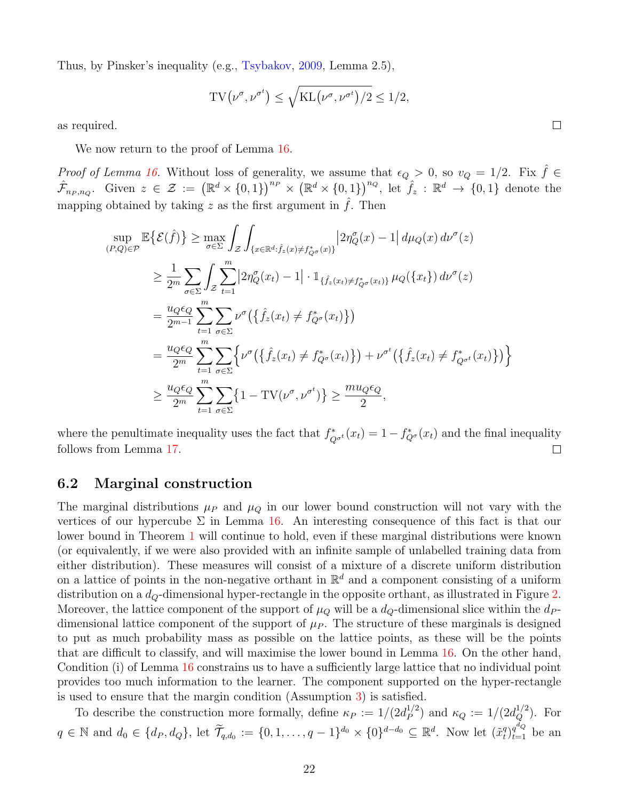Thus, by Pinsker's inequality (e.g., [Tsybakov,](#page-46-13) [2009,](#page-46-13) Lemma 2.5),

$$
TV(\nu^{\sigma}, \nu^{\sigma^t}) \le \sqrt{KL(\nu^{\sigma}, \nu^{\sigma^t})/2} \le 1/2,
$$

as required.

We now return to the proof of Lemma [16.](#page-20-1)

*Proof of Lemma [16.](#page-20-1)* Without loss of generality, we assume that  $\epsilon_Q > 0$ , so  $v_Q = 1/2$ . Fix  $\hat{f} \in$  $\hat{\mathcal{F}}_{n_P,n_Q}$ . Given  $z \in \mathcal{Z} := (\mathbb{R}^d \times \{0,1\})^{n_P} \times (\mathbb{R}^d \times \{0,1\})^{n_Q}$ , let  $\hat{f}_z : \mathbb{R}^d \to \{0,1\}$  denote the mapping obtained by taking z as the first argument in  $\hat{f}$ . Then

$$
\sup_{(P,Q)\in\mathcal{P}} \mathbb{E}\{\mathcal{E}(\hat{f})\} \ge \max_{\sigma\in\Sigma} \int_{\mathcal{Z}} \int_{\{x\in\mathbb{R}^d : \hat{f}_z(x)\neq f_{Q^{\sigma}}^*(x)\}} |2\eta_Q^{\sigma}(x) - 1| d\mu_Q(x) d\nu^{\sigma}(z)
$$
\n
$$
\ge \frac{1}{2^m} \sum_{\sigma\in\Sigma} \int_{\mathcal{Z}} \sum_{t=1}^m |2\eta_Q^{\sigma}(x_t) - 1| \cdot \mathbb{1}_{\{\hat{f}_z(x_t)\neq f_{Q^{\sigma}}^*(x_t)\}} \mu_Q(\{x_t\}) d\nu^{\sigma}(z)
$$
\n
$$
= \frac{u_Q \epsilon_Q}{2^{m-1}} \sum_{t=1}^m \sum_{\sigma\in\Sigma} \nu^{\sigma} (\{\hat{f}_z(x_t) \neq f_{Q^{\sigma}}^*(x_t)\})
$$
\n
$$
= \frac{u_Q \epsilon_Q}{2^m} \sum_{t=1}^m \sum_{\sigma\in\Sigma} \left\{ \nu^{\sigma} (\{\hat{f}_z(x_t) \neq f_{Q^{\sigma}}^*(x_t)\}) + \nu^{\sigma^t} (\{\hat{f}_z(x_t) \neq f_{Q^{\sigma^t}}^*(x_t)\}) \right\}
$$
\n
$$
\ge \frac{u_Q \epsilon_Q}{2^m} \sum_{t=1}^m \sum_{\sigma\in\Sigma} \{1 - \text{TV}(\nu^{\sigma}, \nu^{\sigma^t})\} \ge \frac{mu_Q \epsilon_Q}{2},
$$

where the penultimate inequality uses the fact that  $f^*_{Q^{\sigma^t}}(x_t) = 1 - f^*_{Q^{\sigma}}(x_t)$  and the final inequality follows from Lemma [17.](#page-20-2)  $\Box$ 

#### <span id="page-21-0"></span>6.2 Marginal construction

The marginal distributions  $\mu_P$  and  $\mu_Q$  in our lower bound construction will not vary with the vertices of our hypercube  $\Sigma$  in Lemma [16.](#page-20-1) An interesting consequence of this fact is that our lower bound in Theorem [1](#page-6-0) will continue to hold, even if these marginal distributions were known (or equivalently, if we were also provided with an infinite sample of unlabelled training data from either distribution). These measures will consist of a mixture of a discrete uniform distribution on a lattice of points in the non-negative orthant in  $\mathbb{R}^d$  and a component consisting of a uniform distribution on a  $d_Q$ -dimensional hyper-rectangle in the opposite orthant, as illustrated in Figure [2.](#page-22-0) Moreover, the lattice component of the support of  $\mu_Q$  will be a  $d_Q$ -dimensional slice within the  $d_P$ dimensional lattice component of the support of  $\mu_P$ . The structure of these marginals is designed to put as much probability mass as possible on the lattice points, as these will be the points that are difficult to classify, and will maximise the lower bound in Lemma [16.](#page-20-1) On the other hand, Condition (i) of Lemma [16](#page-20-1) constrains us to have a sufficiently large lattice that no individual point provides too much information to the learner. The component supported on the hyper-rectangle is used to ensure that the margin condition (Assumption [3\)](#page-6-2) is satisfied.

To describe the construction more formally, define  $\kappa_P := 1/(2d_P^{1/2})$  $\binom{1/2}{P}$  and  $\kappa_Q := 1/(2d_Q^{1/2})$ . For  $q \in \mathbb{N}$  and  $d_0 \in \{d_P, d_Q\}$ , let  $\widetilde{\mathcal{T}}_{q,d_0} := \{0, 1, \ldots, q-1\}^{d_0} \times \{0\}^{d-d_0} \subseteq \mathbb{R}^d$ . Now let  $(\tilde{x}_t^q)$  $_{t}^{q}$ <sub> $\big\} _{t=1}^{q^{d_{Q}}}$  be an</sub>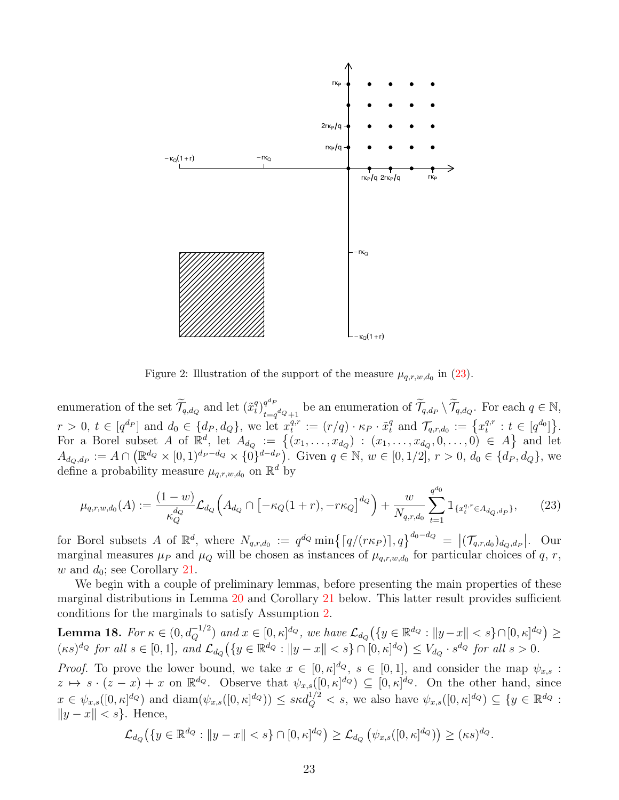<span id="page-22-0"></span>

<span id="page-22-1"></span>Figure 2: Illustration of the support of the measure  $\mu_{q,r,w,d_0}$  in [\(23\)](#page-22-1).

enumeration of the set  $\widetilde{\mathcal{T}}_{q,d_{Q}}$  and let  $(\widetilde{x}_{t}^{q})$  $\binom{q}{t}_{t-c}^{q^d F}$  $t_{t=q}^{q^{d_P}}$  be an enumeration of  $\widetilde{\mathcal{T}}_{q,d_P} \setminus \widetilde{\mathcal{T}}_{q,d_Q}$ . For each  $q \in \mathbb{N}$ ,  $r > 0, t \in [q^{d_P}]$  and  $d_0 \in \{d_P, d_Q\}$ , we let  $x_t^{q,r}$  $t^{q,r} := (r/q) \cdot \kappa_P \cdot \tilde{x}_t^q$  and  $\mathcal{T}_{q,r,d_0} := \left\{ x_t^{q,r} \right\}$  $t^{q,r}: t \in [q^{d_0}]\}.$ For a Borel subset A of  $\mathbb{R}^d$ , let  $A_{d_Q} := \{(x_1, \ldots, x_{d_Q}) : (x_1, \ldots, x_{d_Q}, 0, \ldots, 0) \in A\}$  and let  $A_{d_Q,d_P} := A \cap \left( \mathbb{R}^{d_Q} \times [0,1)^{d_P - d_Q} \times \{0\}^{d - d_P} \right)$ . Given  $q \in \mathbb{N}, w \in [0,1/2], r > 0, d_0 \in \{d_P, d_Q\}$ , we define a probability measure  $\mu_{q,r,w,d_0}$  on  $\mathbb{R}^d$  by

$$
\mu_{q,r,w,d_0}(A) := \frac{(1-w)}{\kappa_Q^{d_Q}} \mathcal{L}_{d_Q} \left( A_{d_Q} \cap \left[ -\kappa_Q (1+r), -r\kappa_Q \right]^{d_Q} \right) + \frac{w}{N_{q,r,d_0}} \sum_{t=1}^{q^{d_0}} \mathbbm{1}_{\{x_t^{q,r} \in A_{d_Q,d_P}\}},\tag{23}
$$

for Borel subsets A of  $\mathbb{R}^d$ , where  $N_{q,r,d_0} := q^{d_Q} \min\{ [q/(r\kappa_P)], q \}^{d_0-d_Q} = |(\mathcal{T}_{q,r,d_0})_{d_Q,d_P}|$ . Our marginal measures  $\mu_P$  and  $\mu_Q$  will be chosen as instances of  $\mu_{q,r,w,d_0}$  for particular choices of q, r, w and  $d_0$ ; see Corollary [21.](#page-23-0)

We begin with a couple of preliminary lemmas, before presenting the main properties of these marginal distributions in Lemma [20](#page-23-1) and Corollary [21](#page-23-0) below. This latter result provides sufficient conditions for the marginals to satisfy Assumption [2.](#page-5-3)

<span id="page-22-2"></span>**Lemma 18.** For 
$$
\kappa \in (0, d_Q^{-1/2})
$$
 and  $x \in [0, \kappa]^{d_Q}$ , we have  $\mathcal{L}_{d_Q}(\{y \in \mathbb{R}^{d_Q} : ||y - x|| < s\} \cap [0, \kappa]^{d_Q}) \ge$   
 $(\kappa s)^{d_Q}$  for all  $s \in [0, 1]$ , and  $\mathcal{L}_{d_Q}(\{y \in \mathbb{R}^{d_Q} : ||y - x|| < s\} \cap [0, \kappa]^{d_Q}) \le V_{d_Q} \cdot s^{d_Q}$  for all  $s > 0$ .

*Proof.* To prove the lower bound, we take  $x \in [0, \kappa]^{d_Q}$ ,  $s \in [0, 1]$ , and consider the map  $\psi_{x,s}$ :  $z \mapsto s \cdot (z-x) + x$  on  $\mathbb{R}^{d_Q}$ . Observe that  $\psi_{x,s}([0,\kappa]^{d_Q}) \subseteq [0,\kappa]^{d_Q}$ . On the other hand, since  $x \in \psi_{x,s}([0,\kappa]^{d_Q})$  and  $\text{diam}(\psi_{x,s}([0,\kappa]^{d_Q})) \leq s \kappa d_Q^{1/2} < s$ , we also have  $\psi_{x,s}([0,\kappa]^{d_Q}) \subseteq \{y \in \mathbb{R}^{d_Q}$ :  $||y - x|| < s$ . Hence,

$$
\mathcal{L}_{d_Q}\big(\{y\in\mathbb{R}^{d_Q}: \|y-x\|
$$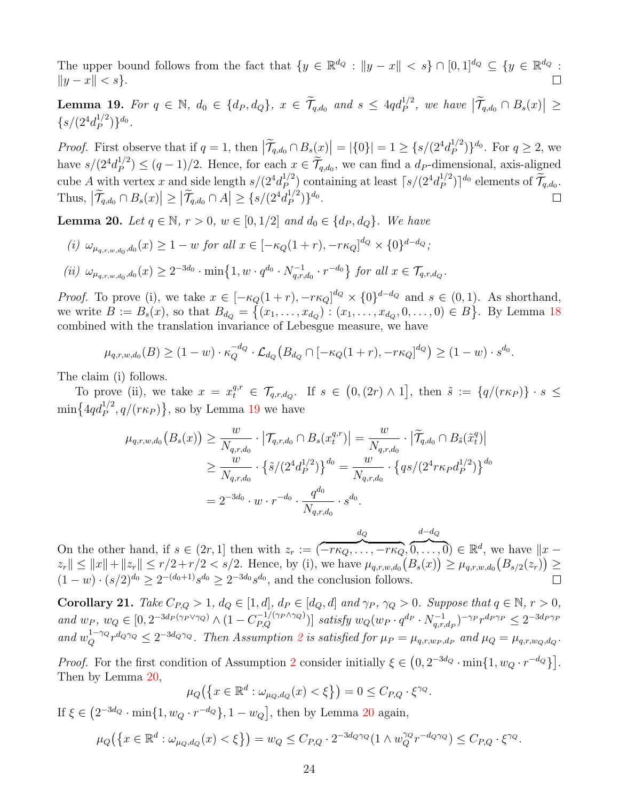The upper bound follows from the fact that  $\{y \in \mathbb{R}^{d_Q} : ||y - x|| < s\} \cap [0, 1]^{d_Q} \subseteq \{y \in \mathbb{R}^{d_Q} : \|y - x\| \le s\}$  $||y - x|| < s$ .

<span id="page-23-2"></span>**Lemma 19.** For  $q \in \mathbb{N}$ ,  $d_0 \in \{d_P, d_Q\}$ ,  $x \in \widetilde{\mathcal{T}}_{q,d_0}$  and  $s \leq 4qd_P^{1/2}$ , we have  $|\widetilde{\mathcal{T}}_{q,d_0} \cap B_s(x)| \geq$  $\{s/(2^4d_P^{1/2}$  $_{P}^{1/2})\}^{d_{0}}.$ 

*Proof.* First observe that if  $q = 1$ , then  $|\widetilde{\mathcal{T}}_{q,d_0} \cap B_s(x)| = |\{0\}| = 1 \geq \{s/(2^4 d_P^{1/2})\}$  $_{P}^{1/2}$ }<sup>d<sub>0</sub></sup>. For  $q \ge 2$ , we have  $s/(2^4d_P^{1/2})$  $\mathcal{P}_P^{1/2}$   $\leq (q-1)/2$ . Hence, for each  $x \in \mathcal{T}_{q,d_0}$ , we can find a  $d_P$ -dimensional, axis-aligned cube A with vertex x and side length  $s/(2^4d_p^{1/2})$  $\binom{1/2}{P}$  containing at least  $\lceil s/(2^4d_P^{1/2}) \rceil$  $\left[\begin{matrix}a/2\\P\end{matrix}\right]$ <sup>d<sub>0</sub></sup> elements of  $\widetilde{\mathcal{T}}_{q,d_0}$ . Thus,  $|\widetilde{\mathcal{T}}_{q,d_0} \cap B_s(x)| \geq |\widetilde{\mathcal{T}}_{q,d_0} \cap A| \geq \{s/(2^4d_P^{1/2})\}$  $_{P}^{1/2})\}$ <sup>do</sup>.

<span id="page-23-1"></span>**Lemma 20.** Let  $q \in \mathbb{N}$ ,  $r > 0$ ,  $w \in [0, 1/2]$  and  $d_0 \in \{d_P, d_Q\}$ . We have

(i) 
$$
\omega_{\mu_{q,r,w,d_0},d_0}(x) \ge 1 - w
$$
 for all  $x \in [-\kappa_Q(1+r), -r\kappa_Q]^{d_Q} \times \{0\}^{d-d_Q};$   
\n(ii)  $\omega_{\mu_{q,r,w,d_0},d_0}(x) \ge 2^{-3d_0} \cdot \min\{1, w \cdot q^{d_0} \cdot N_{q,r,d_0}^{-1} \cdot r^{-d_0}\}$  for all  $x \in \mathcal{T}_{q,r,d_Q}$ 

*Proof.* To prove (i), we take  $x \in [-\kappa_Q(1+r), -r\kappa_Q]^{d_Q} \times \{0\}^{d-d_Q}$  and  $s \in (0,1)$ . As shorthand, we write  $B := B_s(x)$ , so that  $B_{d_Q} = \{(x_1, \ldots, x_{d_Q}) : (x_1, \ldots, x_{d_Q}, 0, \ldots, 0) \in B\}$ . By Lemma [18](#page-22-2) combined with the translation invariance of Lebesgue measure, we have

.

$$
\mu_{q,r,w,d_0}(B) \ge (1-w) \cdot \kappa_Q^{-d_Q} \cdot \mathcal{L}_{d_Q}(B_{d_Q} \cap [-\kappa_Q(1+r), -r\kappa_Q]^{d_Q}) \ge (1-w) \cdot s^{d_0}.
$$

The claim (i) follows.

To prove (ii), we take  $x = x_t^{q,r} \in \mathcal{T}_{q,r,d_Q}$ . If  $s \in (0,(2r) \wedge 1]$ , then  $\tilde{s} := \{q/(r\kappa_P)\}\cdot s \leq$  $\min\left\{4qd_P^{1/2}, q/(r\kappa_P)\right\}$ , so by Lemma [19](#page-23-2) we have

$$
\mu_{q,r,w,d_0}(B_s(x)) \ge \frac{w}{N_{q,r,d_0}} \cdot \left| \mathcal{T}_{q,r,d_0} \cap B_s(x_t^{q,r}) \right| = \frac{w}{N_{q,r,d_0}} \cdot \left| \widetilde{\mathcal{T}}_{q,d_0} \cap B_{\tilde{s}}(\tilde{x}_t^q) \right|
$$
  
\n
$$
\ge \frac{w}{N_{q,r,d_0}} \cdot \left\{ \tilde{s} / (2^4 d_P^{1/2}) \right\}^{d_0} = \frac{w}{N_{q,r,d_0}} \cdot \left\{ qs / (2^4 r \kappa_P d_P^{1/2}) \right\}^{d_0}
$$
  
\n
$$
= 2^{-3d_0} \cdot w \cdot r^{-d_0} \cdot \frac{q^{d_0}}{N_{q,r,d_0}} \cdot s^{d_0}.
$$

 $d - d_Q$  $d_{\boldsymbol{Q}}$  $\overline{0,\ldots,0} \in \mathbb{R}^d$ , we have  $||x \widetilde{-r \kappa_Q, \ldots, -r \kappa_Q},$ On the other hand, if  $s \in (2r, 1]$  then with  $z_r :=$  (  $||z_r|| \leq ||x|| + ||z_r|| \leq r/2 + r/2 < s/2$ . Hence, by (i), we have  $\mu_{q,r,w,d_0}(B_s(x)) \geq \mu_{q,r,w,d_0}(B_{s/2}(z_r)) \geq$  $(1-w) \cdot (s/2)^{d_0} \geq 2^{-(d_0+1)} s^{d_0} \geq 2^{-3d_0} s^{d_0}$ , and the conclusion follows.  $\Box$ 

<span id="page-23-0"></span>**Corollary 21.** Take  $C_{P,Q} > 1$ ,  $d_Q \in [1, d]$ ,  $d_P \in [d_Q, d]$  and  $\gamma_P$ ,  $\gamma_Q > 0$ . Suppose that  $q \in \mathbb{N}$ ,  $r > 0$ , and  $w_P$ ,  $w_Q \in [0, 2^{-3d_P(\gamma_P \vee \gamma_Q)} \wedge (1 - C_{P,Q}^{-1/(\gamma_P \wedge \gamma_Q)})]$  satisfy  $w_Q(w_P \cdot q^{d_P} \cdot N_{q,r,q}^{-1})$  $\frac{(-1)}{q,r,d_P}$ )<sup>- $\gamma_P \gamma^{d_P \gamma_P} \leq 2^{-3d_P \gamma_P}$ </sup> and  $w_Q^{1-\gamma_Q} r^{d_Q \gamma_Q} \leq 2^{-3d_Q \gamma_Q}$  $w_Q^{1-\gamma_Q} r^{d_Q \gamma_Q} \leq 2^{-3d_Q \gamma_Q}$  $w_Q^{1-\gamma_Q} r^{d_Q \gamma_Q} \leq 2^{-3d_Q \gamma_Q}$ . Then Assumption 2 is satisfied for  $\mu_P = \mu_{q,r,w_P,d_P}$  and  $\mu_Q = \mu_{q,r,w_Q,d_Q}$ .

*Proof.* For the first condition of Assumption [2](#page-5-3) consider initially  $\xi \in (0, 2^{-3d_Q} \cdot \min\{1, w_Q \cdot r^{-d_Q}\}]$ . Then by Lemma [20,](#page-23-1)

$$
\mu_Q\big(\big\{x\in\mathbb{R}^d:\omega_{\mu_Q,d_Q}(x)<\xi\big\}\big)=0\leq C_{P,Q}\cdot\xi^{\gamma_Q}.
$$

If  $\xi \in (2^{-3d_Q} \cdot \min\{1, w_Q \cdot r^{-d_Q}\}, 1 - w_Q]$ , then by Lemma [20](#page-23-1) again,

$$
\mu_Q\big(\big\{x\in\mathbb{R}^d:\omega_{\mu_Q,d_Q}(x)<\xi\big\}\big)=w_Q\leq C_{P,Q}\cdot 2^{-3d_Q\gamma_Q}(1\wedge w_Q^{\gamma_Q}r^{-d_Q\gamma_Q})\leq C_{P,Q}\cdot \xi^{\gamma_Q}.
$$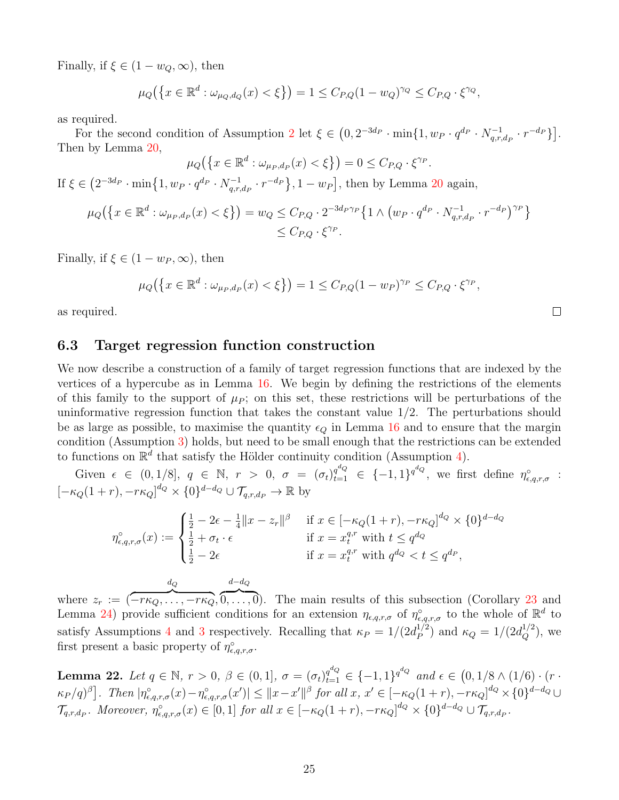Finally, if  $\xi \in (1 - w_Q, \infty)$ , then

$$
\mu_Q(\{x \in \mathbb{R}^d : \omega_{\mu_Q, d_Q}(x) < \xi\}) = 1 \le C_{P,Q} (1 - w_Q)^{\gamma_Q} \le C_{P,Q} \cdot \xi^{\gamma_Q},
$$

as required.

For the second condition of Assumption [2](#page-5-3) let  $\xi \in (0, 2^{-3d_P} \cdot \min\{1, w_P \cdot q^{d_P} \cdot N_{q,r}^{-1}\})$  $\left. \begin{array}{c} -1 \ q,r,d_P \end{array} \cdot r^{-d_P} \right\} \Big].$ Then by Lemma [20,](#page-23-1)

$$
\mu_Q\big(\big\{x\in\mathbb{R}^d:\omega_{\mu_P,d_P}(x)<\xi\big\}\big)=0\leq C_{P,Q}\cdot\xi^{\gamma_P}.
$$

If  $\xi \in (2^{-3d_P} \cdot \min\{1, w_P \cdot q^{d_P} \cdot N_{a,r}^{-1}]$  $\{q_{q,r,d_P}^{q-1} \cdot r^{-dp}\}, 1 - w_P\big],$  then by Lemma [20](#page-23-1) again,

$$
\mu_Q\big(\big\{x \in \mathbb{R}^d : \omega_{\mu_P, d_P}(x) < \xi\big\}\big) = w_Q \leq C_{P,Q} \cdot 2^{-3d_P \gamma_P} \big\{1 \wedge \big(w_P \cdot q^{d_P} \cdot N_{q,r,d_P}^{-1} \cdot r^{-d_P}\big)^{\gamma_P}\big\} \\ \leq C_{P,Q} \cdot \xi^{\gamma_P}.
$$

Finally, if  $\xi \in (1 - w_P, \infty)$ , then

$$
\mu_Q(\{x \in \mathbb{R}^d : \omega_{\mu_P, d_P}(x) < \xi\}) = 1 \le C_{P,Q} (1 - w_P)^{\gamma_P} \le C_{P,Q} \cdot \xi^{\gamma_P},
$$

 $\Box$ 

as required.

#### <span id="page-24-0"></span>6.3 Target regression function construction

We now describe a construction of a family of target regression functions that are indexed by the vertices of a hypercube as in Lemma [16.](#page-20-1) We begin by defining the restrictions of the elements of this family to the support of  $\mu_P$ ; on this set, these restrictions will be perturbations of the uninformative regression function that takes the constant value  $1/2$ . The perturbations should be as large as possible, to maximise the quantity  $\epsilon_Q$  in Lemma [16](#page-20-1) and to ensure that the margin condition (Assumption [3\)](#page-6-2) holds, but need to be small enough that the restrictions can be extended to functions on  $\mathbb{R}^d$  that satisfy the Hölder continuity condition (Assumption [4\)](#page-6-1).

Given  $\epsilon \in (0,1/8], q \in \mathbb{N}, r > 0, \sigma = (\sigma_t)_{t=1}^{q^d Q} \in \{-1,1\}^{q^{d}Q},$  we first define  $\eta_{\epsilon,q,r,\sigma}^{\circ}$ :  $[-\kappa_Q(1+r), -r\kappa_Q]^{d_Q} \times \{0\}^{d-d_Q} \cup \mathcal{T}_{q,r,d_P} \to \mathbb{R}$  by

$$
\eta_{\epsilon,q,r,\sigma}^{\circ}(x) := \begin{cases} \frac{1}{2} - 2\epsilon - \frac{1}{4} \|x - z_r\|^{\beta} & \text{if } x \in [-\kappa_Q(1+r), -r\kappa_Q]^{d_Q} \times \{0\}^{d-d_Q} \\ \frac{1}{2} + \sigma_t \cdot \epsilon & \text{if } x = x_t^{q,r} \text{ with } t \le q^{d_Q} \\ \frac{1}{2} - 2\epsilon & \text{if } x = x_t^{q,r} \text{ with } q^{d_Q} < t \le q^{d_P}, \end{cases}
$$

where  $z_r :=$  (  $d_{\boldsymbol{Q}}$  $\widetilde{-r\kappa_Q,\ldots,-r\kappa_Q},$  $d - d_Q$  $\overline{0, \ldots, 0}$ . The main results of this subsection (Corollary [23](#page-25-0) and Lemma [24\)](#page-25-1) provide sufficient conditions for an extension  $\eta_{\epsilon,q,r,\sigma}$  of  $\eta_{\epsilon,q,r,\sigma}^{\circ}$  to the whole of  $\mathbb{R}^d$  to satisfy Assumptions [4](#page-6-1) and [3](#page-6-2) respectively. Recalling that  $\kappa_P = 1/(2d_P^{1/2})$  $\binom{1/2}{P}$  and  $\kappa_Q = 1/(2d_Q^{1/2})$ , we first present a basic property of  $\eta_{\epsilon,q,r,\sigma}^{\circ}$ .

<span id="page-24-1"></span>**Lemma 22.** Let  $q \in \mathbb{N}$ ,  $r > 0$ ,  $\beta \in (0, 1]$ ,  $\sigma = (\sigma_t)_{t=1}^{q^{d_Q}} \in \{-1, 1\}^{q^{d_Q}}$  and  $\epsilon \in (0, 1/8 \wedge (1/6) \cdot (r \cdot$  $\kappa_P/q)^{\beta}$ . Then  $|\eta_{\epsilon,q,r,\sigma}^{\circ}(x)-\eta_{\epsilon,q,r,\sigma}^{\circ}(x')|\leq ||x-x'||^{\beta}$  for all  $x, x'\in [-\kappa_Q(1+r), -r\kappa_Q]^{d_Q}\times \{0\}^{d-d_Q}\cup$  $\mathcal{T}_{q,r,d_P}$ . Moreover,  $\eta_{\epsilon,q,r,\sigma}^{\circ}(x) \in [0,1]$  for all  $x \in [-\kappa_Q(1+r), -r\kappa_Q]^{d_Q} \times \{0\}^{d-d_Q} \cup \mathcal{T}_{q,r,d_P}$ .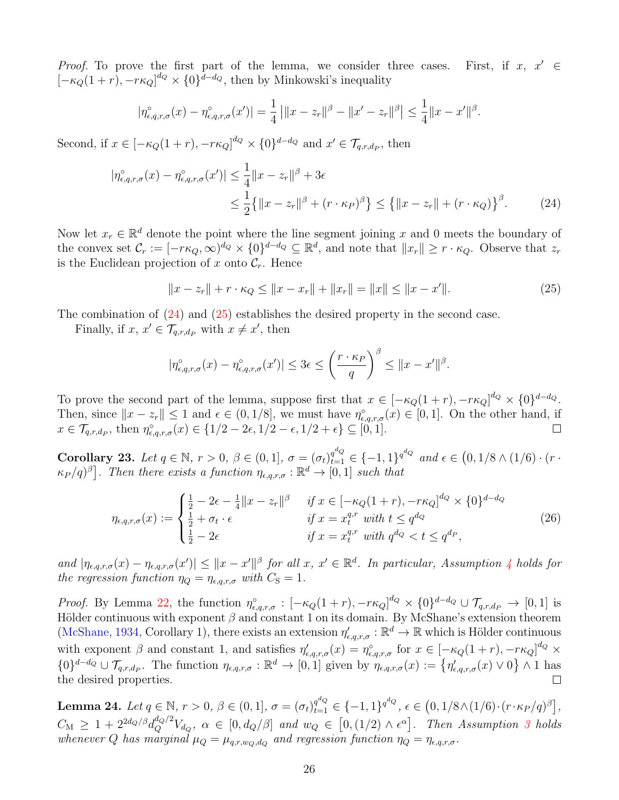Proof. To prove the first part of the lemma, we consider three cases. First, if  $x, x' \in$  $[-\kappa_Q(1+r), -r\kappa_Q]^{d_Q} \times \{0\}^{\bar{d}-d_Q}$ , then by Minkowski's inequality

$$
|\eta_{\epsilon,q,r,\sigma}^{\circ}(x) - \eta_{\epsilon,q,r,\sigma}^{\circ}(x')| = \frac{1}{4} ||x - z_r||^{\beta} - ||x' - z_r||^{\beta} \le \frac{1}{4} ||x - x'||^{\beta}.
$$

Second, if  $x \in [-\kappa_Q(1+r), -r\kappa_Q]^{d_Q} \times \{0\}^{d-d_Q}$  and  $x' \in \mathcal{T}_{q,r,d_P}$ , then

$$
|\eta_{\epsilon,q,r,\sigma}^{\circ}(x) - \eta_{\epsilon,q,r,\sigma}^{\circ}(x')| \le \frac{1}{4} \|x - z_r\|^{\beta} + 3\epsilon
$$
  

$$
\le \frac{1}{2} \{ \|x - z_r\|^{\beta} + (r \cdot \kappa_P)^{\beta} \} \le \{ \|x - z_r\| + (r \cdot \kappa_Q) \}^{\beta}.
$$
 (24)

Now let  $x_r \in \mathbb{R}^d$  denote the point where the line segment joining x and 0 meets the boundary of the convex set  $\mathcal{C}_r := [-r\kappa_Q, \infty)^{d_Q} \times \{0\}^{d-d_Q} \subseteq \mathbb{R}^d$ , and note that  $||x_r|| \geq r \cdot \kappa_Q$ . Observe that  $z_r$ is the Euclidean projection of x onto  $C_r$ . Hence

<span id="page-25-3"></span><span id="page-25-2"></span>
$$
||x - z_r|| + r \cdot \kappa_Q \le ||x - x_r|| + ||x_r|| = ||x|| \le ||x - x'||. \tag{25}
$$

The combination of [\(24\)](#page-25-2) and [\(25\)](#page-25-3) establishes the desired property in the second case.

Finally, if  $x, x' \in \mathcal{T}_{q,r,d_P}$  with  $x \neq x'$ , then

<span id="page-25-4"></span>
$$
|\eta_{\epsilon,q,r,\sigma}^{\circ}(x) - \eta_{\epsilon,q,r,\sigma}^{\circ}(x')| \le 3\epsilon \le \left(\frac{r \cdot \kappa_P}{q}\right)^{\beta} \le ||x - x'||^{\beta}.
$$

To prove the second part of the lemma, suppose first that  $x \in [-\kappa_Q(1+r), -r\kappa_Q]^{d_Q} \times \{0\}^{d-d_Q}$ . Then, since  $||x - z_r|| \leq 1$  and  $\epsilon \in (0, 1/8]$ , we must have  $\eta_{\epsilon,q,r,\sigma}^{\circ}(x) \in [0,1]$ . On the other hand, if  $x \in \mathcal{T}_{q,r,d_P}$ , then  $\eta_{\epsilon,q,r,\sigma}^{\circ}(x) \in \{1/2 - 2\epsilon, 1/2 - \epsilon, 1/2 + \epsilon\} \subseteq [0,1].$  $\Box$ 

<span id="page-25-0"></span>Corollary 23. Let  $q \in \mathbb{N}$ ,  $r > 0$ ,  $\beta \in (0,1]$ ,  $\sigma = (\sigma_t)_{t=1}^{q^{d_Q}} \in \{-1,1\}^{q^{d_Q}}$  and  $\epsilon \in (0,1/8 \wedge (1/6) \cdot (r \cdot$  $\kappa_P/q)^{\beta}$ . Then there exists a function  $\eta_{\epsilon,q,r,\sigma}:\mathbb{R}^d\to[0,1]$  such that

$$
\eta_{\epsilon,q,r,\sigma}(x) := \begin{cases} \frac{1}{2} - 2\epsilon - \frac{1}{4} \|x - z_r\|^{\beta} & \text{if } x \in [-\kappa_Q(1+r), -r\kappa_Q]^{d_Q} \times \{0\}^{d-d_Q} \\ \frac{1}{2} + \sigma_t \cdot \epsilon & \text{if } x = x_t^{q,r} \text{ with } t \le q^{d_Q} \\ \frac{1}{2} - 2\epsilon & \text{if } x = x_t^{q,r} \text{ with } q^{d_Q} < t \le q^{d_P}, \end{cases} \tag{26}
$$

and  $|\eta_{\epsilon,q,r,\sigma}(x) - \eta_{\epsilon,q,r,\sigma}(x')| \leq ||x - x'||^{\beta}$  for all  $x, x' \in \mathbb{R}^d$ . In particular, Assumption [4](#page-6-1) holds for the regression function  $\eta_Q = \eta_{\epsilon, a, r, \sigma}$  with  $C_S = 1$ .

*Proof.* By Lemma [22,](#page-24-1) the function  $\eta_{\epsilon,q,r,\sigma}^{\circ} : [-\kappa_Q(1+r), -r\kappa_Q]^{d_Q} \times \{0\}^{d-d_Q} \cup \mathcal{T}_{q,r,d_P} \to [0,1]$  is Hölder continuous with exponent  $\beta$  and constant 1 on its domain. By McShane's extension theorem [\(McShane,](#page-45-11) [1934,](#page-45-11) Corollary 1), there exists an extension  $\eta'_{\epsilon,q,r,\sigma}:\mathbb{R}^d\to\mathbb{R}$  which is Hölder continuous with exponent  $\beta$  and constant 1, and satisfies  $\eta'_{\epsilon,q,r,\sigma}(x) = \eta_{\epsilon,q,r,\sigma}^{\circ}$  for  $x \in [-\kappa_Q(1+r), -r\kappa_Q]^{d_Q} \times$  $\{0\}^{d-d_Q} \cup \mathcal{T}_{q,r,d_P}$ . The function  $\eta_{\epsilon,q,r,\sigma} : \mathbb{R}^d \to [0,1]$  given by  $\eta_{\epsilon,q,r,\sigma}(x) := \{\eta'_{\epsilon,q,r,\sigma}(x) \vee 0\} \wedge 1$  has the desired properties.  $\Box$ 

<span id="page-25-1"></span>Lemma 24. Let  $q \in \mathbb{N}$ ,  $r > 0$ ,  $\beta \in (0,1]$ ,  $\sigma = (\sigma_t)_{t=1}^{q^{d_Q}} \in \{-1,1\}^{q^{d_Q}}, \, \epsilon \in \big(0,1/8 \wedge (1/6) \cdot (r \cdot \kappa_P/q)^{\beta}\big]$ ,  $C_M \geq 1 + 2^{2d_Q/\beta} d_Q^{d_Q/2} V_{d_Q}, \ \alpha \in [0, d_Q/\beta]$  and  $w_Q \in [0, (1/2) \wedge \epsilon^{\alpha}]$ . Then Assumption [3](#page-6-2) holds whenever Q has marginal  $\mu_Q = \mu_{q,r,w_Q,d_Q}$  and regression function  $\eta_Q = \eta_{\epsilon,q,r,\sigma}$ .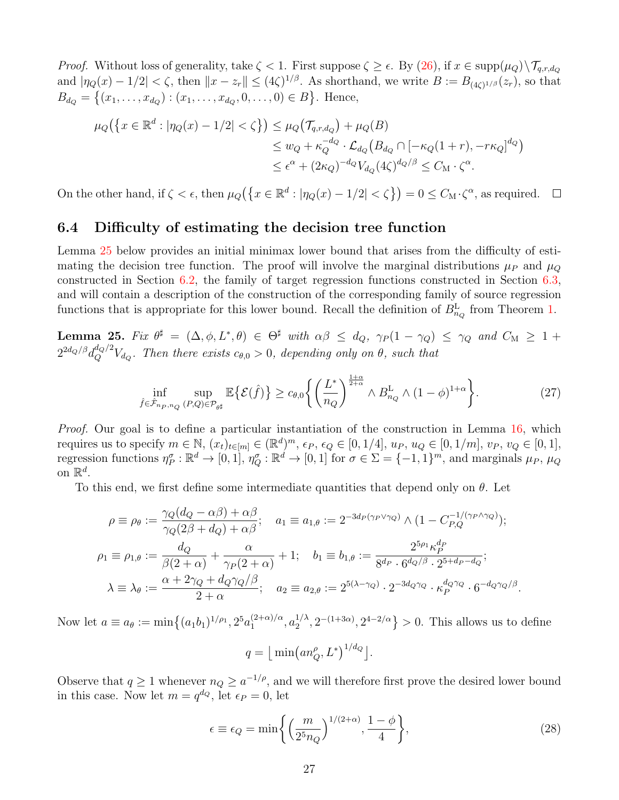*Proof.* Without loss of generality, take  $\zeta < 1$ . First suppose  $\zeta \geq \epsilon$ . By [\(26\)](#page-25-4), if  $x \in \text{supp}(\mu_Q) \setminus \mathcal{T}_{q,r,d_Q}$ and  $|\eta_Q(x) - 1/2| < \zeta$ , then  $||x - z_r|| \leq (4\zeta)^{1/\beta}$ . As shorthand, we write  $B := B_{(4\zeta)^{1/\beta}}(z_r)$ , so that  $B_{d_Q} = \{(x_1, \ldots, x_{d_Q}) : (x_1, \ldots, x_{d_Q}, 0, \ldots, 0) \in B\}$ . Hence,

$$
\mu_Q(\lbrace x \in \mathbb{R}^d : |\eta_Q(x) - 1/2| < \zeta \rbrace) \le \mu_Q(\mathcal{T}_{q,r,d_Q}) + \mu_Q(B) \\
\le w_Q + \kappa_Q^{-d_Q} \cdot \mathcal{L}_{d_Q}(B_{d_Q} \cap [-\kappa_Q(1+r), -r\kappa_Q]^{d_Q}) \\
\le \epsilon^{\alpha} + (2\kappa_Q)^{-d_Q} V_{d_Q}(4\zeta)^{d_Q/\beta} \le C_M \cdot \zeta^{\alpha}.
$$

On the other hand, if  $\zeta < \epsilon$ , then  $\mu_Q(\{x \in \mathbb{R}^d : |\eta_Q(x) - 1/2| < \zeta\}) = 0 \le C_M \cdot \zeta^{\alpha}$ , as required.  $\Box$ 

### <span id="page-26-0"></span>6.4 Difficulty of estimating the decision tree function

Lemma [25](#page-26-1) below provides an initial minimax lower bound that arises from the difficulty of estimating the decision tree function. The proof will involve the marginal distributions  $\mu_P$  and  $\mu_Q$ constructed in Section [6.2,](#page-21-0) the family of target regression functions constructed in Section [6.3,](#page-24-0) and will contain a description of the construction of the corresponding family of source regression functions that is appropriate for this lower bound. Recall the definition of  $B_{n_Q}^{\text{L}}$  from Theorem [1.](#page-6-0)

<span id="page-26-1"></span>Lemma 25. Fix  $\theta^{\sharp} = (\Delta, \phi, L^*, \theta) \in \Theta^{\sharp}$  with  $\alpha\beta \leq d_Q$ ,  $\gamma_P(1-\gamma_Q) \leq \gamma_Q$  and  $C_M \geq 1+\epsilon$  $2^{2d_{Q}/\beta}d_{Q}^{d_{Q}/2}V_{d_{Q}}.$  Then there exists  $c_{\theta,0}>0$ , depending only on  $\theta$ , such that

$$
\inf_{\hat{f}\in\hat{\mathcal{F}}_{n_P,n_Q}(P,Q)\in\mathcal{P}_{\theta^\sharp}} \mathbb{E}\big\{\mathcal{E}(\hat{f})\big\} \ge c_{\theta,0} \bigg\{\bigg(\frac{L^*}{n_Q}\bigg)^{\frac{1+\alpha}{2+\alpha}} \wedge B_{n_Q}^{\mathcal{L}} \wedge (1-\phi)^{1+\alpha}\bigg\}.\tag{27}
$$

*Proof.* Our goal is to define a particular instantiation of the construction in Lemma [16,](#page-20-1) which requires us to specify  $m \in \mathbb{N}$ ,  $(x_t)_{t \in [m]} \in (\mathbb{R}^d)^m$ ,  $\epsilon_P$ ,  $\epsilon_Q \in [0, 1/4]$ ,  $u_P$ ,  $u_Q \in [0, 1/m]$ ,  $v_P$ ,  $v_Q \in [0, 1]$ , regression functions  $\eta_P^{\sigma}: \mathbb{R}^d \to [0,1], \eta_Q^{\sigma}: \mathbb{R}^d \to [0,1]$  for  $\sigma \in \Sigma = \{-1,1\}^m$ , and marginals  $\mu_P$ ,  $\mu_Q$ on  $\mathbb{R}^d$ .

To this end, we first define some intermediate quantities that depend only on  $\theta$ . Let

$$
\rho \equiv \rho_{\theta} := \frac{\gamma_Q(d_Q - \alpha \beta) + \alpha \beta}{\gamma_Q(2\beta + d_Q) + \alpha \beta}; \quad a_1 \equiv a_{1,\theta} := 2^{-3d_P(\gamma_P \vee \gamma_Q)} \wedge (1 - C_{P,Q}^{-1/(\gamma_P \wedge \gamma_Q)});
$$
  
\n
$$
\rho_1 \equiv \rho_{1,\theta} := \frac{d_Q}{\beta(2+\alpha)} + \frac{\alpha}{\gamma_P(2+\alpha)} + 1; \quad b_1 \equiv b_{1,\theta} := \frac{2^{5\rho_1} \kappa_P^{d_P}}{8^{d_P} \cdot 6^{d_Q/\beta} \cdot 2^{5+d_P - d_Q}};
$$
  
\n
$$
\lambda \equiv \lambda_{\theta} := \frac{\alpha + 2\gamma_Q + d_Q \gamma_Q/\beta}{2+\alpha}; \quad a_2 \equiv a_{2,\theta} := 2^{5(\lambda - \gamma_Q)} \cdot 2^{-3d_Q \gamma_Q} \cdot \kappa_P^{d_Q \gamma_Q} \cdot 6^{-d_Q \gamma_Q/\beta}.
$$

Now let  $a \equiv a_{\theta} := \min\{(a_1b_1)^{1/\rho_1}, 2^5 a_1^{(2+\alpha)/\alpha}\}$  $\binom{(2+\alpha)/\alpha}{1}, \binom{1/\lambda}{2}$  $\binom{1}{2}$ ,  $2^{-(1+3\alpha)}$ ,  $2^{4-2/\alpha}$  > 0. This allows us to define

$$
q = \left\lfloor \min\left(an_Q^{\rho}, L^*\right)^{1/d_Q}\right\rfloor.
$$

Observe that  $q \ge 1$  whenever  $n_Q \ge a^{-1/\rho}$ , and we will therefore first prove the desired lower bound in this case. Now let  $m = q^{d_Q}$ , let  $\epsilon_P = 0$ , let

<span id="page-26-2"></span>
$$
\epsilon \equiv \epsilon_Q = \min\left\{ \left( \frac{m}{2^5 n_Q} \right)^{1/(2+\alpha)}, \frac{1-\phi}{4} \right\},\tag{28}
$$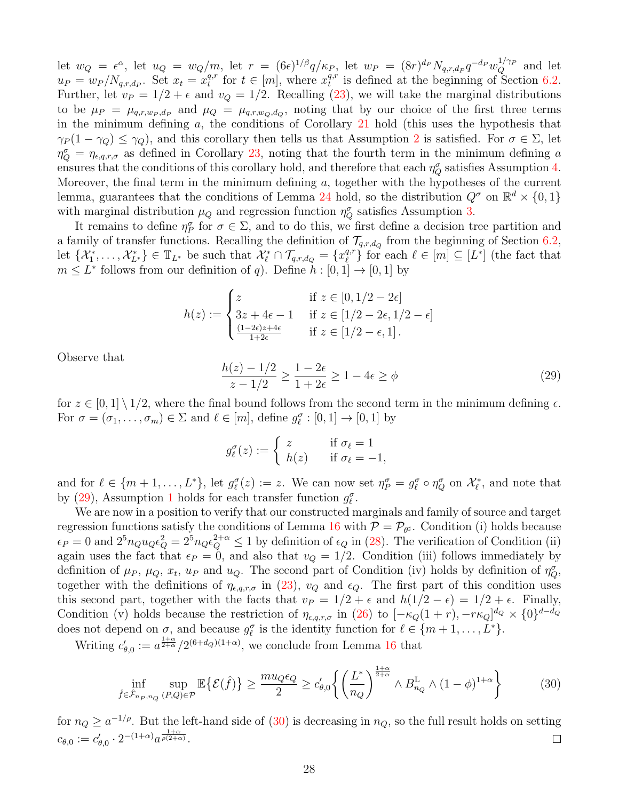let  $w_Q = \epsilon^{\alpha}$ , let  $u_Q = w_Q/m$ , let  $r = (6\epsilon)^{1/\beta}q/\kappa_P$ , let  $w_P = (8r)^{d_P}N_{q,r,d_P}q^{-d_P}w_Q^{1/\gamma_P}$  and let  $u_P = w_P / N_{q,r,d_P}$ . Set  $x_t = x_t^{q,r}$  $t_t^{q,r}$  for  $t \in [m]$ , where  $x_t^{q,r}$  $t_t^{q,r}$  is defined at the beginning of Section [6.2.](#page-21-0) Further, let  $v_P = 1/2 + \epsilon$  and  $v_Q = 1/2$ . Recalling [\(23\)](#page-22-1), we will take the marginal distributions to be  $\mu_P = \mu_{q,r,w_P,d_P}$  and  $\mu_Q = \mu_{q,r,w_Q,d_Q}$ , noting that by our choice of the first three terms in the minimum defining a, the conditions of Corollary [21](#page-23-0) hold (this uses the hypothesis that  $\gamma_P(1-\gamma_Q) \leq \gamma_Q$ , and this corollary then tells us that Assumption [2](#page-5-3) is satisfied. For  $\sigma \in \Sigma$ , let  $\eta_Q^{\sigma} = \eta_{\epsilon,q,r,\sigma}$  as defined in Corollary [23,](#page-25-0) noting that the fourth term in the minimum defining a ensures that the conditions of this corollary hold, and therefore that each  $\eta_Q^{\sigma}$  satisfies Assumption [4.](#page-6-1) Moreover, the final term in the minimum defining  $a$ , together with the hypotheses of the current lemma, guarantees that the conditions of Lemma [24](#page-25-1) hold, so the distribution  $Q^{\sigma}$  on  $\mathbb{R}^{d} \times \{0,1\}$ with marginal distribution  $\mu_Q$  and regression function  $\eta_Q^{\sigma}$  satisfies Assumption [3.](#page-6-2)

It remains to define  $\eta_P^{\sigma}$  for  $\sigma \in \Sigma$ , and to do this, we first define a decision tree partition and a family of transfer functions. Recalling the definition of  $\mathcal{T}_{q,r,d_Q}$  from the beginning of Section [6.2,](#page-21-0) let  $\{\mathcal{X}_1^*, \ldots, \mathcal{X}_{L^*}^*\} \in \mathbb{T}_{L^*}$  be such that  $\mathcal{X}_{\ell}^* \cap \mathcal{T}_{q,r,d_Q} = \{x_{\ell}^{q,r}$  $\{\ell_i^q\}$  for each  $\ell \in [m] \subseteq [L^*]$  (the fact that  $m \leq L^*$  follows from our definition of q). Define  $h : [0, 1] \to [0, 1]$  by

$$
h(z) := \begin{cases} z & \text{if } z \in [0, 1/2 - 2\epsilon] \\ 3z + 4\epsilon - 1 & \text{if } z \in [1/2 - 2\epsilon, 1/2 - \epsilon] \\ \frac{(1 - 2\epsilon)z + 4\epsilon}{1 + 2\epsilon} & \text{if } z \in [1/2 - \epsilon, 1]. \end{cases}
$$

Observe that

<span id="page-27-0"></span>
$$
\frac{h(z) - 1/2}{z - 1/2} \ge \frac{1 - 2\epsilon}{1 + 2\epsilon} \ge 1 - 4\epsilon \ge \phi
$$
\n<sup>(29)</sup>

for  $z \in [0,1] \setminus [1/2]$ , where the final bound follows from the second term in the minimum defining  $\epsilon$ . For  $\sigma = (\sigma_1, \ldots, \sigma_m) \in \Sigma$  and  $\ell \in [m]$ , define  $g_{\ell}^{\sigma} : [0, 1] \to [0, 1]$  by

$$
g_{\ell}^{\sigma}(z) := \begin{cases} z & \text{if } \sigma_{\ell} = 1 \\ h(z) & \text{if } \sigma_{\ell} = -1, \end{cases}
$$

and for  $\ell \in \{m+1,\ldots,L^*\}$ , let  $g_\ell^\sigma(z) := z$ . We can now set  $\eta_P^\sigma = g_\ell^\sigma \circ \eta_Q^\sigma$  on  $\mathcal{X}_\ell^*$ , and note that by [\(29\)](#page-27-0), Assumption [1](#page-5-1) holds for each transfer function  $g_{\ell}^{\sigma}$ .

We are now in a position to verify that our constructed marginals and family of source and target regression functions satisfy the conditions of Lemma [16](#page-20-1) with  $P = P_{\theta^{\sharp}}$ . Condition (i) holds because  $\epsilon_P = 0$  and  $2^5 n_Q u_Q \epsilon_Q^2 = 2^5 n_Q \epsilon_Q^{2+\alpha} \le 1$  by definition of  $\epsilon_Q$  in [\(28\)](#page-26-2). The verification of Condition (ii) again uses the fact that  $\epsilon_P = 0$ , and also that  $v_Q = 1/2$ . Condition (iii) follows immediately by definition of  $\mu_P$ ,  $\mu_Q$ ,  $x_t$ ,  $u_P$  and  $u_Q$ . The second part of Condition (iv) holds by definition of  $\eta_Q^{\sigma}$ , together with the definitions of  $\eta_{\epsilon,q,r,\sigma}$  in [\(23\)](#page-25-0),  $v_Q$  and  $\epsilon_Q$ . The first part of this condition uses this second part, together with the facts that  $v_P = 1/2 + \epsilon$  and  $h(1/2 - \epsilon) = 1/2 + \epsilon$ . Finally, Condition (v) holds because the restriction of  $\eta_{\epsilon,q,r,\sigma}$  in [\(26\)](#page-25-4) to  $[-\kappa_Q(1+r), -r\kappa_Q]^{d_Q} \times \{0\}^{d-d_Q}$ does not depend on  $\sigma$ , and because  $g_{\ell}^{\sigma}$  is the identity function for  $\ell \in \{m+1,\ldots,L^*\}$ .

Writing  $c'_{\theta,0} := a^{\frac{1+\alpha}{2+\alpha}}/2^{(6+d_Q)(1+\alpha)}$ , we conclude from Lemma [16](#page-20-1) that

<span id="page-27-1"></span>
$$
\inf_{\hat{f}\in\hat{\mathcal{F}}_{n_P,n_Q}(P,Q)\in\mathcal{P}}\mathbb{E}\{\mathcal{E}(\hat{f})\}\geq \frac{mu_Q\epsilon_Q}{2}\geq c'_{\theta,0}\left\{\left(\frac{L^*}{n_Q}\right)^{\frac{1+\alpha}{2+\alpha}}\wedge B_{n_Q}^{\text{L}}\wedge(1-\phi)^{1+\alpha}\right\}\tag{30}
$$

for  $n_Q \ge a^{-1/\rho}$ . But the left-hand side of [\(30\)](#page-27-1) is decreasing in  $n_Q$ , so the full result holds on setting  $c_{\theta,0} := c'_{\theta,0} \cdot 2^{-(1+\alpha)} a^{\frac{1+\alpha}{\rho(2+\alpha)}}.$  $\Box$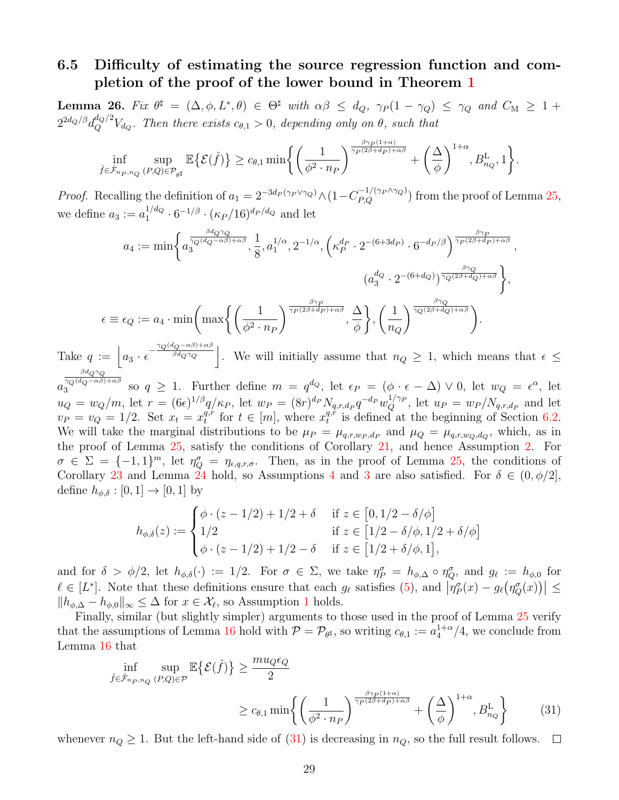### <span id="page-28-0"></span>6.5 Difficulty of estimating the source regression function and completion of the proof of the lower bound in Theorem [1](#page-6-0)

<span id="page-28-2"></span>Lemma 26. Fix  $\theta^{\sharp} = (\Delta, \phi, L^*, \theta) \in \Theta^{\sharp}$  with  $\alpha\beta \leq d_Q$ ,  $\gamma_P(1-\gamma_Q) \leq \gamma_Q$  and  $C_M \geq 1+\epsilon$  $2^{2d_{Q}/\beta}d_{Q}^{d_{Q}/2}V_{d_{Q}}$ . Then there exists  $c_{\theta,1}>0$ , depending only on  $\theta$ , such that

$$
\inf_{\hat{f}\in\hat{\mathcal{F}}_{n_P,n_Q}(P,Q)\in\mathcal{P}_{\theta^\sharp}} \mathbb{E}\big\{\mathcal{E}(\hat{f})\big\} \geq c_{\theta,1} \min\bigg\{\bigg(\frac{1}{\phi^2\cdot n_P}\bigg)^{\frac{\beta\gamma_P(1+\alpha)}{\gamma_P(2\beta+d_P)+\alpha\beta}} + \bigg(\frac{\Delta}{\phi}\bigg)^{1+\alpha}, B^{\mathrm{L}}_{n_Q}, 1\bigg\}
$$

.

*Proof.* Recalling the definition of  $a_1 = 2^{-3d_P(\gamma_P \vee \gamma_Q)} \wedge (1 - C_{P,Q}^{-1/(\gamma_P \wedge \gamma_Q)})$  from the proof of Lemma [25,](#page-26-1) we define  $a_3 := a_1^{1/d_Q}$  $_{1}^{1/d_{Q}} \cdot 6^{-1/\beta} \cdot (\kappa_{P}/16)^{d_{P}/d_{Q}}$  and let

$$
a_4 := \min\bigg\{a_3^{\frac{\beta d_Q \gamma_Q}{\gamma_Q(d_Q - \alpha \beta) + \alpha \beta}}, \frac{1}{8}, a_1^{1/\alpha}, 2^{-1/\alpha}, \left(\kappa_P^{d_P} \cdot 2^{-(6+3d_P)} \cdot 6^{-d_P/\beta}\right)^{\frac{\beta \gamma_P}{\gamma_P(2\beta + d_P) + \alpha \beta}}, \frac{a_3^{1/\alpha}}{(a_3^{d_Q} \cdot 2^{-(6+d_Q)})^{\frac{\beta \gamma_Q}{\gamma_Q(2\beta + d_Q) + \alpha \beta}}}\bigg\},\
$$

$$
\epsilon \equiv \epsilon_Q := a_4 \cdot \min\bigg(\max\bigg\{\bigg(\frac{1}{\phi^2 \cdot n_P}\bigg)^{\frac{\beta \gamma_P}{\gamma_P(2\beta + d_P) + \alpha \beta}}, \frac{\Delta}{\phi}\bigg\}, \bigg(\frac{1}{n_Q}\bigg)^{\frac{\beta \gamma_Q}{\gamma_Q(2\beta + d_Q) + \alpha \beta}}\bigg\}.
$$

Take  $q := \Big| a_3 \cdot \epsilon^{-\frac{\gamma_Q(d_Q - \alpha\beta) + \alpha\beta}{\beta d_Q \gamma_Q}}$  $\frac{\partial^{2} \left( \alpha \right)}{\partial d_{Q} \gamma_{Q}}$ . We will initially assume that  $n_Q \geq 1$ , which means that  $\epsilon \leq$  ${}^{\beta d}Q$ γ $Q$ 

a  $\gamma_Q(d_Q-\alpha\beta)+\alpha\beta$  $3^{2Q(dQ-\alpha\beta)+\alpha\beta}$  so  $q \ge 1$ . Further define  $m = q^{dQ}$ , let  $\epsilon_P = (\phi \cdot \epsilon - \Delta) \vee 0$ , let  $w_Q = \epsilon^{\alpha}$ , let  $u_Q = w_Q/m$ , let  $r = (6\epsilon)^{1/\beta} q/\kappa_P$ , let  $w_P = (8r)^{d_P} N_{q,r,d_P} q^{-d_P} w_Q^{1/\gamma_P}$ , let  $u_P = w_P/N_{q,r,d_P}$  and let  $v_P = v_Q = 1/2$ . Set  $x_t = x_t^{q,r}$  $t_t^{q,r}$  for  $t \in [m]$ , where  $x_t^{q,r}$  $t_t^{q,r}$  is defined at the beginning of Section [6.2.](#page-21-0) We will take the marginal distributions to be  $\mu_P = \mu_{q,r,w_P,d_P}$  and  $\mu_Q = \mu_{q,r,w_Q,d_Q}$ , which, as in the proof of Lemma [25,](#page-26-1) satisfy the conditions of Corollary [21,](#page-23-0) and hence Assumption [2.](#page-5-3) For  $\sigma \in \Sigma = \{-1,1\}^m$ , let  $\eta_Q^{\sigma} = \eta_{\epsilon,q,r,\sigma}$ . Then, as in the proof of Lemma [25,](#page-26-1) the conditions of Corollary [23](#page-25-0) and Lemma [24](#page-25-1) hold, so Assumptions [4](#page-6-1) and [3](#page-6-2) are also satisfied. For  $\delta \in (0, \phi/2]$ , define  $h_{\phi,\delta} : [0,1] \to [0,1]$  by

$$
h_{\phi,\delta}(z) := \begin{cases} \phi \cdot (z - 1/2) + 1/2 + \delta & \text{if } z \in [0, 1/2 - \delta/\phi] \\ 1/2 & \text{if } z \in [1/2 - \delta/\phi, 1/2 + \delta/\phi] \\ \phi \cdot (z - 1/2) + 1/2 - \delta & \text{if } z \in [1/2 + \delta/\phi, 1], \end{cases}
$$

and for  $\delta > \phi/2$ , let  $h_{\phi,\delta}(\cdot) := 1/2$ . For  $\sigma \in \Sigma$ , we take  $\eta_P^{\sigma} = h_{\phi,\Delta} \circ \eta_Q^{\sigma}$ , and  $g_{\ell} := h_{\phi,0}$  for  $\ell \in [L^*]$ . Note that these definitions ensure that each  $g_\ell$  satisfies [\(5\)](#page-5-0), and  $\left|\eta_P^{\sigma}(x) - g_\ell(\eta_Q^{\sigma}(x))\right| \le$  $||h_{\phi,\Delta} - h_{\phi,0}||_{\infty} \leq \Delta$  for  $x \in \mathcal{X}_{\ell}$ , so Assumption [1](#page-5-1) holds.

Finally, similar (but slightly simpler) arguments to those used in the proof of Lemma [25](#page-26-1) verify that the assumptions of Lemma [16](#page-20-1) hold with  $P = P_{\theta^{\sharp}}$ , so writing  $c_{\theta,1} := a_4^{1+\alpha}/4$ , we conclude from Lemma [16](#page-20-1) that

<span id="page-28-1"></span>
$$
\inf_{\hat{f} \in \hat{\mathcal{F}}_{n_P, n_Q}(P,Q) \in \mathcal{P}} \mathbb{E}\{\mathcal{E}(\hat{f})\} \ge \frac{m u_Q \epsilon_Q}{2}
$$
\n
$$
\ge c_{\theta,1} \min \left\{ \left(\frac{1}{\phi^2 \cdot n_P} \right)^{\frac{\beta \gamma_P(1+\alpha)}{\gamma_P(2\beta + d_P) + \alpha \beta}} + \left(\frac{\Delta}{\phi} \right)^{1+\alpha}, B_{n_Q}^{\mathcal{L}} \right\} \tag{31}
$$

whenever  $n_Q \geq 1$ . But the left-hand side of [\(31\)](#page-28-1) is decreasing in  $n_Q$ , so the full result follows.  $\Box$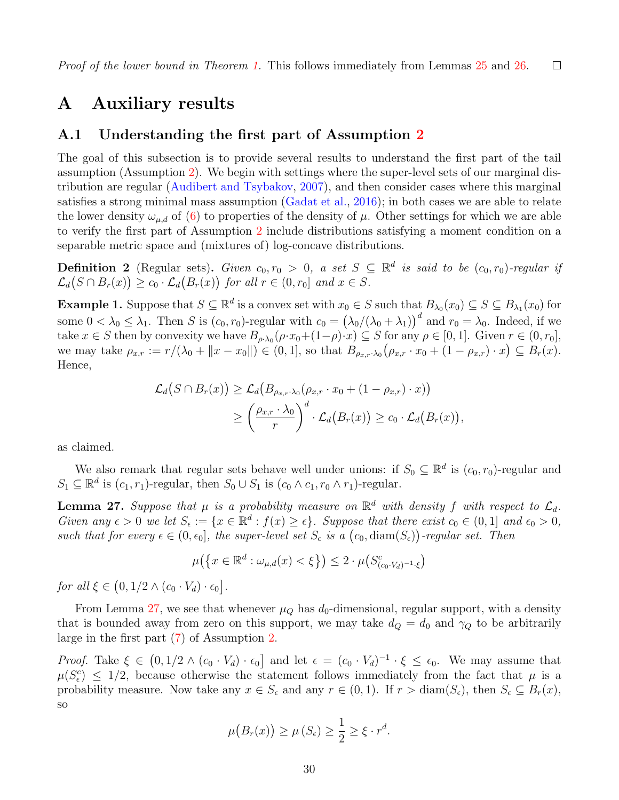## A Auxiliary results

### A.1 Understanding the first part of Assumption [2](#page-5-3)

The goal of this subsection is to provide several results to understand the first part of the tail assumption (Assumption [2\)](#page-5-3). We begin with settings where the super-level sets of our marginal distribution are regular [\(Audibert and Tsybakov,](#page-42-2) [2007\)](#page-42-2), and then consider cases where this marginal satisfies a strong minimal mass assumption [\(Gadat et al.,](#page-44-8) [2016\)](#page-44-8); in both cases we are able to relate the lower density  $\omega_{\mu,d}$  of [\(6\)](#page-5-2) to properties of the density of  $\mu$ . Other settings for which we are able to verify the first part of Assumption [2](#page-5-3) include distributions satisfying a moment condition on a separable metric space and (mixtures of) log-concave distributions.

<span id="page-29-1"></span>**Definition 2** (Regular sets). Given  $c_0, r_0 > 0$ , a set  $S \subseteq \mathbb{R}^d$  is said to be  $(c_0, r_0)$ -regular if  $\mathcal{L}_d(S \cap B_r(x)) \geq c_0 \cdot \mathcal{L}_d(B_r(x))$  for all  $r \in (0, r_0]$  and  $x \in S$ .

**Example 1.** Suppose that  $S \subseteq \mathbb{R}^d$  is a convex set with  $x_0 \in S$  such that  $B_{\lambda_0}(x_0) \subseteq S \subseteq B_{\lambda_1}(x_0)$  for some  $0 < \lambda_0 \leq \lambda_1$ . Then S is  $(c_0, r_0)$ -regular with  $c_0 = (\lambda_0/(\lambda_0 + \lambda_1))^d$  and  $r_0 = \lambda_0$ . Indeed, if we take  $x \in S$  then by convexity we have  $B_{\rho \cdot \lambda_0}(\rho \cdot x_0 + (1-\rho) \cdot x) \subseteq S$  for any  $\rho \in [0,1]$ . Given  $r \in (0,r_0]$ , we may take  $\rho_{x,r} := r/(\lambda_0 + ||x - x_0||) \in (0,1]$ , so that  $B_{\rho_{x,r} \cdot \lambda_0}(\rho_{x,r} \cdot x_0 + (1 - \rho_{x,r}) \cdot x) \subseteq B_r(x)$ . Hence,

$$
\mathcal{L}_d(S \cap B_r(x)) \geq \mathcal{L}_d(B_{\rho_{x,r} \cdot \lambda_0}(\rho_{x,r} \cdot x_0 + (1 - \rho_{x,r}) \cdot x))
$$
  

$$
\geq \left(\frac{\rho_{x,r} \cdot \lambda_0}{r}\right)^d \cdot \mathcal{L}_d(B_r(x)) \geq c_0 \cdot \mathcal{L}_d(B_r(x)),
$$

as claimed.

We also remark that regular sets behave well under unions: if  $S_0 \subseteq \mathbb{R}^d$  is  $(c_0, r_0)$ -regular and  $S_1 \subseteq \mathbb{R}^d$  is  $(c_1, r_1)$ -regular, then  $S_0 \cup S_1$  is  $(c_0 \wedge c_1, r_0 \wedge r_1)$ -regular.

<span id="page-29-0"></span>**Lemma 27.** Suppose that  $\mu$  is a probability measure on  $\mathbb{R}^d$  with density f with respect to  $\mathcal{L}_d$ . Given any  $\epsilon > 0$  we let  $S_{\epsilon} := \{x \in \mathbb{R}^d : f(x) \geq \epsilon\}$ . Suppose that there exist  $c_0 \in (0,1]$  and  $\epsilon_0 > 0$ , such that for every  $\epsilon \in (0, \epsilon_0]$ , the super-level set  $S_{\epsilon}$  is a  $(c_0, \text{diam}(S_{\epsilon}))$ -regular set. Then

$$
\mu\big(\big\{x\in\mathbb{R}^d:\omega_{\mu,d}(x)<\xi\big\}\big)\le 2\cdot\mu\big(S_{(c_0\cdot V_d)^{-1}\cdot\xi}^c\big)
$$

for all  $\xi \in (0, 1/2 \wedge (c_0 \cdot V_d) \cdot \epsilon_0].$ 

From Lemma [27,](#page-29-0) we see that whenever  $\mu_Q$  has  $d_0$ -dimensional, regular support, with a density that is bounded away from zero on this support, we may take  $d_Q = d_0$  and  $\gamma_Q$  to be arbitrarily large in the first part [\(7\)](#page-5-4) of Assumption [2.](#page-5-3)

Proof. Take  $\xi \in (0, 1/2 \wedge (c_0 \cdot V_d) \cdot \epsilon_0]$  and let  $\epsilon = (c_0 \cdot V_d)^{-1} \cdot \xi \leq \epsilon_0$ . We may assume that  $\mu(S_{\epsilon}^c) \leq 1/2$ , because otherwise the statement follows immediately from the fact that  $\mu$  is a probability measure. Now take any  $x \in S_\epsilon$  and any  $r \in (0,1)$ . If  $r > \text{diam}(S_\epsilon)$ , then  $S_\epsilon \subseteq B_r(x)$ , so

$$
\mu\big(B_r(x)\big) \ge \mu\left(S_\epsilon\right) \ge \frac{1}{2} \ge \xi \cdot r^d.
$$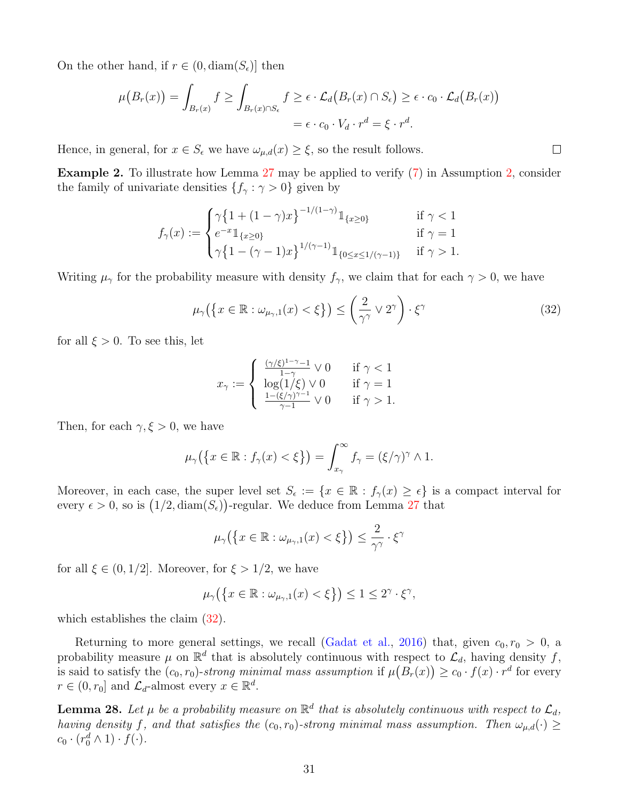On the other hand, if  $r \in (0, \text{diam}(S_{\epsilon}))$  then

$$
\mu(B_r(x)) = \int_{B_r(x)} f \ge \int_{B_r(x) \cap S_\epsilon} f \ge \epsilon \cdot \mathcal{L}_d(B_r(x) \cap S_\epsilon) \ge \epsilon \cdot c_0 \cdot \mathcal{L}_d(B_r(x))
$$
  
=  $\epsilon \cdot c_0 \cdot V_d \cdot r^d = \xi \cdot r^d$ .

Hence, in general, for  $x \in S_\epsilon$  we have  $\omega_{\mu,d}(x) \geq \xi$ , so the result follows.

<span id="page-30-1"></span>Example 2. To illustrate how Lemma [27](#page-29-0) may be applied to verify [\(7\)](#page-5-4) in Assumption [2,](#page-5-3) consider the family of univariate densities  $\{f_\gamma : \gamma > 0\}$  given by

$$
f_{\gamma}(x) := \begin{cases} \gamma \{1 + (1 - \gamma)x\}^{-1/(1 - \gamma)} 1_{\{x \ge 0\}} & \text{if } \gamma < 1\\ e^{-x} 1_{\{x \ge 0\}} & \text{if } \gamma = 1\\ \gamma \{1 - (\gamma - 1)x\}^{1/(\gamma - 1)} 1_{\{0 \le x \le 1/(\gamma - 1)\}} & \text{if } \gamma > 1. \end{cases}
$$

Writing  $\mu_{\gamma}$  for the probability measure with density  $f_{\gamma}$ , we claim that for each  $\gamma > 0$ , we have

$$
\mu_{\gamma}\big(\big\{x \in \mathbb{R} : \omega_{\mu_{\gamma},1}(x) < \xi\big\}\big) \le \left(\frac{2}{\gamma^{\gamma}} \vee 2^{\gamma}\right) \cdot \xi^{\gamma} \tag{32}
$$

for all  $\xi > 0$ . To see this, let

<span id="page-30-2"></span>
$$
x_{\gamma} := \begin{cases} \frac{(\gamma/\xi)^{1-\gamma} - 1}{1-\gamma} \vee 0 & \text{if } \gamma < 1\\ \log(1/\xi) \vee 0 & \text{if } \gamma = 1\\ \frac{1 - (\xi/\gamma)^{\gamma - 1}}{\gamma - 1} \vee 0 & \text{if } \gamma > 1. \end{cases}
$$

Then, for each  $\gamma, \xi > 0$ , we have

$$
\mu_{\gamma}(\left\{x \in \mathbb{R} : f_{\gamma}(x) < \xi\right\}) = \int_{x_{\gamma}}^{\infty} f_{\gamma} = (\xi/\gamma)^{\gamma} \wedge 1.
$$

Moreover, in each case, the super level set  $S_{\epsilon} := \{x \in \mathbb{R} : f_{\gamma}(x) \geq \epsilon\}$  is a compact interval for every  $\epsilon > 0$ , so is  $(1/2, \text{diam}(S_{\epsilon}))$ -regular. We deduce from Lemma [27](#page-29-0) that

$$
\mu_{\gamma}\big(\big\{x \in \mathbb{R} : \omega_{\mu_{\gamma},1}(x) < \xi\big\}\big) \le \frac{2}{\gamma^{\gamma}} \cdot \xi^{\gamma}
$$

for all  $\xi \in (0, 1/2]$ . Moreover, for  $\xi > 1/2$ , we have

$$
\mu_{\gamma}\big(\big\{x\in\mathbb{R}:\omega_{\mu_{\gamma},1}(x)<\xi\big\}\big)\leq 1\leq 2^{\gamma}\cdot\xi^{\gamma},
$$

which establishes the claim  $(32)$ .

Returning to more general settings, we recall [\(Gadat et al.,](#page-44-8) [2016\)](#page-44-8) that, given  $c_0, r_0 > 0$ , a probability measure  $\mu$  on  $\mathbb{R}^d$  that is absolutely continuous with respect to  $\mathcal{L}_d$ , having density f, is said to satisfy the  $(c_0, r_0)$ -strong minimal mass assumption if  $\mu(B_r(x)) \ge c_0 \cdot f(x) \cdot r^d$  for every  $r \in (0, r_0]$  and  $\mathcal{L}_d$ -almost every  $x \in \mathbb{R}^d$ .

<span id="page-30-0"></span>**Lemma 28.** Let  $\mu$  be a probability measure on  $\mathbb{R}^d$  that is absolutely continuous with respect to  $\mathcal{L}_d$ , having density f, and that satisfies the  $(c_0, r_0)$ -strong minimal mass assumption. Then  $\omega_{\mu,d}(\cdot) \geq$  $c_0 \cdot (r_0^d \wedge 1) \cdot f(\cdot).$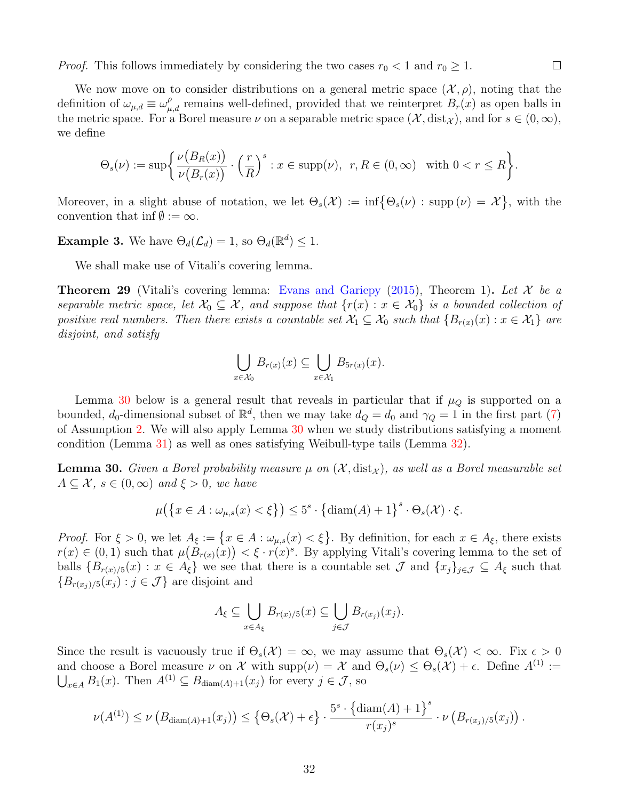*Proof.* This follows immediately by considering the two cases  $r_0 < 1$  and  $r_0 \geq 1$ .

We now move on to consider distributions on a general metric space  $(\mathcal{X}, \rho)$ , noting that the definition of  $\omega_{\mu,d} \equiv \omega_{\mu,d}^{\rho}$  remains well-defined, provided that we reinterpret  $B_r(x)$  as open balls in the metric space. For a Borel measure  $\nu$  on a separable metric space  $(\mathcal{X}, \text{dist}_{\mathcal{X}})$ , and for  $s \in (0, \infty)$ , we define

$$
\Theta_s(\nu) := \sup \left\{ \frac{\nu(B_R(x))}{\nu(B_r(x))} \cdot \left(\frac{r}{R}\right)^s : x \in \text{supp}(\nu), \ r, R \in (0, \infty) \text{ with } 0 < r \le R \right\}.
$$

Moreover, in a slight abuse of notation, we let  $\Theta_s(\mathcal{X}) := \inf \{ \Theta_s(\nu) : \text{supp}(\nu) = \mathcal{X} \}$ , with the convention that inf $\emptyset := \infty$ .

**Example 3.** We have  $\Theta_d(\mathcal{L}_d) = 1$ , so  $\Theta_d(\mathbb{R}^d) \leq 1$ .

We shall make use of Vitali's covering lemma.

**Theorem 29** (Vitali's covering lemma: [Evans and Gariepy](#page-44-10) [\(2015\)](#page-44-10), Theorem 1). Let X be a separable metric space, let  $\mathcal{X}_0 \subseteq \mathcal{X}$ , and suppose that  $\{r(x) : x \in \mathcal{X}_0\}$  is a bounded collection of positive real numbers. Then there exists a countable set  $\mathcal{X}_1 \subseteq \mathcal{X}_0$  such that  $\{B_{r(x)}(x) : x \in \mathcal{X}_1\}$  are disjoint, and satisfy

$$
\bigcup_{x \in \mathcal{X}_0} B_{r(x)}(x) \subseteq \bigcup_{x \in \mathcal{X}_1} B_{5r(x)}(x).
$$

Lemma [30](#page-31-0) below is a general result that reveals in particular that if  $\mu_Q$  is supported on a bounded,  $d_0$ -dimensional subset of  $\mathbb{R}^d$ , then we may take  $d_Q = d_0$  and  $\gamma_Q = 1$  in the first part [\(7\)](#page-5-4) of Assumption [2.](#page-5-3) We will also apply Lemma [30](#page-31-0) when we study distributions satisfying a moment condition (Lemma [31\)](#page-32-0) as well as ones satisfying Weibull-type tails (Lemma [32\)](#page-32-2).

<span id="page-31-0"></span>**Lemma 30.** Given a Borel probability measure  $\mu$  on  $(\mathcal{X}, \text{dist}_{\mathcal{X}})$ , as well as a Borel measurable set  $A \subseteq \mathcal{X}, s \in (0, \infty)$  and  $\xi > 0$ , we have

$$
\mu\big(\big\{x \in A : \omega_{\mu,s}(x) < \xi\big\}\big) \le 5^s \cdot \big\{\text{diam}(A) + 1\big\}^s \cdot \Theta_s(\mathcal{X}) \cdot \xi.
$$

*Proof.* For  $\xi > 0$ , we let  $A_{\xi} := \{x \in A : \omega_{\mu,s}(x) < \xi\}$ . By definition, for each  $x \in A_{\xi}$ , there exists  $r(x) \in (0,1)$  such that  $\mu(B_{r(x)}(x)) < \xi \cdot r(x)^s$ . By applying Vitali's covering lemma to the set of balls  ${B_{r(x)/5}(x) : x \in A_{\xi}}$  we see that there is a countable set  $\mathcal J$  and  ${x_j}_{j \in \mathcal J} \subseteq A_{\xi}$  such that  ${B_{r(x_i)/5}(x_i): j \in \mathcal{J}}$  are disjoint and

$$
A_{\xi} \subseteq \bigcup_{x \in A_{\xi}} B_{r(x)/5}(x) \subseteq \bigcup_{j \in \mathcal{J}} B_{r(x_j)}(x_j).
$$

Since the result is vacuously true if  $\Theta_s(\mathcal{X}) = \infty$ , we may assume that  $\Theta_s(\mathcal{X}) < \infty$ . Fix  $\epsilon > 0$ and choose a Borel measure  $\nu$  on X with  $\text{supp}(\nu) = X$  and  $\Theta_s(\nu) \leq \Theta_s(\mathcal{X}) + \epsilon$ . Define  $A^{(1)} :=$  $\bigcup_{x \in A} B_1(x)$ . Then  $A^{(1)} \subseteq B_{\text{diam}(A)+1}(x_j)$  for every  $j \in \mathcal{J}$ , so

$$
\nu(A^{(1)}) \leq \nu\left(B_{\text{diam}(A)+1}(x_j)\right) \leq \left\{\Theta_s(\mathcal{X})+\epsilon\right\} \cdot \frac{5^s \cdot \left\{\text{diam}(A)+1\right\}^s}{r(x_j)^s} \cdot \nu\left(B_{r(x_j)/5}(x_j)\right).
$$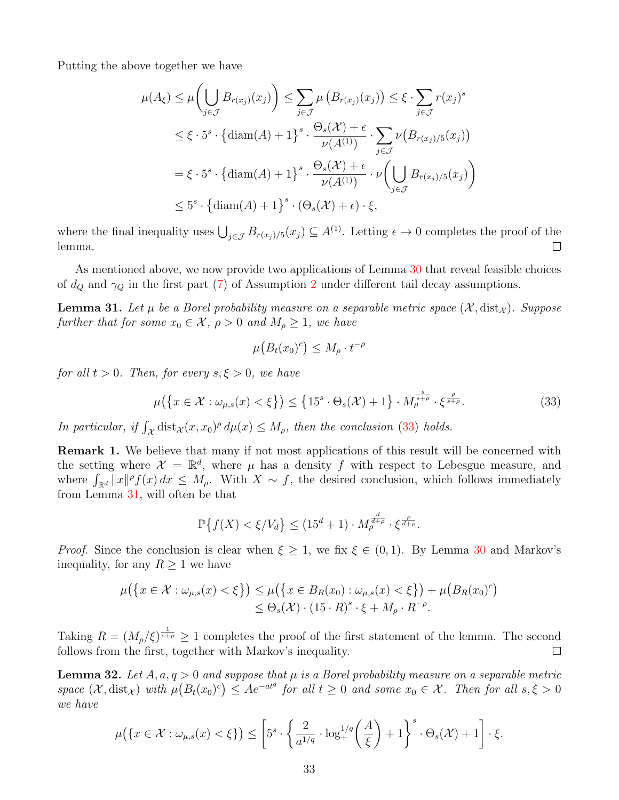Putting the above together we have

$$
\mu(A_{\xi}) \leq \mu\left(\bigcup_{j\in\mathcal{J}} B_{r(x_j)}(x_j)\right) \leq \sum_{j\in\mathcal{J}} \mu\left(B_{r(x_j)}(x_j)\right) \leq \xi \cdot \sum_{j\in\mathcal{J}} r(x_j)^s
$$
  

$$
\leq \xi \cdot 5^s \cdot \left\{\operatorname{diam}(A) + 1\right\}^s \cdot \frac{\Theta_s(\mathcal{X}) + \epsilon}{\nu(A^{(1)})} \cdot \sum_{j\in\mathcal{J}} \nu\left(B_{r(x_j)/5}(x_j)\right)
$$
  

$$
= \xi \cdot 5^s \cdot \left\{\operatorname{diam}(A) + 1\right\}^s \cdot \frac{\Theta_s(\mathcal{X}) + \epsilon}{\nu(A^{(1)})} \cdot \nu\left(\bigcup_{j\in\mathcal{J}} B_{r(x_j)/5}(x_j)\right)
$$
  

$$
\leq 5^s \cdot \left\{\operatorname{diam}(A) + 1\right\}^s \cdot (\Theta_s(\mathcal{X}) + \epsilon) \cdot \xi,
$$

where the final inequality uses  $\bigcup_{j\in\mathcal{J}} B_{r(x_j)/5}(x_j) \subseteq A^{(1)}$ . Letting  $\epsilon \to 0$  completes the proof of the lemma.  $\Box$ 

As mentioned above, we now provide two applications of Lemma [30](#page-31-0) that reveal feasible choices of  $d_Q$  and  $\gamma_Q$  in the first part [\(7\)](#page-5-4) of Assumption [2](#page-5-3) under different tail decay assumptions.

<span id="page-32-0"></span>**Lemma 31.** Let  $\mu$  be a Borel probability measure on a separable metric space  $(\mathcal{X}, dist_{\mathcal{X}})$ . Suppose further that for some  $x_0 \in \mathcal{X}, \rho > 0$  and  $M_\rho \geq 1$ , we have

<span id="page-32-3"></span>
$$
\mu\big(B_t(x_0)^c\big) \le M_\rho \cdot t^{-\rho}
$$

for all  $t > 0$ . Then, for every  $s, \xi > 0$ , we have

$$
\mu\big(\big\{x\in\mathcal{X}:\omega_{\mu,s}(x)<\xi\big\}\big)\leq\big\{15^s\cdot\Theta_s(\mathcal{X})+1\big\}\cdot M_\rho^{\frac{s}{s+\rho}}\cdot\xi^{\frac{\rho}{s+\rho}}.\tag{33}
$$

In particular, if  $\int_{\mathcal{X}} \text{dist}_{\mathcal{X}}(x, x_0)^{\rho} d\mu(x) \leq M_{\rho}$ , then the conclusion [\(33\)](#page-32-3) holds.

<span id="page-32-1"></span>Remark 1. We believe that many if not most applications of this result will be concerned with the setting where  $\mathcal{X} = \mathbb{R}^d$ , where  $\mu$  has a density f with respect to Lebesgue measure, and where  $\int_{\mathbb{R}^d} ||x||^{\rho} f(x) dx \leq M_{\rho}$ . With  $X \sim f$ , the desired conclusion, which follows immediately from Lemma [31,](#page-32-0) will often be that

$$
\mathbb{P}\left\{f(X) < \xi/V_d\right\} \leq (15^d + 1) \cdot M_\rho^{\frac{d}{d+\rho}} \cdot \xi^{\frac{\rho}{d+\rho}}.
$$

*Proof.* Since the conclusion is clear when  $\xi \geq 1$ , we fix  $\xi \in (0,1)$ . By Lemma [30](#page-31-0) and Markov's inequality, for any  $R \geq 1$  we have

$$
\mu(\lbrace x \in \mathcal{X} : \omega_{\mu,s}(x) < \xi \rbrace) \leq \mu(\lbrace x \in B_R(x_0) : \omega_{\mu,s}(x) < \xi \rbrace) + \mu(B_R(x_0)^c) \\
 \leq \Theta_s(\mathcal{X}) \cdot (15 \cdot R)^s \cdot \xi + M_\rho \cdot R^{-\rho}.
$$

Taking  $R = (M_\rho/\xi)^{\frac{1}{s+\rho}} \geq 1$  completes the proof of the first statement of the lemma. The second follows from the first, together with Markov's inequality.  $\Box$ 

<span id="page-32-2"></span>**Lemma 32.** Let  $A, a, q > 0$  and suppose that  $\mu$  is a Borel probability measure on a separable metric space  $(\mathcal{X}, \text{dist}_{\mathcal{X}})$  with  $\mu(B_t(x_0)^c) \leq Ae^{-at^q}$  for all  $t \geq 0$  and some  $x_0 \in \mathcal{X}$ . Then for all  $s, \xi > 0$ we have

$$
\mu\big(\{x \in \mathcal{X} : \omega_{\mu,s}(x) < \xi\}\big) \le \left[5^s \cdot \left\{\frac{2}{a^{1/q}} \cdot \log_+^{1/q}\left(\frac{A}{\xi}\right) + 1\right\}^s \cdot \Theta_s(\mathcal{X}) + 1\right] \cdot \xi.
$$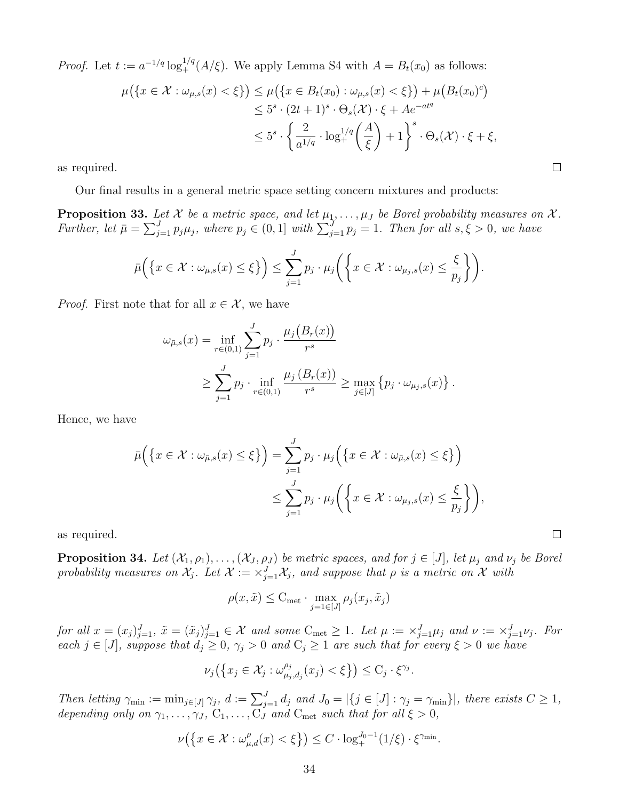*Proof.* Let  $t := a^{-1/q} \log_+^{1/q}(A/\xi)$ . We apply Lemma S4 with  $A = B_t(x_0)$  as follows:

$$
\mu\big(\{x \in \mathcal{X} : \omega_{\mu,s}(x) < \xi\}\big) \le \mu\big(\{x \in B_t(x_0) : \omega_{\mu,s}(x) < \xi\}\big) + \mu\big(B_t(x_0)^c\big) \\
\le 5^s \cdot (2t+1)^s \cdot \Theta_s(\mathcal{X}) \cdot \xi + Ae^{-at^q} \\
\le 5^s \cdot \left\{\frac{2}{a^{1/q}} \cdot \log_+^{1/q}\left(\frac{A}{\xi}\right) + 1\right\}^s \cdot \Theta_s(\mathcal{X}) \cdot \xi + \xi,
$$

as required.

Our final results in a general metric space setting concern mixtures and products:

<span id="page-33-0"></span>**Proposition 33.** Let X be a metric space, and let  $\mu_1, \ldots, \mu_J$  be Borel probability measures on X. Further, let  $\bar{\mu} = \sum_{j=1}^{J} p_j \mu_j$ , where  $p_j \in (0,1]$  with  $\sum_{j=1}^{J} p_j = 1$ . Then for all  $s, \xi > 0$ , we have

$$
\bar{\mu}\Big(\big\{x\in\mathcal{X}: \omega_{\bar{\mu},s}(x)\leq\xi\big\}\Big)\leq \sum_{j=1}^J p_j\cdot\mu_j\bigg(\bigg\{x\in\mathcal{X}: \omega_{\mu_j,s}(x)\leq\frac{\xi}{p_j}\bigg\}\bigg).
$$

*Proof.* First note that for all  $x \in \mathcal{X}$ , we have

$$
\omega_{\bar{\mu},s}(x) = \inf_{r \in (0,1)} \sum_{j=1}^{J} p_j \cdot \frac{\mu_j(B_r(x))}{r^s}
$$
  
\n
$$
\geq \sum_{j=1}^{J} p_j \cdot \inf_{r \in (0,1)} \frac{\mu_j(B_r(x))}{r^s} \geq \max_{j \in [J]} \{p_j \cdot \omega_{\mu_j,s}(x)\}.
$$

Hence, we have

$$
\bar{\mu}\Big(\big\{x \in \mathcal{X} : \omega_{\bar{\mu},s}(x) \le \xi\big\}\Big) = \sum_{j=1}^{J} p_j \cdot \mu_j\Big(\big\{x \in \mathcal{X} : \omega_{\bar{\mu},s}(x) \le \xi\big\}\Big) \n\le \sum_{j=1}^{J} p_j \cdot \mu_j\Big(\big\{x \in \mathcal{X} : \omega_{\mu_j,s}(x) \le \frac{\xi}{p_j}\big\}\Big),
$$

as required.

<span id="page-33-1"></span>**Proposition 34.** Let  $(\mathcal{X}_1, \rho_1), \ldots, (\mathcal{X}_J, \rho_J)$  be metric spaces, and for  $j \in [J]$ , let  $\mu_j$  and  $\nu_j$  be Borel probability measures on  $\mathcal{X}_j$ . Let  $\mathcal{X} := \times_{j=1}^J \mathcal{X}_j$ , and suppose that  $\rho$  is a metric on  $\mathcal X$  with

$$
\rho(x,\tilde{x}) \leq \mathrm{C}_{\mathrm{met}} \cdot \max_{j=1 \in [J]} \rho_j(x_j,\tilde{x}_j)
$$

for all  $x = (x_j)_{j=1}^J$ ,  $\tilde{x} = (\tilde{x}_j)_{j=1}^J \in \mathcal{X}$  and some  $C_{\text{met}} \ge 1$ . Let  $\mu := \times_{j=1}^J \mu_j$  and  $\nu := \times_{j=1}^J \nu_j$ . For each  $j \in [J]$ , suppose that  $d_j \geq 0$ ,  $\gamma_j > 0$  and  $C_j \geq 1$  are such that for every  $\xi > 0$  we have

$$
\nu_j\big(\big\{x_j\in\mathcal{X}_j:\omega_{\mu_j,d_j}^{\rho_j}(x_j)<\xi\big\}\big)\leq \mathrm{C}_j\cdot\xi^{\gamma_j}.
$$

Then letting  $\gamma_{\min} := \min_{j \in [J]} \gamma_j$ ,  $d := \sum_{j=1}^J d_j$  and  $J_0 = |\{j \in [J] : \gamma_j = \gamma_{\min}\}|$ , there exists  $C \geq 1$ , depending only on  $\gamma_1, \ldots, \gamma_J, C_1, \ldots, C_J$  and  $C_{\text{met}}$  such that for all  $\xi > 0$ ,

$$
\nu(\left\{x \in \mathcal{X} : \omega_{\mu,d}^{\rho}(x) < \xi\right\}) \leq C \cdot \log_+^{J_0 - 1}(1/\xi) \cdot \xi^{\gamma_{\min}}.
$$

 $\Box$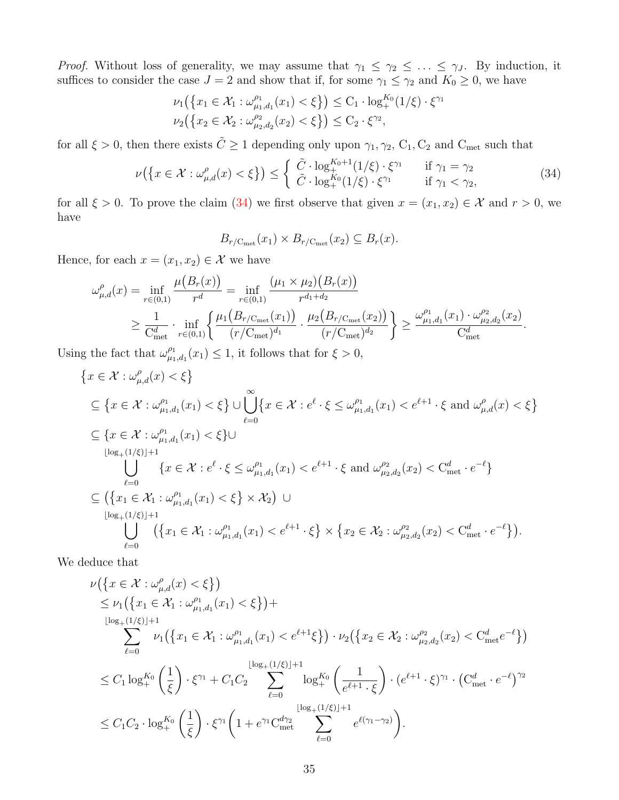*Proof.* Without loss of generality, we may assume that  $\gamma_1 \leq \gamma_2 \leq \ldots \leq \gamma_J$ . By induction, it suffices to consider the case  $J = 2$  and show that if, for some  $\gamma_1 \leq \gamma_2$  and  $K_0 \geq 0$ , we have

$$
\nu_1(\{x_1 \in \mathcal{X}_1 : \omega_{\mu_1, d_1}^{\rho_1}(x_1) < \xi\}) \le C_1 \cdot \log_+^{K_0} (1/\xi) \cdot \xi^{\gamma_1}
$$
\n
$$
\nu_2(\{x_2 \in \mathcal{X}_2 : \omega_{\mu_2, d_2}^{\rho_2}(x_2) < \xi\}) \le C_2 \cdot \xi^{\gamma_2},
$$

for all  $\xi > 0$ , then there exists  $\tilde{C} \ge 1$  depending only upon  $\gamma_1, \gamma_2, C_1, C_2$  and  $C_{\text{met}}$  such that

$$
\nu(\lbrace x \in \mathcal{X} : \omega_{\mu,d}^{\rho}(x) < \xi \rbrace) \leq \begin{cases} \tilde{C} \cdot \log_{+}^{K_0+1}(1/\xi) \cdot \xi^{\gamma_1} & \text{if } \gamma_1 = \gamma_2\\ \tilde{C} \cdot \log_{+}^{K_0}(1/\xi) \cdot \xi^{\gamma_1} & \text{if } \gamma_1 < \gamma_2, \end{cases} \tag{34}
$$

for all  $\xi > 0$ . To prove the claim [\(34\)](#page-34-0) we first observe that given  $x = (x_1, x_2) \in \mathcal{X}$  and  $r > 0$ , we have

<span id="page-34-0"></span>
$$
B_{r/C_{\rm met}}(x_1) \times B_{r/C_{\rm met}}(x_2) \subseteq B_r(x).
$$

Hence, for each  $x = (x_1, x_2) \in \mathcal{X}$  we have

$$
\omega_{\mu,d}^{\rho}(x) = \inf_{r \in (0,1)} \frac{\mu(B_r(x))}{r^d} = \inf_{r \in (0,1)} \frac{(\mu_1 \times \mu_2)(B_r(x))}{r^{d_1 + d_2}}
$$
  
\n
$$
\geq \frac{1}{C_{\text{met}}^d} \cdot \inf_{r \in (0,1)} \left\{ \frac{\mu_1(B_{r/C_{\text{met}}}(x_1))}{(r/C_{\text{met}})^{d_1}} \cdot \frac{\mu_2(B_{r/C_{\text{met}}}(x_2))}{(r/C_{\text{met}})^{d_2}} \right\} \geq \frac{\omega_{\mu_1,d_1}^{\rho_1}(x_1) \cdot \omega_{\mu_2,d_2}^{\rho_2}(x_2)}{C_{\text{met}}^d}.
$$

Using the fact that  $\omega_{\mu_1}^{\rho_1}$  $_{\mu_1,d_1}^{\rho_1}(x_1) \leq 1$ , it follows that for  $\xi > 0$ ,

$$
\{x \in \mathcal{X} : \omega_{\mu,d}^{\rho}(x) < \xi\}
$$
\n
$$
\subseteq \{x \in \mathcal{X} : \omega_{\mu_1,d_1}^{\rho_1}(x_1) < \xi\} \cup \bigcup_{\ell=0}^{\infty} \{x \in \mathcal{X} : e^{\ell} \cdot \xi \le \omega_{\mu_1,d_1}^{\rho_1}(x_1) < e^{\ell+1} \cdot \xi \text{ and } \omega_{\mu,d}^{\rho}(x) < \xi\}
$$
\n
$$
\subseteq \{x \in \mathcal{X} : \omega_{\mu_1,d_1}^{\rho_1}(x_1) < \xi\} \cup \bigcup_{\substack{l \log_+(1/\xi) \mid +1}}^{\infty} \{x \in \mathcal{X} : e^{\ell} \cdot \xi \le \omega_{\mu_1,d_1}^{\rho_1}(x_1) < e^{\ell+1} \cdot \xi \text{ and } \omega_{\mu_2,d_2}^{\rho_2}(x_2) < C_{\text{met}}^d \cdot e^{-\ell}\}
$$
\n
$$
\subseteq \left(\{x_1 \in \mathcal{X}_1 : \omega_{\mu_1,d_1}^{\rho_1}(x_1) < \xi\} \times \mathcal{X}_2\right) \cup \bigcup_{\substack{l \log_+(1/\xi) \mid +1}}^{\infty} \{x_1 \in \mathcal{X}_1 : \omega_{\mu_1,d_1}^{\rho_1}(x_1) < e^{\ell+1} \cdot \xi\} \times \{x_2 \in \mathcal{X}_2 : \omega_{\mu_2,d_2}^{\rho_2}(x_2) < C_{\text{met}}^d \cdot e^{-\ell}\} \right).
$$

We deduce that

$$
\nu(\lbrace x \in \mathcal{X} : \omega_{\mu,d}^{\rho}(x) < \xi \rbrace)
$$
\n
$$
\leq \nu_1(\lbrace x_1 \in \mathcal{X}_1 : \omega_{\mu_1,d_1}^{\rho_1}(x_1) < \xi \rbrace) +
$$
\n
$$
\sum_{\ell=0}^{\lfloor \log_+(1/\xi) \rfloor + 1} \nu_1(\lbrace x_1 \in \mathcal{X}_1 : \omega_{\mu_1,d_1}^{\rho_1}(x_1) < e^{\ell+1}\xi \rbrace) \cdot \nu_2(\lbrace x_2 \in \mathcal{X}_2 : \omega_{\mu_2,d_2}^{\rho_2}(x_2) < C_{\text{met}}^d e^{-\ell} \rbrace)
$$
\n
$$
\leq C_1 \log_{+}^{K_0} \left(\frac{1}{\xi}\right) \cdot \xi^{\gamma_1} + C_1 C_2 \sum_{\ell=0}^{\lfloor \log_+(1/\xi) \rfloor + 1} \log_{+}^{K_0} \left(\frac{1}{e^{\ell+1} \cdot \xi}\right) \cdot (e^{\ell+1} \cdot \xi)^{\gamma_1} \cdot (C_{\text{met}}^d \cdot e^{-\ell})^{\gamma_2}
$$
\n
$$
\leq C_1 C_2 \cdot \log_{+}^{K_0} \left(\frac{1}{\xi}\right) \cdot \xi^{\gamma_1} \left(1 + e^{\gamma_1} C_{\text{met}}^{d\gamma_2} \sum_{\ell=0}^{\lfloor \log_+(1/\xi) \rfloor + 1} e^{\ell(\gamma_1 - \gamma_2)}\right).
$$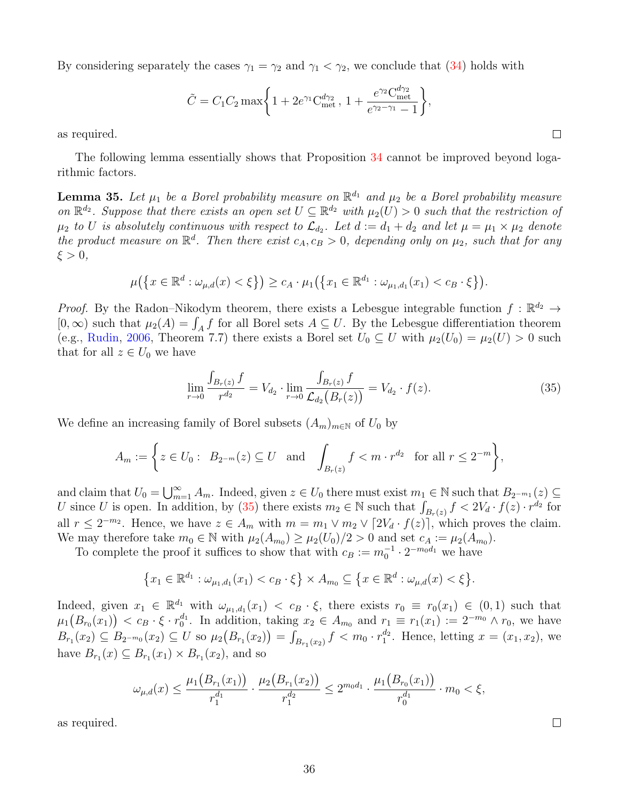By considering separately the cases  $\gamma_1 = \gamma_2$  and  $\gamma_1 < \gamma_2$ , we conclude that [\(34\)](#page-34-0) holds with

$$
\tilde{C} = C_1 C_2 \max\bigg\{1 + 2e^{\gamma_1} C_{\text{met}}^{d\gamma_2}, 1 + \frac{e^{\gamma_2} C_{\text{met}}^{d\gamma_2}}{e^{\gamma_2 - \gamma_1} - 1}\bigg\},
$$

as required.

The following lemma essentially shows that Proposition [34](#page-33-1) cannot be improved beyond logarithmic factors.

**Lemma 35.** Let  $\mu_1$  be a Borel probability measure on  $\mathbb{R}^{d_1}$  and  $\mu_2$  be a Borel probability measure on  $\mathbb{R}^{d_2}$ . Suppose that there exists an open set  $U \subseteq \mathbb{R}^{d_2}$  with  $\mu_2(U) > 0$  such that the restriction of  $\mu_2$  to U is absolutely continuous with respect to  $\mathcal{L}_{d_2}$ . Let  $d:=d_1+d_2$  and let  $\mu=\mu_1\times\mu_2$  denote the product measure on  $\mathbb{R}^d$ . Then there exist  $c_A, c_B > 0$ , depending only on  $\mu_2$ , such that for any  $\xi > 0$ ,

$$
\mu(\{x \in \mathbb{R}^d : \omega_{\mu,d}(x) < \xi\}) \geq c_A \cdot \mu_1(\{x_1 \in \mathbb{R}^{d_1} : \omega_{\mu_1,d_1}(x_1) < c_B \cdot \xi\}).
$$

*Proof.* By the Radon–Nikodym theorem, there exists a Lebesgue integrable function  $f : \mathbb{R}^{d_2} \to$ [0, ∞) such that  $\mu_2(A) = \int_A f$  for all Borel sets  $A \subseteq U$ . By the Lebesgue differentiation theorem (e.g., [Rudin,](#page-45-12) [2006,](#page-45-12) Theorem 7.7) there exists a Borel set  $U_0 \subseteq U$  with  $\mu_2(U_0) = \mu_2(U) > 0$  such that for all  $z \in U_0$  we have

$$
\lim_{r \to 0} \frac{\int_{B_r(z)} f}{r^{d_2}} = V_{d_2} \cdot \lim_{r \to 0} \frac{\int_{B_r(z)} f}{\mathcal{L}_{d_2}(B_r(z))} = V_{d_2} \cdot f(z).
$$
\n(35)

We define an increasing family of Borel subsets  $(A_m)_{m\in\mathbb{N}}$  of  $U_0$  by

$$
A_m := \left\{ z \in U_0 : B_{2^{-m}}(z) \subseteq U \text{ and } \int_{B_r(z)} f < m \cdot r^{d_2} \text{ for all } r \le 2^{-m} \right\},
$$

and claim that  $U_0 = \bigcup_{m=1}^{\infty} A_m$ . Indeed, given  $z \in U_0$  there must exist  $m_1 \in \mathbb{N}$  such that  $B_{2^{-m_1}}(z) \subseteq$ U since U is open. In addition, by [\(35\)](#page-35-0) there exists  $m_2 \in \mathbb{N}$  such that  $\int_{B_r(z)} f \leq 2V_d \cdot f(z) \cdot r^{d_2}$  for all  $r \leq 2^{-m_2}$ . Hence, we have  $z \in A_m$  with  $m = m_1 \vee m_2 \vee [2V_d \cdot f(z)]$ , which proves the claim. We may therefore take  $m_0 \in \mathbb{N}$  with  $\mu_2(A_{m_0}) \geq \mu_2(U_0)/2 > 0$  and set  $c_A := \mu_2(A_{m_0})$ .

To complete the proof it suffices to show that with  $c_B := m_0^{-1} \cdot 2^{-m_0 d_1}$  we have

$$
\{x_1 \in \mathbb{R}^{d_1} : \omega_{\mu_1, d_1}(x_1) < c_B \cdot \xi\} \times A_{m_0} \subseteq \{x \in \mathbb{R}^d : \omega_{\mu, d}(x) < \xi\}.
$$

Indeed, given  $x_1 \in \mathbb{R}^{d_1}$  with  $\omega_{\mu_1,d_1}(x_1) < c_B \cdot \xi$ , there exists  $r_0 \equiv r_0(x_1) \in (0,1)$  such that  $\mu_1\big(B_{r_0}(x_1)\big) < c_B \cdot \xi \cdot r_0^{d_1}$ . In addition, taking  $x_2 \in A_{m_0}$  and  $r_1 \equiv r_1(x_1) := 2^{-m_0} \wedge r_0$ , we have  $B_{r_1}(x_2) \subseteq B_{2^{-m_0}}(x_2) \subseteq U$  so  $\mu_2(B_{r_1}(x_2)) = \int_{B_{r_1}(x_2)} f < m_0 \cdot r_1^{d_2}$ . Hence, letting  $x = (x_1, x_2)$ , we have  $B_{r_1}(x) \subseteq B_{r_1}(x_1) \times B_{r_1}(x_2)$ , and so

$$
\omega_{\mu,d}(x) \le \frac{\mu_1(B_{r_1}(x_1))}{r_1^{d_1}} \cdot \frac{\mu_2(B_{r_1}(x_2))}{r_1^{d_2}} \le 2^{m_0 d_1} \cdot \frac{\mu_1(B_{r_0}(x_1))}{r_0^{d_1}} \cdot m_0 < \xi,
$$

as required.

<span id="page-35-0"></span>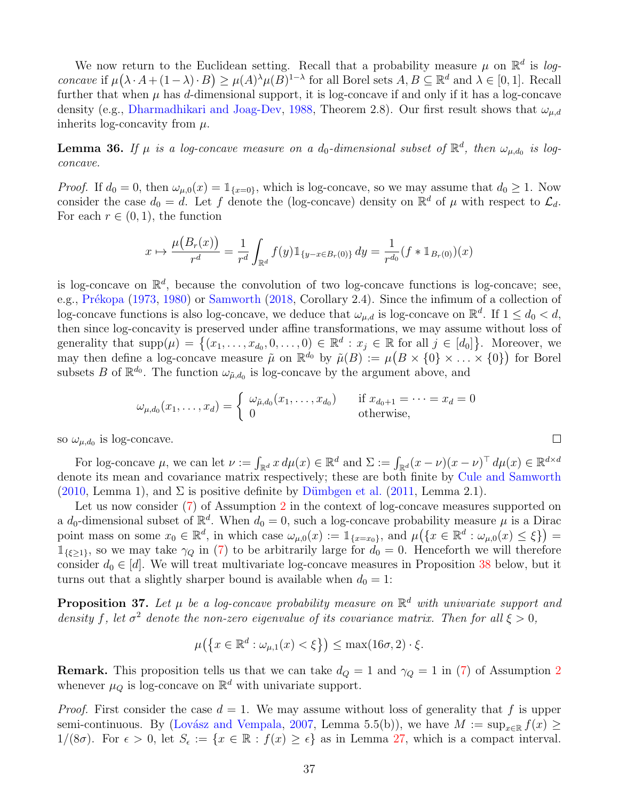We now return to the Euclidean setting. Recall that a probability measure  $\mu$  on  $\mathbb{R}^d$  is logconcave if  $\mu(\lambda \cdot A + (1 - \lambda) \cdot B) \geq \mu(A)^{\lambda} \mu(B)^{1-\lambda}$  for all Borel sets  $A, B \subseteq \mathbb{R}^d$  and  $\lambda \in [0, 1]$ . Recall further that when  $\mu$  has d-dimensional support, it is log-concave if and only if it has a log-concave density (e.g., [Dharmadhikari and Joag-Dev,](#page-43-15) [1988,](#page-43-15) Theorem 2.8). Our first result shows that  $\omega_{\mu,d}$ inherits log-concavity from  $\mu$ .

<span id="page-36-1"></span>**Lemma 36.** If  $\mu$  is a log-concave measure on a  $d_0$ -dimensional subset of  $\mathbb{R}^d$ , then  $\omega_{\mu,d_0}$  is logconcave.

*Proof.* If  $d_0 = 0$ , then  $\omega_{\mu,0}(x) = \mathbb{1}_{\{x=0\}}$ , which is log-concave, so we may assume that  $d_0 \geq 1$ . Now consider the case  $d_0 = d$ . Let f denote the (log-concave) density on  $\mathbb{R}^d$  of  $\mu$  with respect to  $\mathcal{L}_d$ . For each  $r \in (0,1)$ , the function

$$
x \mapsto \frac{\mu(B_r(x))}{r^d} = \frac{1}{r^d} \int_{\mathbb{R}^d} f(y) \mathbb{1}_{\{y - x \in B_r(0)\}} dy = \frac{1}{r^{d_0}} (f * \mathbb{1}_{B_r(0)})(x)
$$

is log-concave on  $\mathbb{R}^d$ , because the convolution of two log-concave functions is log-concave; see, e.g., Prékopa [\(1973,](#page-45-13) [1980\)](#page-45-14) or [Samworth](#page-45-15) [\(2018,](#page-45-15) Corollary 2.4). Since the infimum of a collection of log-concave functions is also log-concave, we deduce that  $\omega_{\mu,d}$  is log-concave on  $\mathbb{R}^d$ . If  $1 \leq d_0 < d$ , then since log-concavity is preserved under affine transformations, we may assume without loss of generality that  $\text{supp}(\mu) = \{(x_1, \ldots, x_{d_0}, 0, \ldots, 0) \in \mathbb{R}^d : x_j \in \mathbb{R} \text{ for all } j \in [d_0]\}.$  Moreover, we may then define a log-concave measure  $\tilde{\mu}$  on  $\mathbb{R}^{d_0}$  by  $\tilde{\mu}(B) := \mu(B \times \{0\} \times \ldots \times \{0\})$  for Borel subsets B of  $\mathbb{R}^{d_0}$ . The function  $\omega_{\tilde{\mu},d_0}$  is log-concave by the argument above, and

$$
\omega_{\mu,d_0}(x_1,\ldots,x_d) = \begin{cases} \omega_{\tilde{\mu},d_0}(x_1,\ldots,x_{d_0}) & \text{if } x_{d_0+1} = \cdots = x_d = 0\\ 0 & \text{otherwise,} \end{cases}
$$

so  $\omega_{\mu,d_0}$  is log-concave.

For log-concave  $\mu$ , we can let  $\nu := \int_{\mathbb{R}^d} x \, d\mu(x) \in \mathbb{R}^d$  and  $\Sigma := \int_{\mathbb{R}^d} (x - \nu)(x - \nu)^{\top} \, d\mu(x) \in \mathbb{R}^{d \times d}$ denote its mean and covariance matrix respectively; these are both finite by [Cule and Samworth](#page-43-16) [\(2010,](#page-43-16) Lemma 1), and  $\Sigma$  is positive definite by Dümbgen et al. [\(2011,](#page-43-17) Lemma 2.1).

Let us now consider [\(7\)](#page-5-4) of Assumption [2](#page-5-3) in the context of log-concave measures supported on a  $d_0$ -dimensional subset of  $\mathbb{R}^d$ . When  $d_0 = 0$ , such a log-concave probability measure  $\mu$  is a Dirac point mass on some  $x_0 \in \mathbb{R}^d$ , in which case  $\omega_{\mu,0}(x) := \mathbb{1}_{\{x=x_0\}}$ , and  $\mu(\{x \in \mathbb{R}^d : \omega_{\mu,0}(x) \leq \xi\})$  $1_{\{\xi\geq 1\}}$ , so we may take  $\gamma_Q$  in [\(7\)](#page-5-4) to be arbitrarily large for  $d_0 = 0$ . Henceforth we will therefore consider  $d_0 \in [d]$ . We will treat multivariate log-concave measures in Proposition [38](#page-37-0) below, but it turns out that a slightly sharper bound is available when  $d_0 = 1$ :

<span id="page-36-0"></span>**Proposition 37.** Let  $\mu$  be a log-concave probability measure on  $\mathbb{R}^d$  with univariate support and density f, let  $\sigma^2$  denote the non-zero eigenvalue of its covariance matrix. Then for all  $\xi > 0$ ,

$$
\mu\big(\big\{x\in\mathbb{R}^d:\omega_{\mu,1}(x)<\xi\big\}\big)\leq\max(16\sigma,2)\cdot\xi.
$$

**Remark.** This proposition tells us that we can take  $d_Q = 1$  and  $\gamma_Q = 1$  in [\(7\)](#page-5-4) of Assumption [2](#page-5-3) whenever  $\mu_Q$  is log-concave on  $\mathbb{R}^d$  with univariate support.

*Proof.* First consider the case  $d = 1$ . We may assume without loss of generality that f is upper semi-continuous. By (Lovász and Vempala, [2007,](#page-44-16) Lemma 5.5(b)), we have  $M := \sup_{x \in \mathbb{R}} f(x) \ge$  $1/(8\sigma)$ . For  $\epsilon > 0$ , let  $S_{\epsilon} := \{x \in \mathbb{R} : f(x) \geq \epsilon\}$  as in Lemma [27,](#page-29-0) which is a compact interval.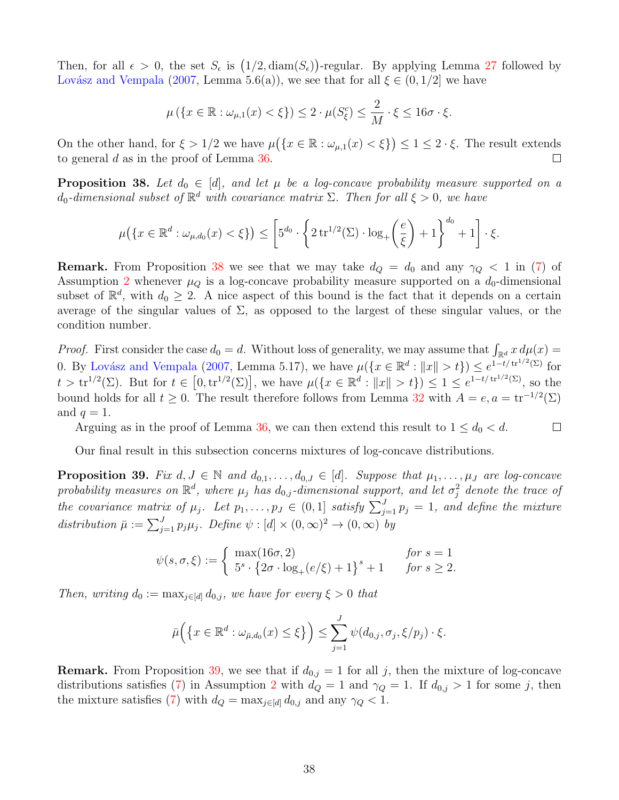Then, for all  $\epsilon > 0$ , the set  $S_{\epsilon}$  is  $(1/2, \text{diam}(S_{\epsilon}))$ -regular. By applying Lemma [27](#page-29-0) followed by Lovász and Vempala [\(2007,](#page-44-16) Lemma 5.6(a)), we see that for all  $\xi \in (0,1/2]$  we have

$$
\mu\left(\{x\in\mathbb{R}:\omega_{\mu,1}(x)<\xi\}\right)\leq 2\cdot\mu(S^c_{\xi})\leq \frac{2}{M}\cdot\xi\leq 16\sigma\cdot\xi.
$$

On the other hand, for  $\xi > 1/2$  we have  $\mu(\lbrace x \in \mathbb{R} : \omega_{\mu,1}(x) < \xi \rbrace) \leq 1 \leq 2 \cdot \xi$ . The result extends to general d as in the proof of Lemma [36.](#page-36-1)  $\Box$ 

<span id="page-37-0"></span>**Proposition 38.** Let  $d_0 \in [d]$ , and let  $\mu$  be a log-concave probability measure supported on a  $d_0$ -dimensional subset of  $\mathbb{R}^d$  with covariance matrix  $\Sigma$ . Then for all  $\xi > 0$ , we have

$$
\mu\big(\{x\in\mathbb{R}^d:\omega_{\mu,d_0}(x)<\xi\}\big)\leq \left[5^{d_0}\cdot\bigg\{2\operatorname{tr}^{1/2}(\Sigma)\cdot\log_+\left(\frac{e}{\xi}\right)+1\bigg\}^{d_0}+1\right]\cdot\xi.
$$

**Remark.** From Proposition [38](#page-37-0) we see that we may take  $d_Q = d_0$  and any  $\gamma_Q < 1$  in [\(7\)](#page-5-4) of Assumption [2](#page-5-3) whenever  $\mu_Q$  is a log-concave probability measure supported on a  $d_0$ -dimensional subset of  $\mathbb{R}^d$ , with  $d_0 \geq 2$ . A nice aspect of this bound is the fact that it depends on a certain average of the singular values of  $\Sigma$ , as opposed to the largest of these singular values, or the condition number.

*Proof.* First consider the case  $d_0 = d$ . Without loss of generality, we may assume that  $\int_{\mathbb{R}^d} x \, d\mu(x) =$ 0. By Lovász and Vempala [\(2007,](#page-44-16) Lemma 5.17), we have  $\mu({x \in \mathbb{R}^d : ||x|| > t}) \le e^{1-t/\text{tr}^{1/2}(\Sigma)}$  for  $t > \text{tr}^{1/2}(\Sigma)$ . But for  $t \in [0, \text{tr}^{1/2}(\Sigma)]$ , we have  $\mu({x \in \mathbb{R}^d : ||x|| > t}) \leq 1 \leq e^{1-t/\text{tr}^{1/2}(\Sigma)}$ , so the bound holds for all  $t \geq 0$ . The result therefore follows from Lemma [32](#page-32-2) with  $A = e$ ,  $a = \text{tr}^{-1/2}(\Sigma)$ and  $q=1$ .

Arguing as in the proof of Lemma [36,](#page-36-1) we can then extend this result to  $1 \leq d_0 < d$ .

 $\Box$ 

Our final result in this subsection concerns mixtures of log-concave distributions.

<span id="page-37-1"></span>**Proposition 39.** Fix  $d, J \in \mathbb{N}$  and  $d_{0,1}, \ldots, d_{0,J} \in [d]$ . Suppose that  $\mu_1, \ldots, \mu_J$  are log-concave probability measures on  $\mathbb{R}^d$ , where  $\mu_j$  has  $d_{0,j}$ -dimensional support, and let  $\sigma_j^2$  denote the trace of the covariance matrix of  $\mu_j$ . Let  $p_1, \ldots, p_J \in (0,1]$  satisfy  $\sum_{j=1}^J p_j = 1$ , and define the mixture distribution  $\bar{\mu} := \sum_{j=1}^{J} p_j \mu_j$ . Define  $\psi : [d] \times (0, \infty)^2 \to (0, \infty)$  by

$$
\psi(s,\sigma,\xi) := \begin{cases}\n\max(16\sigma,2) & \text{for } s = 1 \\
5^s \cdot \{2\sigma \cdot \log_+(e/\xi) + 1\}^s + 1 & \text{for } s \ge 2.\n\end{cases}
$$

Then, writing  $d_0 := \max_{j \in [d]} d_{0,j}$ , we have for every  $\xi > 0$  that

$$
\bar{\mu}\Big(\big\{x\in\mathbb{R}^d:\omega_{\bar{\mu},d_0}(x)\leq\xi\big\}\Big)\leq \sum_{j=1}^J\psi(d_{0,j},\sigma_j,\xi/p_j)\cdot\xi.
$$

**Remark.** From Proposition [39,](#page-37-1) we see that if  $d_{0,j} = 1$  for all j, then the mixture of log-concave distributions satisfies [\(7\)](#page-5-4) in Assumption [2](#page-5-3) with  $d_Q = 1$  and  $\gamma_Q = 1$ . If  $d_{0,j} > 1$  for some j, then the mixture satisfies [\(7\)](#page-5-4) with  $d_Q = \max_{j \in [d]} d_{0,j}$  and any  $\gamma_Q < 1$ .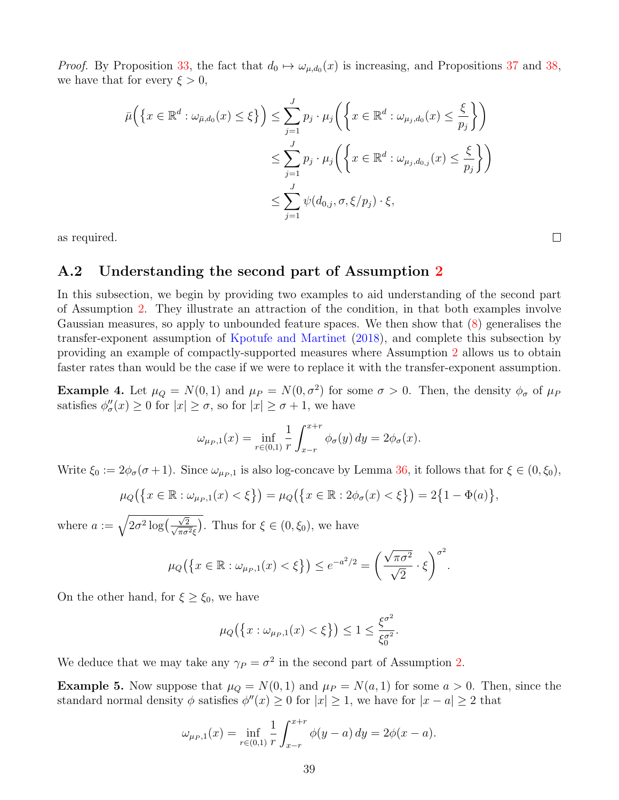*Proof.* By Proposition [33,](#page-33-0) the fact that  $d_0 \mapsto \omega_{\mu,d_0}(x)$  is increasing, and Propositions [37](#page-36-0) and [38,](#page-37-0) we have that for every  $\xi > 0$ ,

$$
\bar{\mu}\Big(\big\{x \in \mathbb{R}^d : \omega_{\bar{\mu},d_0}(x) \le \xi\big\}\Big) \le \sum_{j=1}^J p_j \cdot \mu_j\Big(\big\{x \in \mathbb{R}^d : \omega_{\mu_j,d_0}(x) \le \frac{\xi}{p_j}\big\}\Big)
$$
  

$$
\le \sum_{j=1}^J p_j \cdot \mu_j\Big(\big\{x \in \mathbb{R}^d : \omega_{\mu_j,d_{0,j}}(x) \le \frac{\xi}{p_j}\big\}\Big)
$$
  

$$
\le \sum_{j=1}^J \psi(d_{0,j},\sigma,\xi/p_j) \cdot \xi,
$$

as required.

#### A.2 Understanding the second part of Assumption [2](#page-5-3)

In this subsection, we begin by providing two examples to aid understanding of the second part of Assumption [2.](#page-5-3) They illustrate an attraction of the condition, in that both examples involve Gaussian measures, so apply to unbounded feature spaces. We then show that [\(8\)](#page-5-5) generalises the transfer-exponent assumption of [Kpotufe and Martinet](#page-44-4) [\(2018\)](#page-44-4), and complete this subsection by providing an example of compactly-supported measures where Assumption [2](#page-5-3) allows us to obtain faster rates than would be the case if we were to replace it with the transfer-exponent assumption.

<span id="page-38-0"></span>**Example 4.** Let  $\mu_Q = N(0, 1)$  and  $\mu_P = N(0, \sigma^2)$  for some  $\sigma > 0$ . Then, the density  $\phi_{\sigma}$  of  $\mu_P$ satisfies  $\phi_{\sigma}''(x) \ge 0$  for  $|x| \ge \sigma$ , so for  $|x| \ge \sigma + 1$ , we have

$$
\omega_{\mu_P,1}(x) = \inf_{r \in (0,1)} \frac{1}{r} \int_{x-r}^{x+r} \phi_{\sigma}(y) \, dy = 2\phi_{\sigma}(x).
$$

Write  $\xi_0 := 2\phi_\sigma(\sigma + 1)$ . Since  $\omega_{\mu_P,1}$  is also log-concave by Lemma [36,](#page-36-1) it follows that for  $\xi \in (0, \xi_0)$ ,

$$
\mu_Q(\{x \in \mathbb{R} : \omega_{\mu_P,1}(x) < \xi\}) = \mu_Q(\{x \in \mathbb{R} : 2\phi_\sigma(x) < \xi\}) = 2\{1 - \Phi(a)\},
$$

where  $a := \sqrt{2\sigma^2 \log\left(\frac{\sqrt{2}}{\sqrt{2}}\right)}$  $\frac{\sqrt{2}}{\pi \sigma^2 \xi}$ ). Thus for  $\xi \in (0, \xi_0)$ , we have

$$
\mu_Q\big(\big\{x\in\mathbb{R}:\omega_{\mu_P,1}(x)<\xi\big\}\big)\leq e^{-a^2/2}=\bigg(\frac{\sqrt{\pi\sigma^2}}{\sqrt{2}}\cdot\xi\bigg)^{\sigma^2}.
$$

On the other hand, for  $\xi \geq \xi_0$ , we have

$$
\mu_Q\big(\big\{x:\omega_{\mu_P,1}(x)<\xi\big\}\big)\leq 1\leq \frac{\xi^{\sigma^2}}{\xi_0^{\sigma^2}}.
$$

We deduce that we may take any  $\gamma_P = \sigma^2$  in the second part of Assumption [2.](#page-5-3)

<span id="page-38-1"></span>**Example 5.** Now suppose that  $\mu_Q = N(0, 1)$  and  $\mu_P = N(a, 1)$  for some  $a > 0$ . Then, since the standard normal density  $\phi$  satisfies  $\phi''(x) \geq 0$  for  $|x| \geq 1$ , we have for  $|x - a| \geq 2$  that

$$
\omega_{\mu_P,1}(x) = \inf_{r \in (0,1)} \frac{1}{r} \int_{x-r}^{x+r} \phi(y-a) \, dy = 2\phi(x-a).
$$

39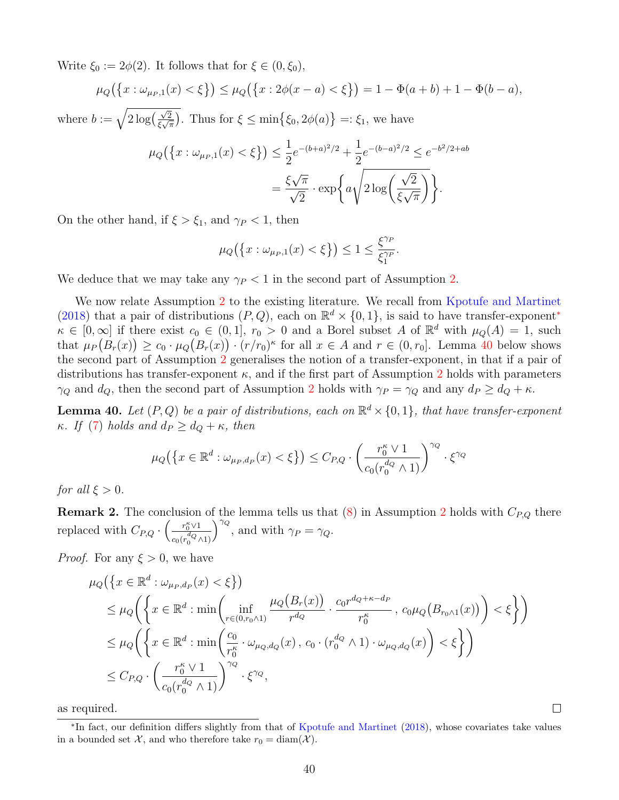Write  $\xi_0 := 2\phi(2)$ . It follows that for  $\xi \in (0, \xi_0)$ ,

$$
\mu_Q(\{x:\omega_{\mu_P,1}(x)<\xi\}) \leq \mu_Q(\{x:2\phi(x-a)<\xi\}) = 1 - \Phi(a+b) + 1 - \Phi(b-a),
$$

where  $b := \sqrt{2 \log(\frac{\sqrt{2}}{\epsilon \sqrt{2}})}$  $\frac{\sqrt{2}}{\xi\sqrt{\pi}}$ . Thus for  $\xi \le \min\left\{\xi_0, 2\phi(a)\right\} =:\xi_1$ , we have

$$
\mu_Q(\{x:\omega_{\mu_P,1}(x)<\xi\}) \le \frac{1}{2}e^{-(b+a)^2/2} + \frac{1}{2}e^{-(b-a)^2/2} \le e^{-b^2/2+ab}
$$

$$
= \frac{\xi\sqrt{\pi}}{\sqrt{2}} \cdot \exp\left\{a\sqrt{2\log\left(\frac{\sqrt{2}}{\xi\sqrt{\pi}}\right)}\right\}.
$$

On the other hand, if  $\xi > \xi_1$ , and  $\gamma_P < 1$ , then

$$
\mu_Q\big(\big\{x:\omega_{\mu_P,1}(x)<\xi\big\}\big)\leq 1\leq \frac{\xi^{\gamma_P}}{\xi_1^{\gamma_P}}.
$$

We deduce that we may take any  $\gamma_P < 1$  in the second part of Assumption [2.](#page-5-3)

We now relate Assumption [2](#page-5-3) to the existing literature. We recall from [Kpotufe and Martinet](#page-44-4) [\(2018\)](#page-44-4) that a pair of distributions  $(P, Q)$ , each on  $\mathbb{R}^d \times \{0, 1\}$ , is said to have transfer-exponent<sup>\*</sup>  $\kappa \in [0,\infty]$  if there exist  $c_0 \in (0,1], r_0 > 0$  and a Borel subset A of  $\mathbb{R}^d$  with  $\mu_Q(A) = 1$ , such that  $\mu_P(B_r(x)) \geq c_0 \cdot \mu_Q(B_r(x)) \cdot (r/r_0)^{\kappa}$  for all  $x \in A$  and  $r \in (0, r_0]$ . Lemma [40](#page-39-0) below shows the second part of Assumption [2](#page-5-3) generalises the notion of a transfer-exponent, in that if a pair of distributions has transfer-exponent  $\kappa$ , and if the first part of Assumption [2](#page-5-3) holds with parameters  $\gamma_Q$  and  $d_Q$ , then the second part of Assumption [2](#page-5-3) holds with  $\gamma_P = \gamma_Q$  and any  $d_P \geq d_Q + \kappa$ .

<span id="page-39-0"></span>**Lemma 40.** Let  $(P,Q)$  be a pair of distributions, each on  $\mathbb{R}^d \times \{0,1\}$ , that have transfer-exponent κ. If [\(7\)](#page-5-4) holds and  $d_P \geq d_Q + \kappa$ , then

$$
\mu_Q\big(\big\{x\in\mathbb{R}^d:\omega_{\mu_P,d_P}(x)<\xi\big\}\big)\leq C_{P,Q}\cdot\bigg(\frac{r_0^\kappa\vee 1}{c_0(r_0^{d_Q}\wedge 1)}\bigg)^{\gamma_Q}\cdot\xi^{\gamma_Q}
$$

for all  $\xi > 0$ .

**Remark [2](#page-5-3).** The conclusion of the lemma tells us that  $(8)$  in Assumption 2 holds with  $C_{P,Q}$  there replaced with  $C_{P,Q} \cdot \left( -\frac{r_0^{\kappa} \vee 1}{\sqrt{d_Q}} \right)$  $c_0(r_0^{dQ}\wedge 1)$  $\int^{\gamma_Q}$ , and with  $\gamma_P = \gamma_Q$ .

*Proof.* For any  $\xi > 0$ , we have

$$
\mu_{Q}\left(\left\{x \in \mathbb{R}^{d} : \omega_{\mu_{P},d_{P}}(x) < \xi\right\}\right)
$$
\n
$$
\leq \mu_{Q}\left(\left\{x \in \mathbb{R}^{d} : \min\left(\inf_{r \in (0,r_{0} \wedge 1)} \frac{\mu_{Q}\left(B_{r}(x)\right)}{r_{q}} \cdot \frac{c_{0}r^{d_{Q}+\kappa-d_{P}}}{r_{0}^{\kappa}}, \ c_{0}\mu_{Q}\left(B_{r_{0} \wedge 1}(x)\right)\right) < \xi\right\}\right)
$$
\n
$$
\leq \mu_{Q}\left(\left\{x \in \mathbb{R}^{d} : \min\left(\frac{c_{0}}{r_{0}^{\kappa}} \cdot \omega_{\mu_{Q},d_{Q}}(x), \ c_{0} \cdot (r_{0}^{d_{Q}} \wedge 1) \cdot \omega_{\mu_{Q},d_{Q}}(x)\right) < \xi\right\}\right)
$$
\n
$$
\leq C_{P,Q} \cdot \left(\frac{r_{0}^{\kappa} \vee 1}{c_{0}(r_{0}^{d_{Q}} \wedge 1)}\right)^{\gamma_{Q}} \cdot \xi^{\gamma_{Q}},
$$

as required.

<span id="page-39-1"></span><sup>∗</sup> In fact, our definition differs slightly from that of [Kpotufe and Martinet](#page-44-4) [\(2018\)](#page-44-4), whose covariates take values in a bounded set X, and who therefore take  $r_0 = \text{diam}(\mathcal{X})$ .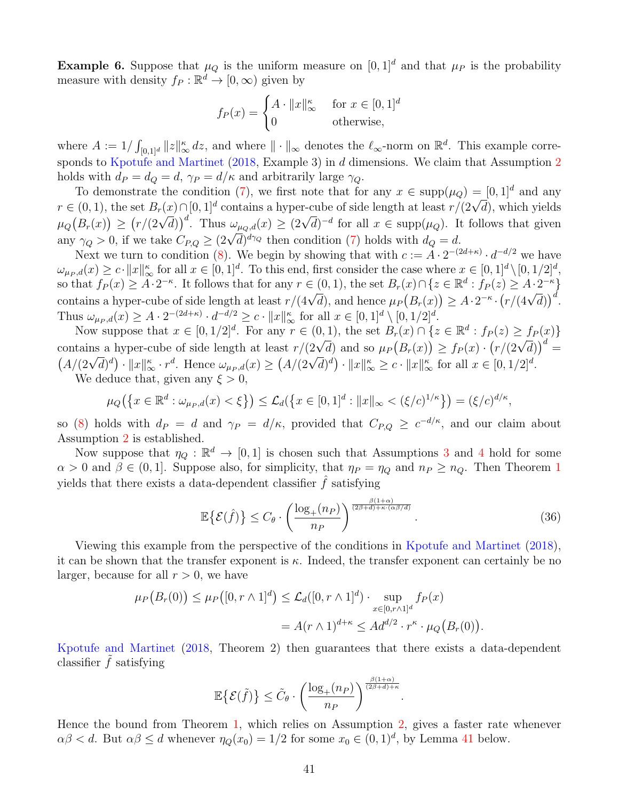<span id="page-40-0"></span>**Example 6.** Suppose that  $\mu_Q$  is the uniform measure on  $[0, 1]^d$  and that  $\mu_P$  is the probability measure with density  $f_P : \mathbb{R}^d \to [0, \infty)$  given by

$$
f_P(x) = \begin{cases} A \cdot ||x||_{\infty}^{\kappa} & \text{for } x \in [0,1]^d \\ 0 & \text{otherwise,} \end{cases}
$$

where  $A := 1/\int_{[0,1]^d} ||z||^{\kappa}_{\infty} dz$ , and where  $|| \cdot ||_{\infty}$  denotes the  $\ell_{\infty}$ -norm on  $\mathbb{R}^d$ . This example corresponds to [Kpotufe and Martinet](#page-44-4) [\(2018,](#page-44-4) Example 3) in d dimensions. We claim that Assumption [2](#page-5-3) holds with  $d_P = d_Q = d$ ,  $\gamma_P = d/\kappa$  and arbitrarily large  $\gamma_Q$ .

To demonstrate the condition [\(7\)](#page-5-4), we first note that for any  $x \in \text{supp}(\mu_Q) = [0, 1]^d$  and any To demonstrate the condition (1), we first note that for any  $x \in \text{supp}(\mu_Q) = [0, 1]$  and any  $r \in (0, 1)$ , the set  $B_r(x) \cap [0, 1]^d$  contains a hyper-cube of side length at least  $r/(2\sqrt{d})$ , which yields  $\mu_Q(B_r(x)) \ge (r/(2\sqrt{d}))^d$ . Thus  $\omega_{\mu_Q,d}(x) \ge (2\sqrt{d})^{-d}$  for all  $x \in \text{supp}(\mu_Q)$ . It follows that given  $\mu_Q(D_r(x)) \leq (r/(2\sqrt{a}))$ . Thus  $\omega_{\mu_Q,d}(x) \leq (2\sqrt{a})$  for an  $x \in \text{supp}(\mu_Q)$ . If any  $\gamma_Q > 0$ , if we take  $C_{P,Q} \geq (2\sqrt{a})^{d\gamma_Q}$  then condition [\(7\)](#page-5-4) holds with  $d_Q = d$ .

Next we turn to condition [\(8\)](#page-5-5). We begin by showing that with  $c := A \cdot 2^{-(2d+\kappa)} \cdot d^{-d/2}$  we have  $\omega_{\mu_P,d}(x) \geq c \cdot ||x||_{\infty}^{\kappa}$  for all  $x \in [0,1]^d$ . To this end, first consider the case where  $x \in [0,1]^d \setminus [0,1/2]^d$ , so that  $f_P(x) \geq A \cdot 2^{-\kappa}$ . It follows that for any  $r \in (0,1)$ , the set  $B_r(x) \cap \{z \in \mathbb{R}^d : f_P(z) \geq A \cdot 2^{-\kappa}\}\$ so that  $f_P(x) \le A^2$ . It follows that for any  $r \in (0, 1)$ , the set  $D_r(x) \cap \{x \in \mathbb{R} : f_P(x) \le A^2 \}$ <br>contains a hyper-cube of side length at least  $r/(4\sqrt{d})$ , and hence  $\mu_P(B_r(x)) \ge A \cdot 2^{-\kappa} \cdot (r/(4\sqrt{d}))^d$ . Thus  $\omega_{\mu_P,d}(x) \geq A \cdot 2^{-(2d+\kappa)} \cdot d^{-d/2} \geq c \cdot ||x||_{\infty}^{\kappa}$  for all  $x \in [0,1]^d \setminus [0,1/2]^d$ .

Now suppose that  $x \in [0, 1/2]^d$ . For any  $r \in (0, 1)$ , the set  $B_r(x) \cap \{z \in \mathbb{R}^d : f_P(z) \geq f_P(x)\}$ row suppose that  $x \in [0, 1/2]$ . For any  $r \in (0, 1)$ , the set  $D_r(x) \cap \{z \in \mathbb{R} : J_P(z) \leq J_P(x) \}$ <br>contains a hyper-cube of side length at least  $r/(2\sqrt{d})$  and so  $\mu_P(B_r(x)) \geq f_P(x) \cdot (r/(2\sqrt{d}))^d$ Contains a hyper-cube of side length at least  $\ell/(2\sqrt{d})^d$  and so  $\mu_P(D_r(x)) \leq J_P(x) \cdot (\ell/(2\sqrt{d}))$ <br>  $(A/(2\sqrt{d})^d) \cdot ||x||_{\infty}^{\kappa} \cdot r^d$ . Hence  $\omega_{\mu_P,d}(x) \geq (A/(2\sqrt{d})^d) \cdot ||x||_{\infty}^{\kappa} \geq c \cdot ||x||_{\infty}^{\kappa}$  for all  $x \in [0,1/2]^d$ . We deduce that, given any  $\xi > 0$ ,

$$
\mu_Q(\{x \in \mathbb{R}^d : \omega_{\mu_P,d}(x) < \xi\}) \le \mathcal{L}_d(\{x \in [0,1]^d : \|x\|_{\infty} < (\xi/c)^{1/\kappa}\}) = (\xi/c)^{d/\kappa},
$$

so [\(8\)](#page-5-5) holds with  $d_P = d$  and  $\gamma_P = d/\kappa$ , provided that  $C_{P,Q} \geq c^{-d/\kappa}$ , and our claim about Assumption [2](#page-5-3) is established.

Now suppose that  $\eta_Q : \mathbb{R}^d \to [0,1]$  is chosen such that Assumptions [3](#page-6-2) and [4](#page-6-1) hold for some  $\alpha > 0$  and  $\beta \in (0, 1]$  $\beta \in (0, 1]$  $\beta \in (0, 1]$ . Suppose also, for simplicity, that  $\eta_P = \eta_Q$  and  $n_P \geq n_Q$ . Then Theorem 1 yields that there exists a data-dependent classifier  $\hat{f}$  satisfying

$$
\mathbb{E}\left\{\mathcal{E}(\hat{f})\right\} \le C_{\theta} \cdot \left(\frac{\log_+(n_P)}{n_P}\right)^{\frac{\beta(1+\alpha)}{(2\beta+d)+\kappa\cdot(\alpha\beta/d)}}.\tag{36}
$$

Viewing this example from the perspective of the conditions in [Kpotufe and Martinet](#page-44-4) [\(2018\)](#page-44-4), it can be shown that the transfer exponent is  $\kappa$ . Indeed, the transfer exponent can certainly be no larger, because for all  $r > 0$ , we have

$$
\mu_P(B_r(0)) \le \mu_P([0, r \wedge 1]^d) \le \mathcal{L}_d([0, r \wedge 1]^d) \cdot \sup_{x \in [0, r \wedge 1]^d} f_P(x)
$$
  
=  $A(r \wedge 1)^{d+\kappa} \le Ad^{d/2} \cdot r^{\kappa} \cdot \mu_Q(B_r(0)).$ 

[Kpotufe and Martinet](#page-44-4) [\(2018,](#page-44-4) Theorem 2) then guarantees that there exists a data-dependent classifier  $\hat{f}$  satisfying

$$
\mathbb{E}\left\{\mathcal{E}(\tilde{f})\right\} \leq \tilde{C}_{\theta} \cdot \left(\frac{\log_+(n_P)}{n_P}\right)^{\frac{\beta(1+\alpha)}{(2\beta+d)+\kappa}}.
$$

Hence the bound from Theorem [1,](#page-6-0) which relies on Assumption [2,](#page-5-3) gives a faster rate whenever  $\alpha\beta < d$ . But  $\alpha\beta \le d$  whenever  $\eta_Q(x_0) = 1/2$  for some  $x_0 \in (0,1)^d$ , by Lemma [41](#page-41-0) below.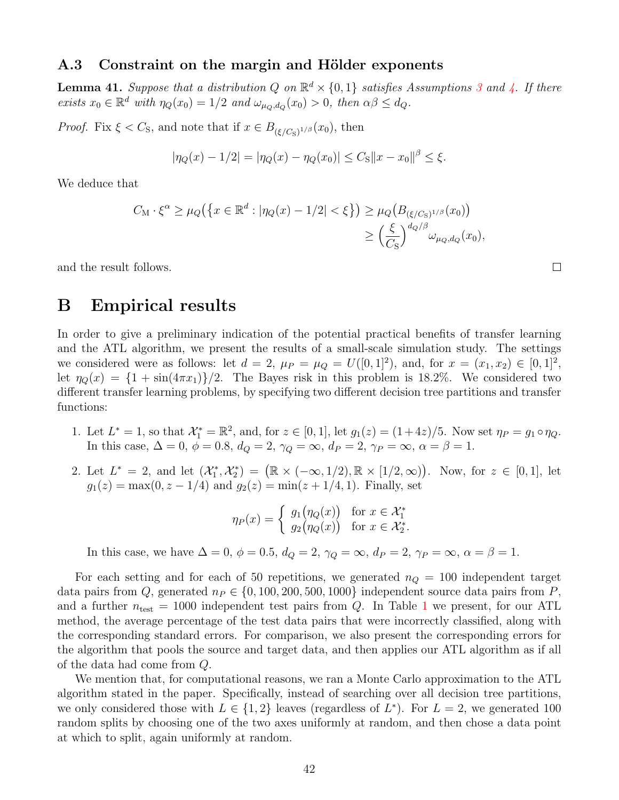#### A.3 Constraint on the margin and Hölder exponents

<span id="page-41-0"></span>**Lemma 41.** Suppose that a distribution Q on  $\mathbb{R}^d \times \{0,1\}$  satisfies Assumptions [3](#page-6-2) and [4.](#page-6-1) If there exists  $x_0 \in \mathbb{R}^d$  with  $\eta_Q(x_0) = 1/2$  and  $\omega_{\mu_Q,d_Q}(x_0) > 0$ , then  $\alpha\beta \leq d_Q$ .

*Proof.* Fix  $\xi < C_S$ , and note that if  $x \in B_{(\xi/C_S)^{1/\beta}}(x_0)$ , then

$$
|\eta_Q(x) - 1/2| = |\eta_Q(x) - \eta_Q(x_0)| \le C_S ||x - x_0||^{\beta} \le \xi.
$$

We deduce that

$$
C_{\mathcal{M}} \cdot \xi^{\alpha} \ge \mu_Q\big(\big\{x \in \mathbb{R}^d : |\eta_Q(x) - 1/2| < \xi\big\}\big) \ge \mu_Q\big(B_{(\xi/C_S)^{1/\beta}}(x_0)\big) \\
\ge \left(\frac{\xi}{C_S}\right)^{d_Q/\beta} \omega_{\mu_Q, d_Q}(x_0),
$$

and the result follows.

## <span id="page-41-1"></span>B Empirical results

In order to give a preliminary indication of the potential practical benefits of transfer learning and the ATL algorithm, we present the results of a small-scale simulation study. The settings we considered were as follows: let  $d = 2$ ,  $\mu_P = \mu_Q = U([0, 1]^2)$ , and, for  $x = (x_1, x_2) \in [0, 1]^2$ , let  $\eta_{\mathcal{Q}}(x) = \{1 + \sin(4\pi x_1)\}/2$ . The Bayes risk in this problem is 18.2%. We considered two different transfer learning problems, by specifying two different decision tree partitions and transfer functions:

- 1. Let  $L^* = 1$ , so that  $\mathcal{X}_1^* = \mathbb{R}^2$ , and, for  $z \in [0, 1]$ , let  $g_1(z) = (1 + 4z)/5$ . Now set  $\eta_P = g_1 \circ \eta_Q$ . In this case,  $\Delta = 0$ ,  $\phi = 0.8$ ,  $d_Q = 2$ ,  $\gamma_Q = \infty$ ,  $d_P = 2$ ,  $\gamma_P = \infty$ ,  $\alpha = \beta = 1$ .
- 2. Let  $L^* = 2$ , and let  $(\mathcal{X}_1^*, \mathcal{X}_2^*) = (\mathbb{R} \times (-\infty, 1/2), \mathbb{R} \times [1/2, \infty))$ . Now, for  $z \in [0, 1]$ , let  $g_1(z) = \max(0, z - 1/4)$  and  $g_2(z) = \min(z + 1/4, 1)$ . Finally, set

$$
\eta_P(x) = \begin{cases} g_1(\eta_Q(x)) & \text{for } x \in \mathcal{X}_1^* \\ g_2(\eta_Q(x)) & \text{for } x \in \mathcal{X}_2^* .\end{cases}
$$

In this case, we have  $\Delta = 0$ ,  $\phi = 0.5$ ,  $d_Q = 2$ ,  $\gamma_Q = \infty$ ,  $d_P = 2$ ,  $\gamma_P = \infty$ ,  $\alpha = \beta = 1$ .

For each setting and for each of 50 repetitions, we generated  $n_Q = 100$  independent target data pairs from Q, generated  $n_P \in \{0, 100, 200, 500, 1000\}$  independent source data pairs from P, and a further  $n_{\text{test}} = 1000$  $n_{\text{test}} = 1000$  $n_{\text{test}} = 1000$  independent test pairs from Q. In Table 1 we present, for our ATL method, the average percentage of the test data pairs that were incorrectly classified, along with the corresponding standard errors. For comparison, we also present the corresponding errors for the algorithm that pools the source and target data, and then applies our ATL algorithm as if all of the data had come from Q.

We mention that, for computational reasons, we ran a Monte Carlo approximation to the ATL algorithm stated in the paper. Specifically, instead of searching over all decision tree partitions, we only considered those with  $L \in \{1,2\}$  leaves (regardless of  $L^*$ ). For  $L = 2$ , we generated 100 random splits by choosing one of the two axes uniformly at random, and then chose a data point at which to split, again uniformly at random.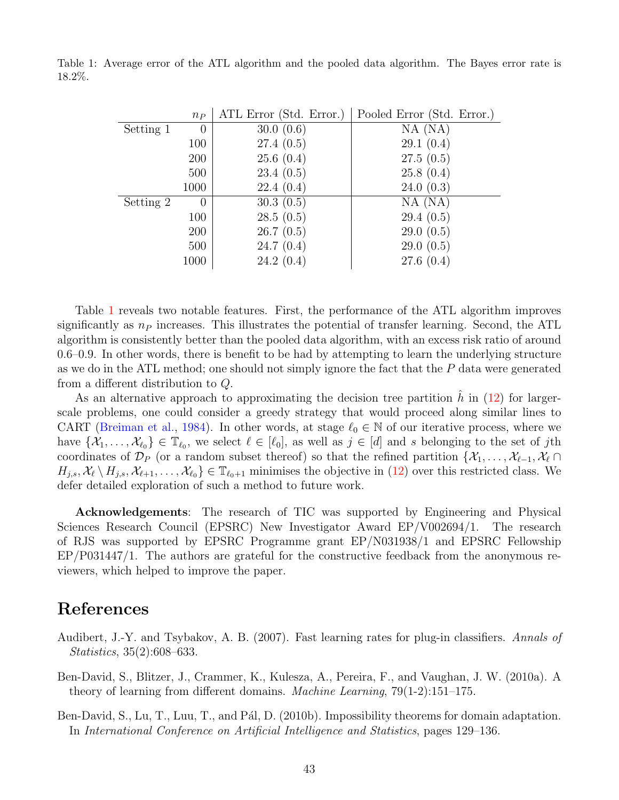|           | $n_{P}$          | ATL Error (Std. Error.) | Pooled Error (Std. Error.) |
|-----------|------------------|-------------------------|----------------------------|
| Setting 1 | $\left( \right)$ | 30.0(0.6)               | $NA$ (NA)                  |
|           | 100              | 27.4(0.5)               | 29.1(0.4)                  |
|           | <b>200</b>       | 25.6(0.4)               | 27.5(0.5)                  |
|           | 500              | 23.4(0.5)               | 25.8(0.4)                  |
|           | 1000             | 22.4(0.4)               | 24.0(0.3)                  |
| Setting 2 | $\theta$         | 30.3(0.5)               | $NA$ (NA)                  |
|           | 100              | 28.5(0.5)               | 29.4(0.5)                  |
|           | <b>200</b>       | 26.7(0.5)               | 29.0(0.5)                  |
|           | 500              | 24.7(0.4)               | 29.0(0.5)                  |
|           | 1000             | 24.2(0.4)               | 27.6(0.4)                  |

<span id="page-42-3"></span>Table 1: Average error of the ATL algorithm and the pooled data algorithm. The Bayes error rate is 18.2%.

Table [1](#page-42-3) reveals two notable features. First, the performance of the ATL algorithm improves significantly as  $n_P$  increases. This illustrates the potential of transfer learning. Second, the ATL algorithm is consistently better than the pooled data algorithm, with an excess risk ratio of around 0.6–0.9. In other words, there is benefit to be had by attempting to learn the underlying structure as we do in the ATL method; one should not simply ignore the fact that the  $P$  data were generated from a different distribution to Q.

As an alternative approach to approximating the decision tree partition h in  $(12)$  for largerscale problems, one could consider a greedy strategy that would proceed along similar lines to CART [\(Breiman et al.,](#page-43-4) [1984\)](#page-43-4). In other words, at stage  $\ell_0 \in \mathbb{N}$  of our iterative process, where we have  $\{\mathcal{X}_1,\ldots,\mathcal{X}_{\ell_0}\}\in\mathbb{T}_{\ell_0}$ , we select  $\ell\in[\ell_0]$ , as well as  $j\in[d]$  and s belonging to the set of jth coordinates of  $\mathcal{D}_P$  (or a random subset thereof) so that the refined partition  $\{\mathcal{X}_1, \ldots, \mathcal{X}_{\ell-1}, \mathcal{X}_{\ell} \cap$  $H_{j,s}, \mathcal{X}_{\ell} \setminus H_{j,s}, \mathcal{X}_{\ell+1}, \ldots, \mathcal{X}_{\ell_0} \in \mathbb{T}_{\ell_0+1}$  minimises the objective in  $(12)$  over this restricted class. We defer detailed exploration of such a method to future work.

Acknowledgements: The research of TIC was supported by Engineering and Physical Sciences Research Council (EPSRC) New Investigator Award EP/V002694/1. The research of RJS was supported by EPSRC Programme grant EP/N031938/1 and EPSRC Fellowship EP/P031447/1. The authors are grateful for the constructive feedback from the anonymous reviewers, which helped to improve the paper.

## References

- <span id="page-42-2"></span>Audibert, J.-Y. and Tsybakov, A. B. (2007). Fast learning rates for plug-in classifiers. Annals of Statistics, 35(2):608–633.
- <span id="page-42-0"></span>Ben-David, S., Blitzer, J., Crammer, K., Kulesza, A., Pereira, F., and Vaughan, J. W. (2010a). A theory of learning from different domains. Machine Learning, 79(1-2):151–175.
- <span id="page-42-1"></span>Ben-David, S., Lu, T., Luu, T., and Pál, D. (2010b). Impossibility theorems for domain adaptation. In International Conference on Artificial Intelligence and Statistics, pages 129–136.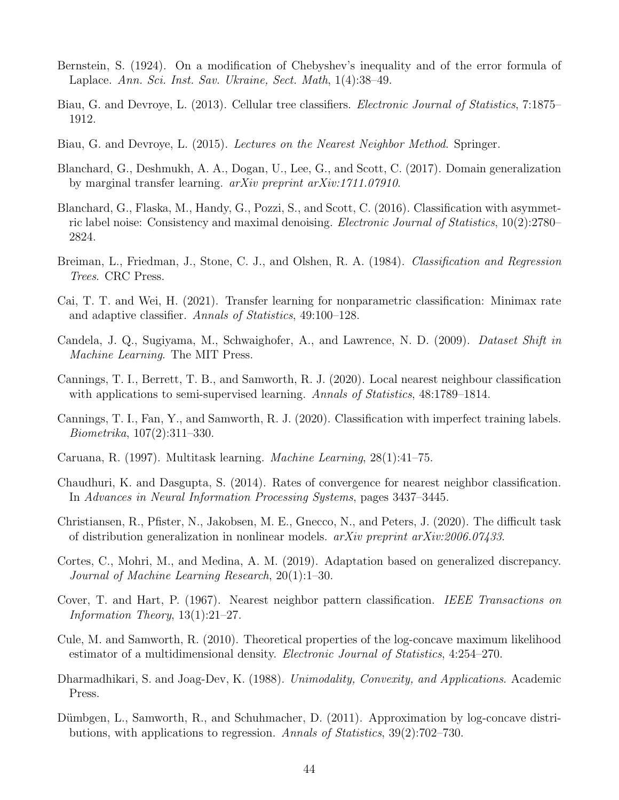- <span id="page-43-14"></span>Bernstein, S. (1924). On a modification of Chebyshev's inequality and of the error formula of Laplace. Ann. Sci. Inst. Sav. Ukraine, Sect. Math, 1(4):38–49.
- <span id="page-43-13"></span>Biau, G. and Devroye, L. (2013). Cellular tree classifiers. Electronic Journal of Statistics, 7:1875– 1912.
- <span id="page-43-10"></span>Biau, G. and Devroye, L. (2015). Lectures on the Nearest Neighbor Method. Springer.
- <span id="page-43-7"></span>Blanchard, G., Deshmukh, A. A., Dogan, U., Lee, G., and Scott, C. (2017). Domain generalization by marginal transfer learning. arXiv preprint arXiv:1711.07910.
- <span id="page-43-0"></span>Blanchard, G., Flaska, M., Handy, G., Pozzi, S., and Scott, C. (2016). Classification with asymmetric label noise: Consistency and maximal denoising. Electronic Journal of Statistics, 10(2):2780– 2824.
- <span id="page-43-4"></span>Breiman, L., Friedman, J., Stone, C. J., and Olshen, R. A. (1984). Classification and Regression Trees. CRC Press.
- <span id="page-43-8"></span>Cai, T. T. and Wei, H. (2021). Transfer learning for nonparametric classification: Minimax rate and adaptive classifier. Annals of Statistics, 49:100–128.
- <span id="page-43-6"></span>Candela, J. Q., Sugiyama, M., Schwaighofer, A., and Lawrence, N. D. (2009). Dataset Shift in Machine Learning. The MIT Press.
- <span id="page-43-11"></span>Cannings, T. I., Berrett, T. B., and Samworth, R. J. (2020). Local nearest neighbour classification with applications to semi-supervised learning. Annals of Statistics, 48:1789–1814.
- <span id="page-43-1"></span>Cannings, T. I., Fan, Y., and Samworth, R. J. (2020). Classification with imperfect training labels. Biometrika, 107(2):311–330.
- <span id="page-43-2"></span>Caruana, R. (1997). Multitask learning. Machine Learning, 28(1):41–75.
- <span id="page-43-9"></span>Chaudhuri, K. and Dasgupta, S. (2014). Rates of convergence for nearest neighbor classification. In Advances in Neural Information Processing Systems, pages 3437–3445.
- <span id="page-43-3"></span>Christiansen, R., Pfister, N., Jakobsen, M. E., Gnecco, N., and Peters, J. (2020). The difficult task of distribution generalization in nonlinear models. arXiv preprint arXiv:2006.07433.
- <span id="page-43-5"></span>Cortes, C., Mohri, M., and Medina, A. M. (2019). Adaptation based on generalized discrepancy. Journal of Machine Learning Research, 20(1):1–30.
- <span id="page-43-12"></span>Cover, T. and Hart, P. (1967). Nearest neighbor pattern classification. IEEE Transactions on Information Theory, 13(1):21–27.
- <span id="page-43-16"></span>Cule, M. and Samworth, R. (2010). Theoretical properties of the log-concave maximum likelihood estimator of a multidimensional density. Electronic Journal of Statistics, 4:254–270.
- <span id="page-43-15"></span>Dharmadhikari, S. and Joag-Dev, K. (1988). Unimodality, Convexity, and Applications. Academic Press.
- <span id="page-43-17"></span>Dümbgen, L., Samworth, R., and Schuhmacher, D. (2011). Approximation by log-concave distributions, with applications to regression. Annals of Statistics, 39(2):702–730.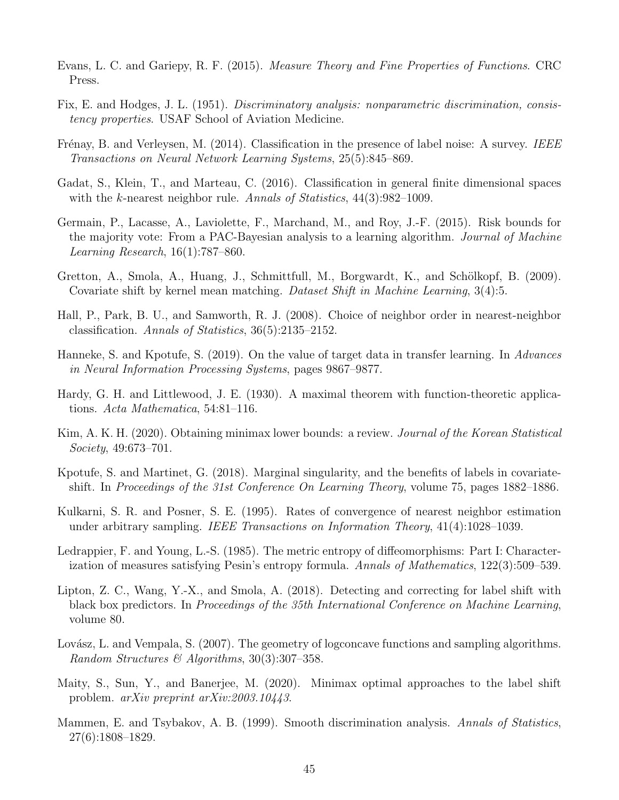- <span id="page-44-10"></span>Evans, L. C. and Gariepy, R. F. (2015). Measure Theory and Fine Properties of Functions. CRC Press.
- <span id="page-44-14"></span>Fix, E. and Hodges, J. L. (1951). Discriminatory analysis: nonparametric discrimination, consistency properties. USAF School of Aviation Medicine.
- <span id="page-44-0"></span>Frénay, B. and Verleysen, M. (2014). Classification in the presence of label noise: A survey. IEEE Transactions on Neural Network Learning Systems, 25(5):845–869.
- <span id="page-44-8"></span>Gadat, S., Klein, T., and Marteau, C. (2016). Classification in general finite dimensional spaces with the k-nearest neighbor rule. Annals of Statistics,  $44(3):982-1009$ .
- <span id="page-44-1"></span>Germain, P., Lacasse, A., Laviolette, F., Marchand, M., and Roy, J.-F. (2015). Risk bounds for the majority vote: From a PAC-Bayesian analysis to a learning algorithm. Journal of Machine Learning Research, 16(1):787–860.
- <span id="page-44-3"></span>Gretton, A., Smola, A., Huang, J., Schmittfull, M., Borgwardt, K., and Schölkopf, B. (2009). Covariate shift by kernel mean matching. Dataset Shift in Machine Learning, 3(4):5.
- <span id="page-44-13"></span>Hall, P., Park, B. U., and Samworth, R. J. (2008). Choice of neighbor order in nearest-neighbor classification. Annals of Statistics, 36(5):2135–2152.
- <span id="page-44-5"></span>Hanneke, S. and Kpotufe, S. (2019). On the value of target data in transfer learning. In Advances in Neural Information Processing Systems, pages 9867–9877.
- <span id="page-44-9"></span>Hardy, G. H. and Littlewood, J. E. (1930). A maximal theorem with function-theoretic applications. Acta Mathematica, 54:81–116.
- <span id="page-44-15"></span>Kim, A. K. H. (2020). Obtaining minimax lower bounds: a review. *Journal of the Korean Statistical* Society, 49:673–701.
- <span id="page-44-4"></span>Kpotufe, S. and Martinet, G. (2018). Marginal singularity, and the benefits of labels in covariateshift. In Proceedings of the 31st Conference On Learning Theory, volume 75, pages 1882–1886.
- <span id="page-44-12"></span>Kulkarni, S. R. and Posner, S. E. (1995). Rates of convergence of nearest neighbor estimation under arbitrary sampling. IEEE Transactions on Information Theory, 41(4):1028–1039.
- <span id="page-44-7"></span>Ledrappier, F. and Young, L.-S. (1985). The metric entropy of diffeomorphisms: Part I: Characterization of measures satisfying Pesin's entropy formula. Annals of Mathematics, 122(3):509–539.
- <span id="page-44-2"></span>Lipton, Z. C., Wang, Y.-X., and Smola, A. (2018). Detecting and correcting for label shift with black box predictors. In Proceedings of the 35th International Conference on Machine Learning, volume 80.
- <span id="page-44-16"></span>Lovász, L. and Vempala, S. (2007). The geometry of logconcave functions and sampling algorithms. Random Structures & Algorithms, 30(3):307–358.
- <span id="page-44-6"></span>Maity, S., Sun, Y., and Banerjee, M. (2020). Minimax optimal approaches to the label shift problem. arXiv preprint arXiv:2003.10443.
- <span id="page-44-11"></span>Mammen, E. and Tsybakov, A. B. (1999). Smooth discrimination analysis. Annals of Statistics, 27(6):1808–1829.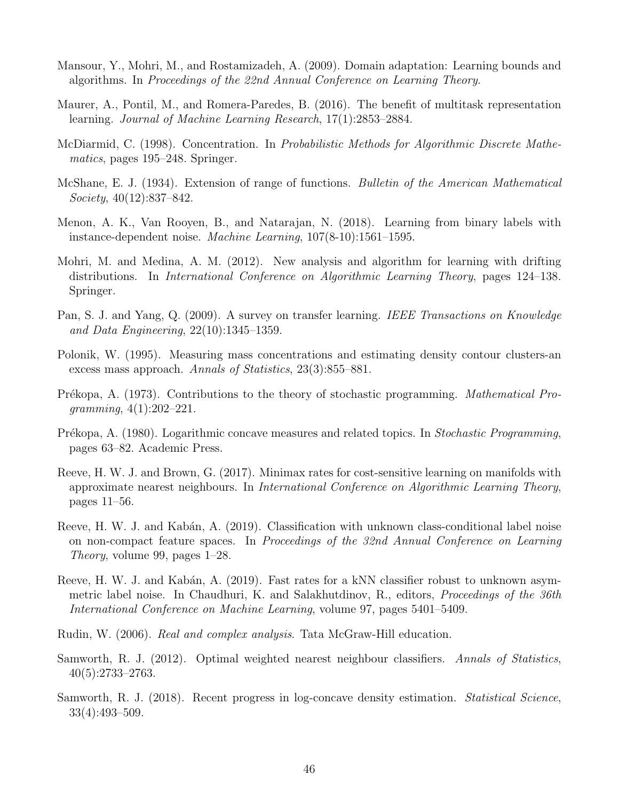- <span id="page-45-2"></span>Mansour, Y., Mohri, M., and Rostamizadeh, A. (2009). Domain adaptation: Learning bounds and algorithms. In Proceedings of the 22nd Annual Conference on Learning Theory.
- <span id="page-45-0"></span>Maurer, A., Pontil, M., and Romera-Paredes, B. (2016). The benefit of multitask representation learning. Journal of Machine Learning Research, 17(1):2853–2884.
- <span id="page-45-10"></span>McDiarmid, C. (1998). Concentration. In Probabilistic Methods for Algorithmic Discrete Mathematics, pages 195–248. Springer.
- <span id="page-45-11"></span>McShane, E. J. (1934). Extension of range of functions. Bulletin of the American Mathematical Society, 40(12):837–842.
- <span id="page-45-5"></span>Menon, A. K., Van Rooyen, B., and Natarajan, N. (2018). Learning from binary labels with instance-dependent noise. Machine Learning, 107(8-10):1561–1595.
- <span id="page-45-3"></span>Mohri, M. and Medina, A. M. (2012). New analysis and algorithm for learning with drifting distributions. In International Conference on Algorithmic Learning Theory, pages 124–138. Springer.
- <span id="page-45-1"></span>Pan, S. J. and Yang, Q. (2009). A survey on transfer learning. IEEE Transactions on Knowledge and Data Engineering, 22(10):1345–1359.
- <span id="page-45-7"></span>Polonik, W. (1995). Measuring mass concentrations and estimating density contour clusters-an excess mass approach. Annals of Statistics, 23(3):855–881.
- <span id="page-45-13"></span>Prékopa, A. (1973). Contributions to the theory of stochastic programming. *Mathematical Pro* $gramming, 4(1):202-221.$
- <span id="page-45-14"></span>Prékopa, A. (1980). Logarithmic concave measures and related topics. In Stochastic Programming, pages 63–82. Academic Press.
- <span id="page-45-9"></span>Reeve, H. W. J. and Brown, G. (2017). Minimax rates for cost-sensitive learning on manifolds with approximate nearest neighbours. In International Conference on Algorithmic Learning Theory, pages 11–56.
- <span id="page-45-4"></span>Reeve, H. W. J. and Kabán, A. (2019). Classification with unknown class-conditional label noise on non-compact feature spaces. In Proceedings of the 32nd Annual Conference on Learning Theory, volume 99, pages 1–28.
- <span id="page-45-6"></span>Reeve, H. W. J. and Kabán, A. (2019). Fast rates for a kNN classifier robust to unknown asymmetric label noise. In Chaudhuri, K. and Salakhutdinov, R., editors, Proceedings of the 36th International Conference on Machine Learning, volume 97, pages 5401–5409.
- <span id="page-45-12"></span>Rudin, W. (2006). Real and complex analysis. Tata McGraw-Hill education.
- <span id="page-45-8"></span>Samworth, R. J. (2012). Optimal weighted nearest neighbour classifiers. Annals of Statistics, 40(5):2733–2763.
- <span id="page-45-15"></span>Samworth, R. J. (2018). Recent progress in log-concave density estimation. *Statistical Science*, 33(4):493–509.